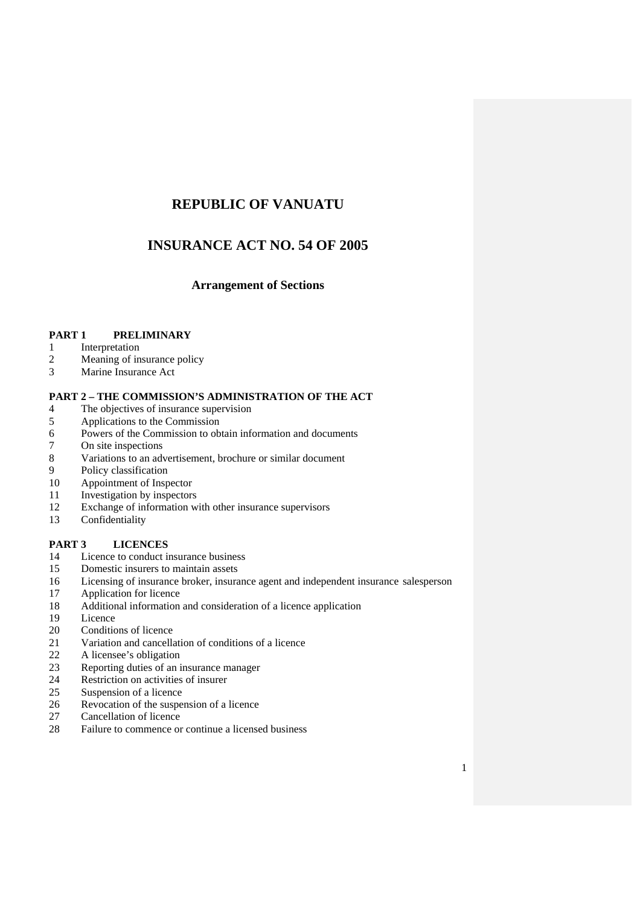# **REPUBLIC OF VANUATU**

# **INSURANCE ACT NO. 54 OF 2005**

# **Arrangement of Sections**

# **PART 1 PRELIMINARY**

- 1 Interpretation
- 2 Meaning of insurance policy<br>3 Marine Insurance Act
- Marine Insurance Act

# **PART 2 – THE COMMISSION'S ADMINISTRATION OF THE ACT**

- 4 The objectives of insurance supervision<br>5 Applications to the Commission
- Applications to the Commission
- 6 Powers of the Commission to obtain information and documents
- 7 On site inspections
- 8 Variations to an advertisement, brochure or similar document
- 9 Policy classification
- 10 Appointment of Inspector
- 11 Investigation by inspectors
- 12 Exchange of information with other insurance supervisors
- 13 Confidentiality

# **PART 3 LICENCES**

- 14 Licence to conduct insurance business
- 15 Domestic insurers to maintain assets
- 16 Licensing of insurance broker, insurance agent and independent insurance salesperson
- 17 Application for licence
- 18 Additional information and consideration of a licence application
- 19 Licence
- 20 Conditions of licence
- 21 Variation and cancellation of conditions of a licence
- 22 A licensee's obligation
- 23 Reporting duties of an insurance manager<br>24 Restriction on activities of insurer
- 24 Restriction on activities of insurer<br>25 Suspension of a licence
- 25 Suspension of a licence<br>26 Revocation of the suspe
- 26 Revocation of the suspension of a licence<br>27 Cancellation of licence
- Cancellation of licence
- 28 Failure to commence or continue a licensed business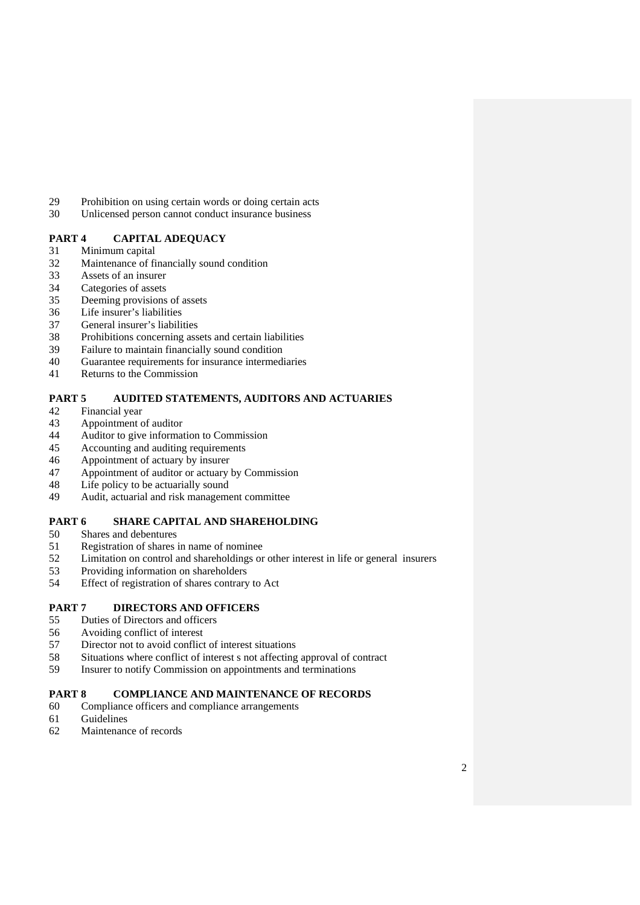- 29 Prohibition on using certain words or doing certain acts
- 30 Unlicensed person cannot conduct insurance business

# **PART 4 CAPITAL ADEQUACY**

- 31 Minimum capital
- 32 Maintenance of financially sound condition
- 33 Assets of an insurer
- 34 Categories of assets<br>35 Deeming provisions
- Deeming provisions of assets
- 36 Life insurer's liabilities
- 37 General insurer's liabilities
- 38 Prohibitions concerning assets and certain liabilities
- 39 Failure to maintain financially sound condition
- 40 Guarantee requirements for insurance intermediaries
- 41 Returns to the Commission

## **PART 5 AUDITED STATEMENTS, AUDITORS AND ACTUARIES**

- 42 Financial year
- 43 Appointment of auditor
- 44 Auditor to give information to Commission
- 45 Accounting and auditing requirements
- 46 Appointment of actuary by insurer
- 47 Appointment of auditor or actuary by Commission
- 48 Life policy to be actuarially sound
- 49 Audit, actuarial and risk management committee

# **PART 6 SHARE CAPITAL AND SHAREHOLDING**

- 50 Shares and debentures
- 51 Registration of shares in name of nominee
- 52 Limitation on control and shareholdings or other interest in life or general insurers
- 53 Providing information on shareholders<br>54 Effect of registration of shares contrary
- Effect of registration of shares contrary to Act

# **PART 7 DIRECTORS AND OFFICERS**

- 55 Duties of Directors and officers<br>56 Avoiding conflict of interest
- 56 Avoiding conflict of interest
- 57 Director not to avoid conflict of interest situations
- 58 Situations where conflict of interest s not affecting approval of contract
- 59 Insurer to notify Commission on appointments and terminations

# **PART 8 COMPLIANCE AND MAINTENANCE OF RECORDS**

- 60 Compliance officers and compliance arrangements
- 61 Guidelines
- 62 Maintenance of records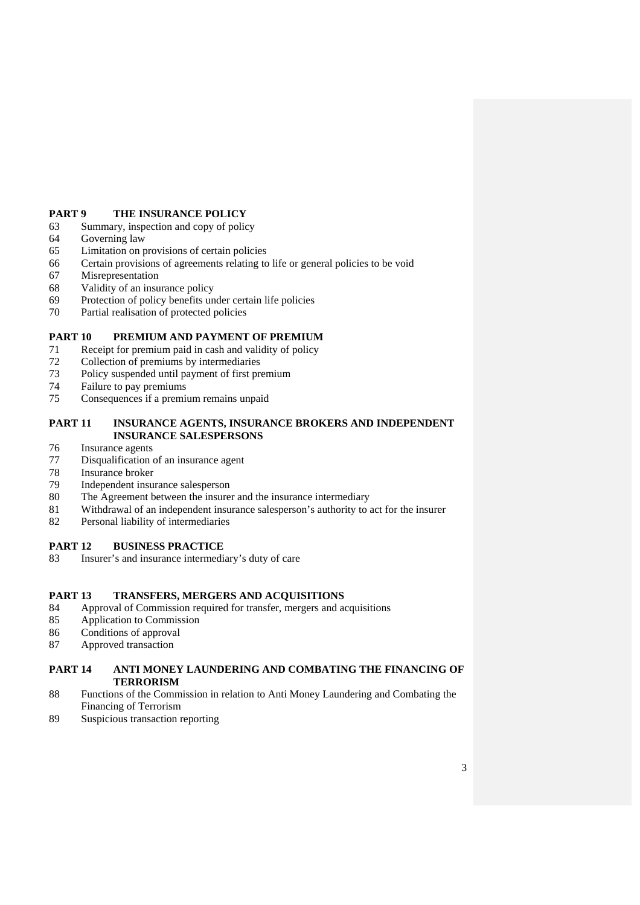# **PART 9 THE INSURANCE POLICY**

- 63 Summary, inspection and copy of policy
- 64 Governing law
- 65 Limitation on provisions of certain policies
- 66 Certain provisions of agreements relating to life or general policies to be void
- 67 Misrepresentation
- 68 Validity of an insurance policy
- 69 Protection of policy benefits under certain life policies
- 70 Partial realisation of protected policies

# **PART 10 PREMIUM AND PAYMENT OF PREMIUM**

- 71 Receipt for premium paid in cash and validity of policy
- 72 Collection of premiums by intermediaries
- 73 Policy suspended until payment of first premium
- 74 Failure to pay premiums
- 75 Consequences if a premium remains unpaid

# **PART 11 INSURANCE AGENTS, INSURANCE BROKERS AND INDEPENDENT INSURANCE SALESPERSONS**

- 76 Insurance agents
- 77 Disqualification of an insurance agent
- 78 Insurance broker
- 79 Independent insurance salesperson
- 80 The Agreement between the insurer and the insurance intermediary
- 81 Withdrawal of an independent insurance salesperson's authority to act for the insurer
- 82 Personal liability of intermediaries

# **PART 12 BUSINESS PRACTICE**

83 Insurer's and insurance intermediary's duty of care

# **PART 13 TRANSFERS, MERGERS AND ACQUISITIONS**

- 84 Approval of Commission required for transfer, mergers and acquisitions
- 85 Application to Commission
- 86 Conditions of approval
- 87 Approved transaction

# **PART 14 ANTI MONEY LAUNDERING AND COMBATING THE FINANCING OF TERRORISM**

- 88 Functions of the Commission in relation to Anti Money Laundering and Combating the Financing of Terrorism
- 89 Suspicious transaction reporting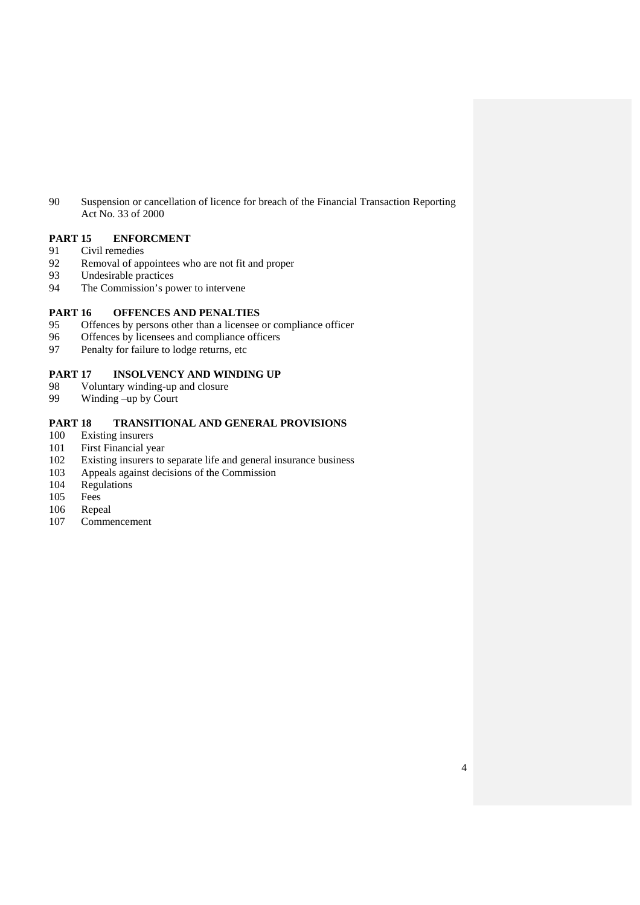90 Suspension or cancellation of licence for breach of the Financial Transaction Reporting Act No. 33 of 2000

# **PART 15 ENFORCMENT**

- 91 Civil remedies
- 92 Removal of appointees who are not fit and proper
- 93 Undesirable practices
- 94 The Commission's power to intervene

# **PART 16 OFFENCES AND PENALTIES**<br>95 Offences by persons other than a licensee

- 95 Offences by persons other than a licensee or compliance officer<br>96 Offences by licensees and compliance officers
- 96 Offences by licensees and compliance officers<br>97 Penalty for failure to lodge returns, etc
- Penalty for failure to lodge returns, etc

# **PART 17 INSOLVENCY AND WINDING UP**

- 98 Voluntary winding-up and closure
- 99 Winding –up by Court

# **PART 18 TRANSITIONAL AND GENERAL PROVISIONS**

- 100 Existing insurers
- 101 First Financial year
- 102 Existing insurers to separate life and general insurance business
- 103 Appeals against decisions of the Commission
- 104 Regulations
- 105 Fees
- 106 Repeal
- 107 Commencement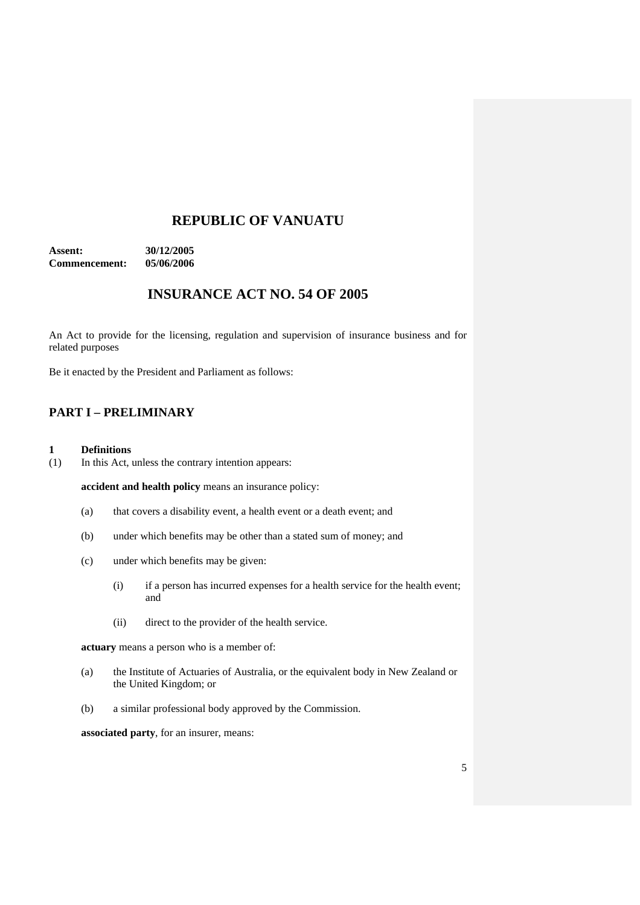# **REPUBLIC OF VANUATU**

**Assent: 30/12/2005 Commencement: 05/06/2006** 

# **INSURANCE ACT NO. 54 OF 2005**

An Act to provide for the licensing, regulation and supervision of insurance business and for related purposes

Be it enacted by the President and Parliament as follows:

# **PART I – PRELIMINARY**

#### **1 Definitions**

(1) In this Act, unless the contrary intention appears:

**accident and health policy** means an insurance policy:

- (a) that covers a disability event, a health event or a death event; and
- (b) under which benefits may be other than a stated sum of money; and
- (c) under which benefits may be given:
	- (i) if a person has incurred expenses for a health service for the health event; and
	- (ii) direct to the provider of the health service.

**actuary** means a person who is a member of:

- (a) the Institute of Actuaries of Australia, or the equivalent body in New Zealand or the United Kingdom; or
- (b) a similar professional body approved by the Commission.

**associated party**, for an insurer, means: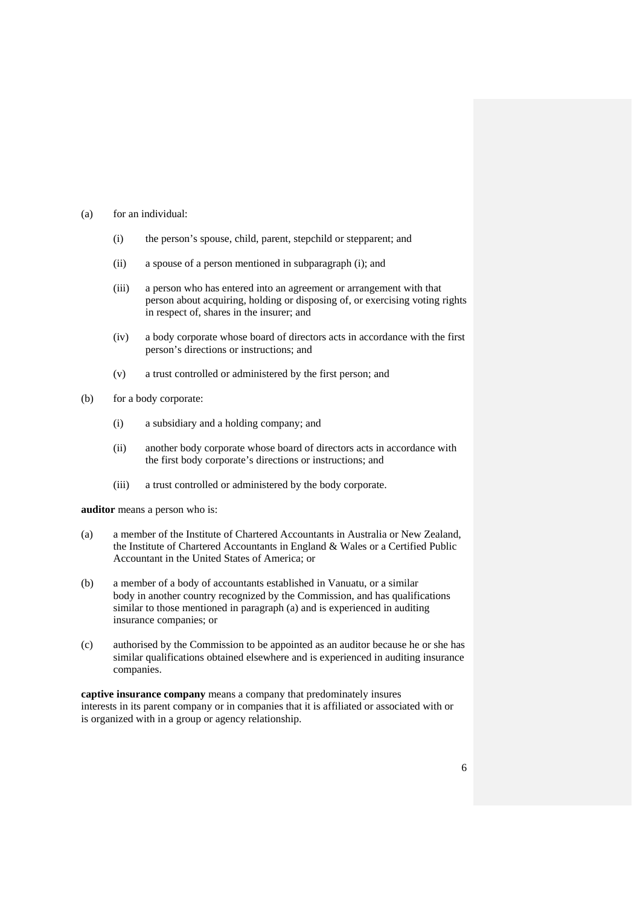- (a) for an individual:
	- (i) the person's spouse, child, parent, stepchild or stepparent; and
	- (ii) a spouse of a person mentioned in subparagraph (i); and
	- (iii) a person who has entered into an agreement or arrangement with that person about acquiring, holding or disposing of, or exercising voting rights in respect of, shares in the insurer; and
	- (iv) a body corporate whose board of directors acts in accordance with the first person's directions or instructions; and
	- (v) a trust controlled or administered by the first person; and
- (b) for a body corporate:
	- (i) a subsidiary and a holding company; and
	- (ii) another body corporate whose board of directors acts in accordance with the first body corporate's directions or instructions; and
	- (iii) a trust controlled or administered by the body corporate.

**auditor** means a person who is:

- (a) a member of the Institute of Chartered Accountants in Australia or New Zealand, the Institute of Chartered Accountants in England & Wales or a Certified Public Accountant in the United States of America; or
- (b) a member of a body of accountants established in Vanuatu, or a similar body in another country recognized by the Commission, and has qualifications similar to those mentioned in paragraph (a) and is experienced in auditing insurance companies; or
- (c) authorised by the Commission to be appointed as an auditor because he or she has similar qualifications obtained elsewhere and is experienced in auditing insurance companies.

**captive insurance company** means a company that predominately insures interests in its parent company or in companies that it is affiliated or associated with or is organized with in a group or agency relationship.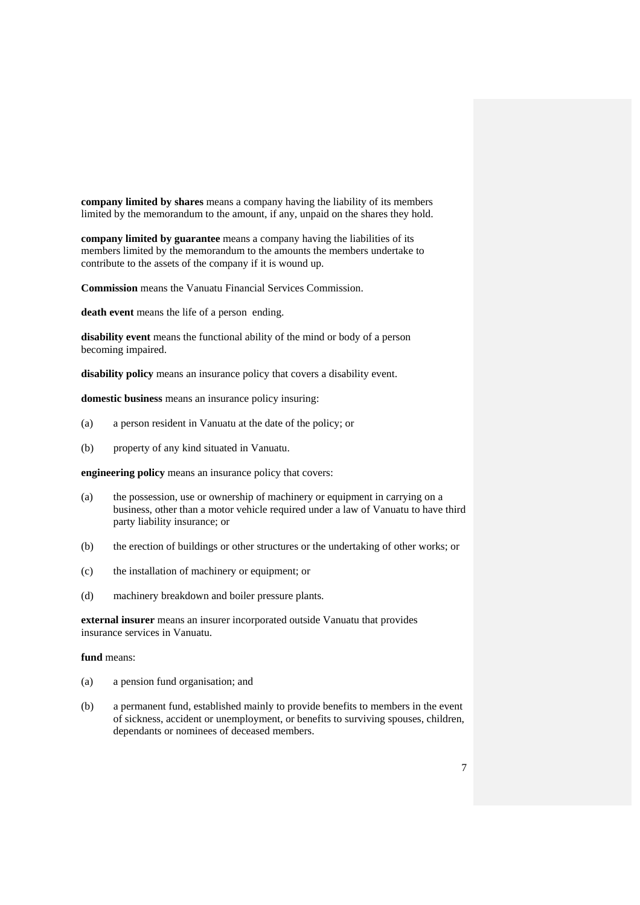**company limited by shares** means a company having the liability of its members limited by the memorandum to the amount, if any, unpaid on the shares they hold.

**company limited by guarantee** means a company having the liabilities of its members limited by the memorandum to the amounts the members undertake to contribute to the assets of the company if it is wound up.

**Commission** means the Vanuatu Financial Services Commission.

**death event** means the life of a person ending.

**disability event** means the functional ability of the mind or body of a person becoming impaired.

**disability policy** means an insurance policy that covers a disability event.

**domestic business** means an insurance policy insuring:

- (a) a person resident in Vanuatu at the date of the policy; or
- (b) property of any kind situated in Vanuatu.

**engineering policy** means an insurance policy that covers:

- (a) the possession, use or ownership of machinery or equipment in carrying on a business, other than a motor vehicle required under a law of Vanuatu to have third party liability insurance; or
- (b) the erection of buildings or other structures or the undertaking of other works; or
- (c) the installation of machinery or equipment; or
- (d) machinery breakdown and boiler pressure plants.

**external insurer** means an insurer incorporated outside Vanuatu that provides insurance services in Vanuatu.

## **fund** means:

- (a) a pension fund organisation; and
- (b) a permanent fund, established mainly to provide benefits to members in the event of sickness, accident or unemployment, or benefits to surviving spouses, children, dependants or nominees of deceased members.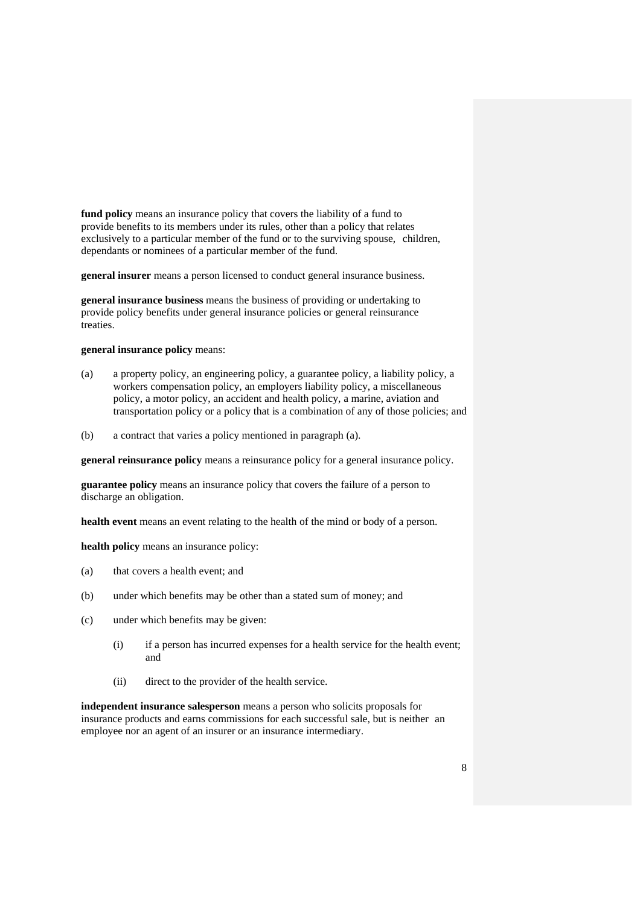**fund policy** means an insurance policy that covers the liability of a fund to provide benefits to its members under its rules, other than a policy that relates exclusively to a particular member of the fund or to the surviving spouse, children, dependants or nominees of a particular member of the fund.

**general insurer** means a person licensed to conduct general insurance business.

**general insurance business** means the business of providing or undertaking to provide policy benefits under general insurance policies or general reinsurance treaties.

#### **general insurance policy** means:

- (a) a property policy, an engineering policy, a guarantee policy, a liability policy, a workers compensation policy, an employers liability policy, a miscellaneous policy, a motor policy, an accident and health policy, a marine, aviation and transportation policy or a policy that is a combination of any of those policies; and
- (b) a contract that varies a policy mentioned in paragraph (a).

**general reinsurance policy** means a reinsurance policy for a general insurance policy.

**guarantee policy** means an insurance policy that covers the failure of a person to discharge an obligation.

**health event** means an event relating to the health of the mind or body of a person.

**health policy** means an insurance policy:

- (a) that covers a health event; and
- (b) under which benefits may be other than a stated sum of money; and
- (c) under which benefits may be given:
	- (i) if a person has incurred expenses for a health service for the health event; and
	- (ii) direct to the provider of the health service.

**independent insurance salesperson** means a person who solicits proposals for insurance products and earns commissions for each successful sale, but is neither an employee nor an agent of an insurer or an insurance intermediary.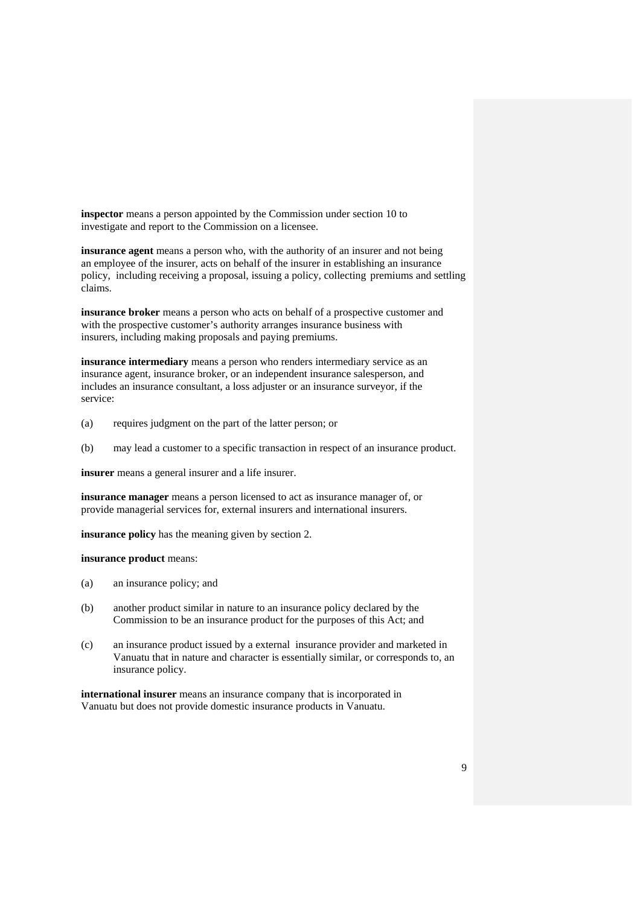**inspector** means a person appointed by the Commission under section 10 to investigate and report to the Commission on a licensee.

**insurance agent** means a person who, with the authority of an insurer and not being an employee of the insurer, acts on behalf of the insurer in establishing an insurance policy, including receiving a proposal, issuing a policy, collecting premiums and settling claims.

**insurance broker** means a person who acts on behalf of a prospective customer and with the prospective customer's authority arranges insurance business with insurers, including making proposals and paying premiums.

**insurance intermediary** means a person who renders intermediary service as an insurance agent, insurance broker, or an independent insurance salesperson, and includes an insurance consultant, a loss adjuster or an insurance surveyor, if the service:

- (a) requires judgment on the part of the latter person; or
- (b) may lead a customer to a specific transaction in respect of an insurance product.

**insurer** means a general insurer and a life insurer.

 **insurance manager** means a person licensed to act as insurance manager of, or provide managerial services for, external insurers and international insurers.

**insurance policy** has the meaning given by section 2.

**insurance product** means:

- (a) an insurance policy; and
- (b) another product similar in nature to an insurance policy declared by the Commission to be an insurance product for the purposes of this Act; and
- (c) an insurance product issued by a external insurance provider and marketed in Vanuatu that in nature and character is essentially similar, or corresponds to, an insurance policy.

**international insurer** means an insurance company that is incorporated in Vanuatu but does not provide domestic insurance products in Vanuatu.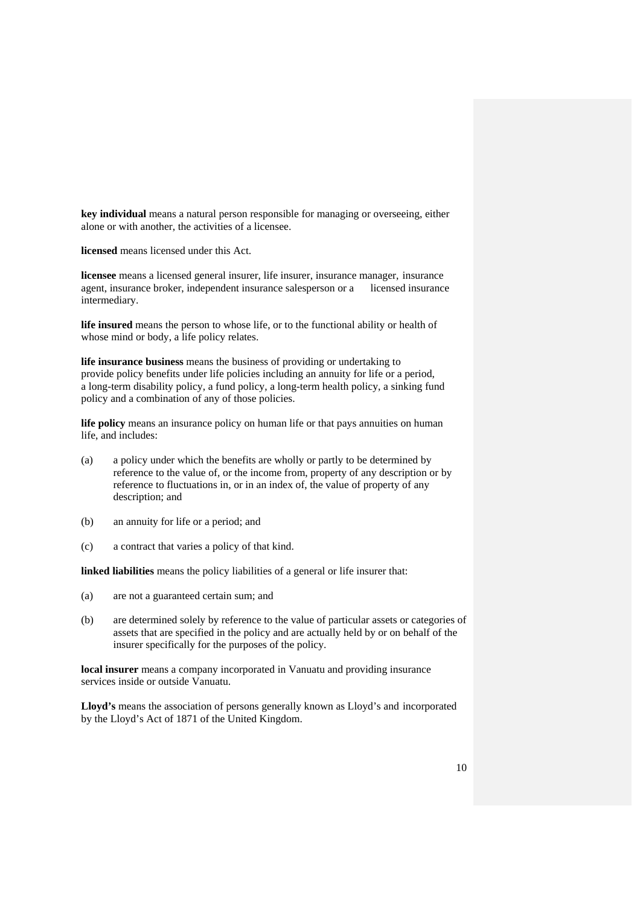**key individual** means a natural person responsible for managing or overseeing, either alone or with another, the activities of a licensee.

**licensed** means licensed under this Act.

**licensee** means a licensed general insurer, life insurer, insurance manager, insurance agent, insurance broker, independent insurance salesperson or a licensed insurance intermediary.

**life insured** means the person to whose life, or to the functional ability or health of whose mind or body, a life policy relates.

**life insurance business** means the business of providing or undertaking to provide policy benefits under life policies including an annuity for life or a period, a long-term disability policy, a fund policy, a long-term health policy, a sinking fund policy and a combination of any of those policies.

**life policy** means an insurance policy on human life or that pays annuities on human life, and includes:

- (a) a policy under which the benefits are wholly or partly to be determined by reference to the value of, or the income from, property of any description or by reference to fluctuations in, or in an index of, the value of property of any description; and
- (b) an annuity for life or a period; and
- (c) a contract that varies a policy of that kind.

**linked liabilities** means the policy liabilities of a general or life insurer that:

- (a) are not a guaranteed certain sum; and
- (b) are determined solely by reference to the value of particular assets or categories of assets that are specified in the policy and are actually held by or on behalf of the insurer specifically for the purposes of the policy.

**local insurer** means a company incorporated in Vanuatu and providing insurance services inside or outside Vanuatu.

**Lloyd's** means the association of persons generally known as Lloyd's and incorporated by the Lloyd's Act of 1871 of the United Kingdom.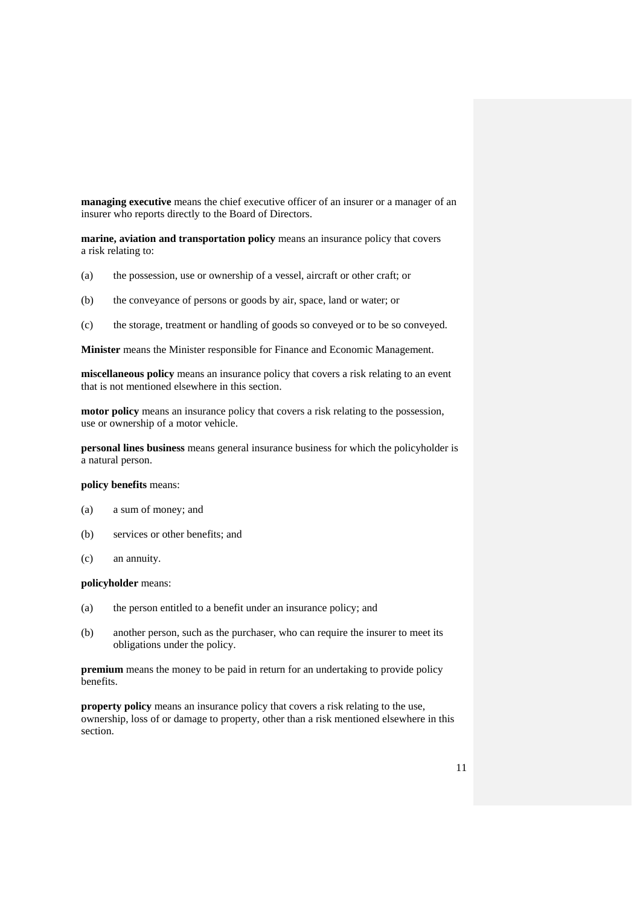**managing executive** means the chief executive officer of an insurer or a manager of an insurer who reports directly to the Board of Directors.

**marine, aviation and transportation policy** means an insurance policy that covers a risk relating to:

- (a) the possession, use or ownership of a vessel, aircraft or other craft; or
- (b) the conveyance of persons or goods by air, space, land or water; or
- (c) the storage, treatment or handling of goods so conveyed or to be so conveyed.

**Minister** means the Minister responsible for Finance and Economic Management.

 **miscellaneous policy** means an insurance policy that covers a risk relating to an event that is not mentioned elsewhere in this section.

**motor policy** means an insurance policy that covers a risk relating to the possession, use or ownership of a motor vehicle.

**personal lines business** means general insurance business for which the policyholder is a natural person.

#### **policy benefits** means:

- (a) a sum of money; and
- (b) services or other benefits; and
- (c) an annuity.

#### **policyholder** means:

- (a) the person entitled to a benefit under an insurance policy; and
- (b) another person, such as the purchaser, who can require the insurer to meet its obligations under the policy.

**premium** means the money to be paid in return for an undertaking to provide policy benefits.

**property policy** means an insurance policy that covers a risk relating to the use, ownership, loss of or damage to property, other than a risk mentioned elsewhere in this section.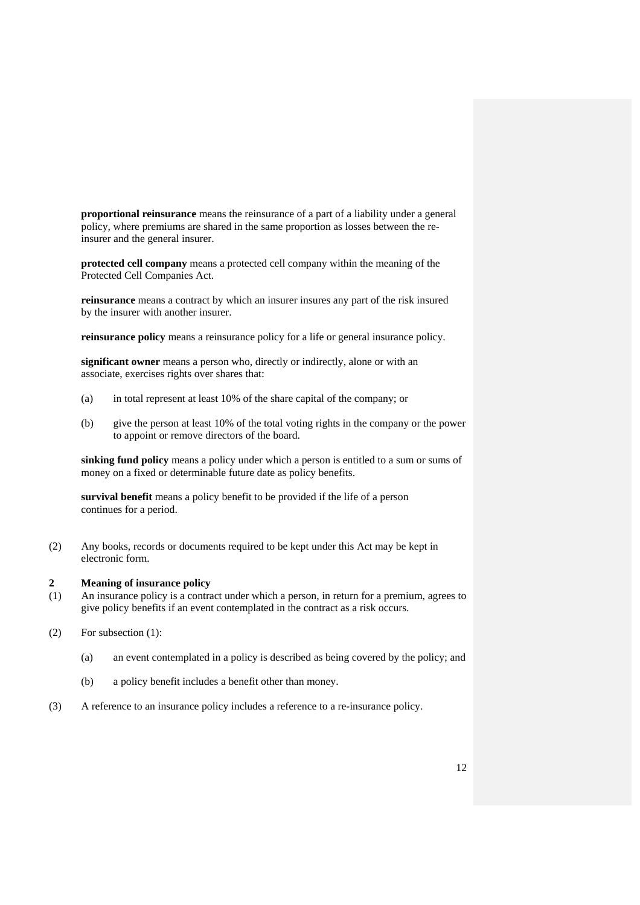**proportional reinsurance** means the reinsurance of a part of a liability under a general policy, where premiums are shared in the same proportion as losses between the re insurer and the general insurer.

**protected cell company** means a protected cell company within the meaning of the Protected Cell Companies Act.

**reinsurance** means a contract by which an insurer insures any part of the risk insured by the insurer with another insurer.

**reinsurance policy** means a reinsurance policy for a life or general insurance policy.

**significant owner** means a person who, directly or indirectly, alone or with an associate, exercises rights over shares that:

- (a) in total represent at least 10% of the share capital of the company; or
- (b) give the person at least 10% of the total voting rights in the company or the power to appoint or remove directors of the board.

**sinking fund policy** means a policy under which a person is entitled to a sum or sums of money on a fixed or determinable future date as policy benefits.

**survival benefit** means a policy benefit to be provided if the life of a person continues for a period.

(2) Any books, records or documents required to be kept under this Act may be kept in electronic form.

### **2 Meaning of insurance policy**

- (1) An insurance policy is a contract under which a person, in return for a premium, agrees to give policy benefits if an event contemplated in the contract as a risk occurs.
- (2) For subsection (1):
	- (a) an event contemplated in a policy is described as being covered by the policy; and
	- (b) a policy benefit includes a benefit other than money.
- (3) A reference to an insurance policy includes a reference to a re-insurance policy.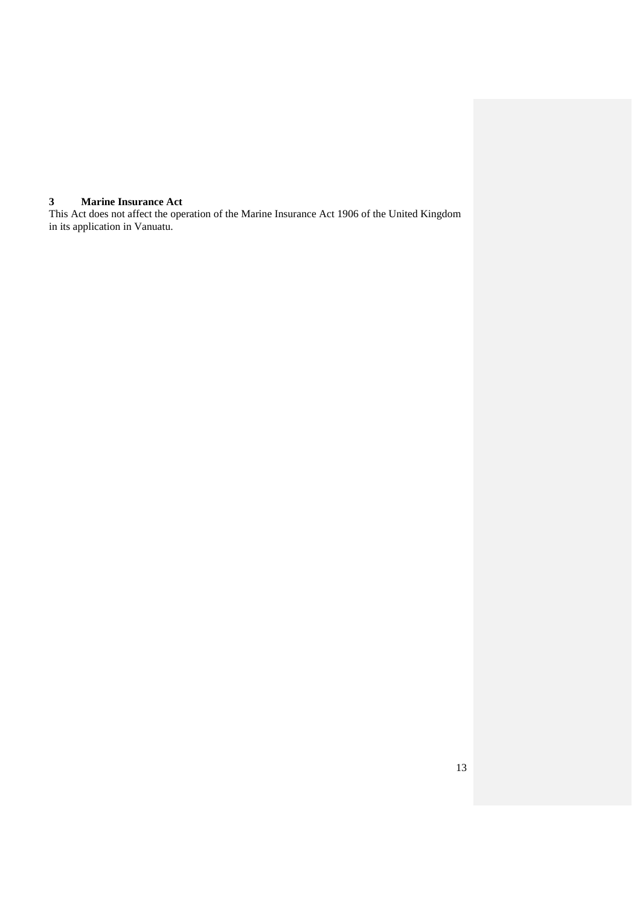# **3 Marine Insurance Act**

This Act does not affect the operation of the Marine Insurance Act 1906 of the United Kingdom in its application in Vanuatu.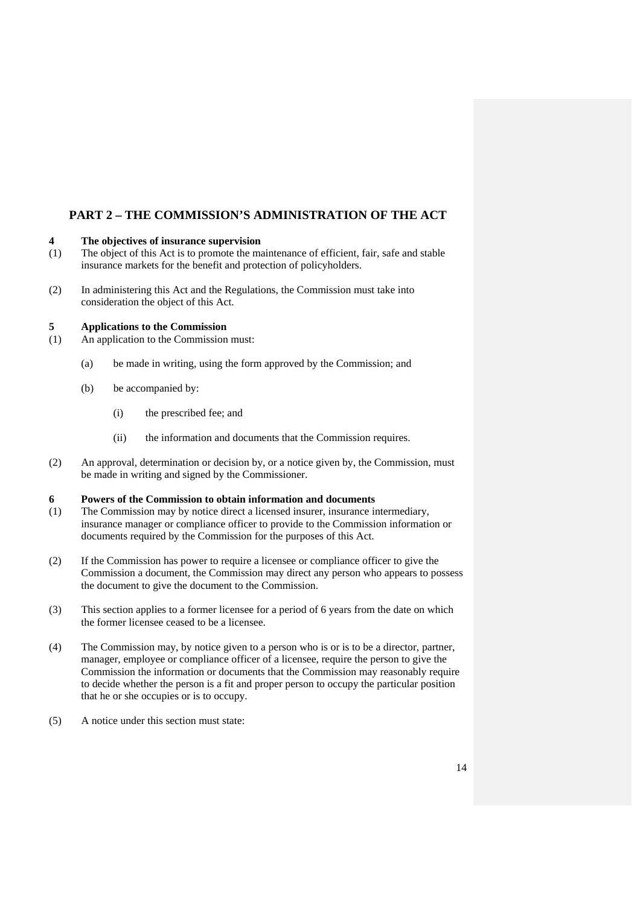# **PART 2 – THE COMMISSION'S ADMINISTRATION OF THE ACT**

# **4 The objectives of insurance supervision**

- (1) The object of this Act is to promote the maintenance of efficient, fair, safe and stable insurance markets for the benefit and protection of policyholders.
- (2) In administering this Act and the Regulations, the Commission must take into consideration the object of this Act.

#### **5 Applications to the Commission**

- (1) An application to the Commission must:
	- (a) be made in writing, using the form approved by the Commission; and
	- (b) be accompanied by:
		- (i) the prescribed fee; and
		- (ii) the information and documents that the Commission requires.
- (2) An approval, determination or decision by, or a notice given by, the Commission, must be made in writing and signed by the Commissioner.

#### **6 Powers of the Commission to obtain information and documents**

- (1) The Commission may by notice direct a licensed insurer, insurance intermediary, insurance manager or compliance officer to provide to the Commission information or documents required by the Commission for the purposes of this Act.
- (2) If the Commission has power to require a licensee or compliance officer to give the Commission a document, the Commission may direct any person who appears to possess the document to give the document to the Commission.
- (3) This section applies to a former licensee for a period of 6 years from the date on which the former licensee ceased to be a licensee.
- (4) The Commission may, by notice given to a person who is or is to be a director, partner, manager, employee or compliance officer of a licensee, require the person to give the Commission the information or documents that the Commission may reasonably require to decide whether the person is a fit and proper person to occupy the particular position that he or she occupies or is to occupy.
- (5) A notice under this section must state: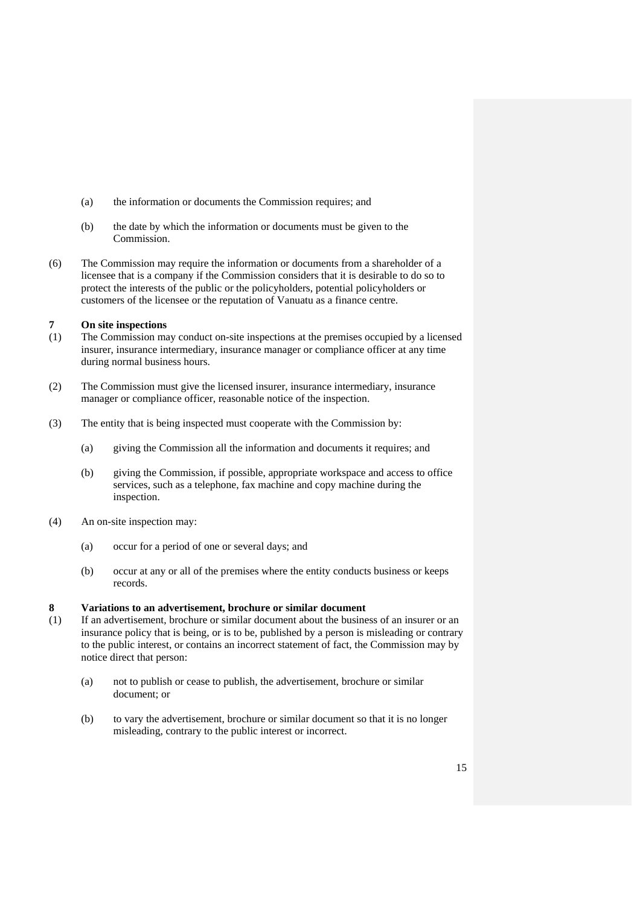- (a) the information or documents the Commission requires; and
- (b) the date by which the information or documents must be given to the Commission.
- (6) The Commission may require the information or documents from a shareholder of a licensee that is a company if the Commission considers that it is desirable to do so to protect the interests of the public or the policyholders, potential policyholders or customers of the licensee or the reputation of Vanuatu as a finance centre.

# **7 On site inspections**

- (1) The Commission may conduct on-site inspections at the premises occupied by a licensed insurer, insurance intermediary, insurance manager or compliance officer at any time during normal business hours.
- (2) The Commission must give the licensed insurer, insurance intermediary, insurance manager or compliance officer, reasonable notice of the inspection.
- (3) The entity that is being inspected must cooperate with the Commission by:
	- (a) giving the Commission all the information and documents it requires; and
	- (b) giving the Commission, if possible, appropriate workspace and access to office services, such as a telephone, fax machine and copy machine during the inspection.
- (4) An on-site inspection may:
	- (a) occur for a period of one or several days; and
	- (b) occur at any or all of the premises where the entity conducts business or keeps records.

# **8 Variations to an advertisement, brochure or similar document**

- (1) If an advertisement, brochure or similar document about the business of an insurer or an insurance policy that is being, or is to be, published by a person is misleading or contrary to the public interest, or contains an incorrect statement of fact, the Commission may by notice direct that person:
	- (a) not to publish or cease to publish, the advertisement, brochure or similar document; or
	- (b) to vary the advertisement, brochure or similar document so that it is no longer misleading, contrary to the public interest or incorrect.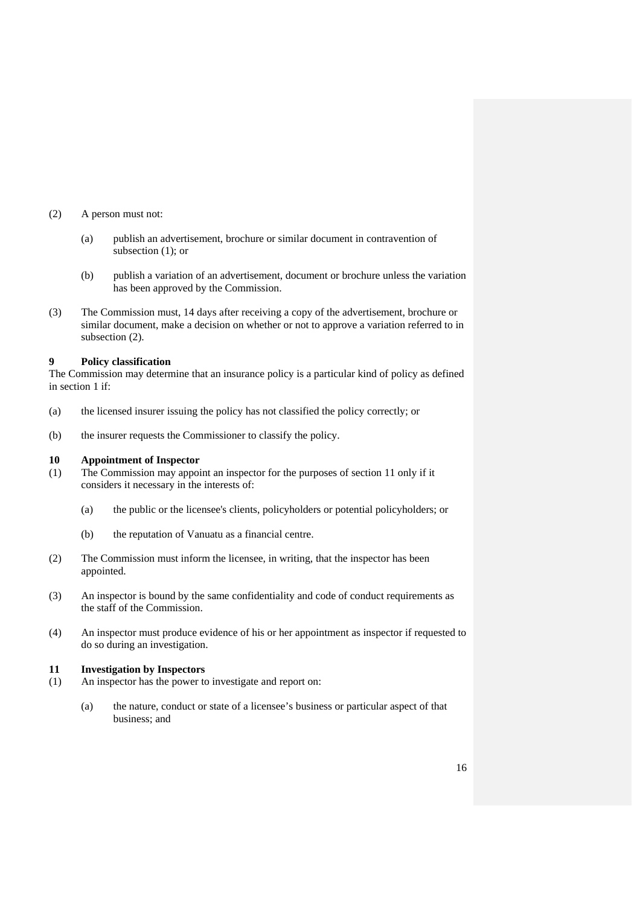#### (2) A person must not:

- (a) publish an advertisement, brochure or similar document in contravention of subsection (1); or
- (b) publish a variation of an advertisement, document or brochure unless the variation has been approved by the Commission.
- (3) The Commission must, 14 days after receiving a copy of the advertisement, brochure or similar document, make a decision on whether or not to approve a variation referred to in subsection (2).

#### **9 Policy classification**

The Commission may determine that an insurance policy is a particular kind of policy as defined in section 1 if:

- (a) the licensed insurer issuing the policy has not classified the policy correctly; or
- (b) the insurer requests the Commissioner to classify the policy.

#### **10 Appointment of Inspector**

- (1) The Commission may appoint an inspector for the purposes of section 11 only if it considers it necessary in the interests of:
	- (a) the public or the licensee's clients, policyholders or potential policyholders; or
	- (b) the reputation of Vanuatu as a financial centre.
- (2) The Commission must inform the licensee, in writing, that the inspector has been appointed.
- (3) An inspector is bound by the same confidentiality and code of conduct requirements as the staff of the Commission.
- (4) An inspector must produce evidence of his or her appointment as inspector if requested to do so during an investigation.

#### **11 Investigation by Inspectors**

- (1) An inspector has the power to investigate and report on:
	- (a) the nature, conduct or state of a licensee's business or particular aspect of that business; and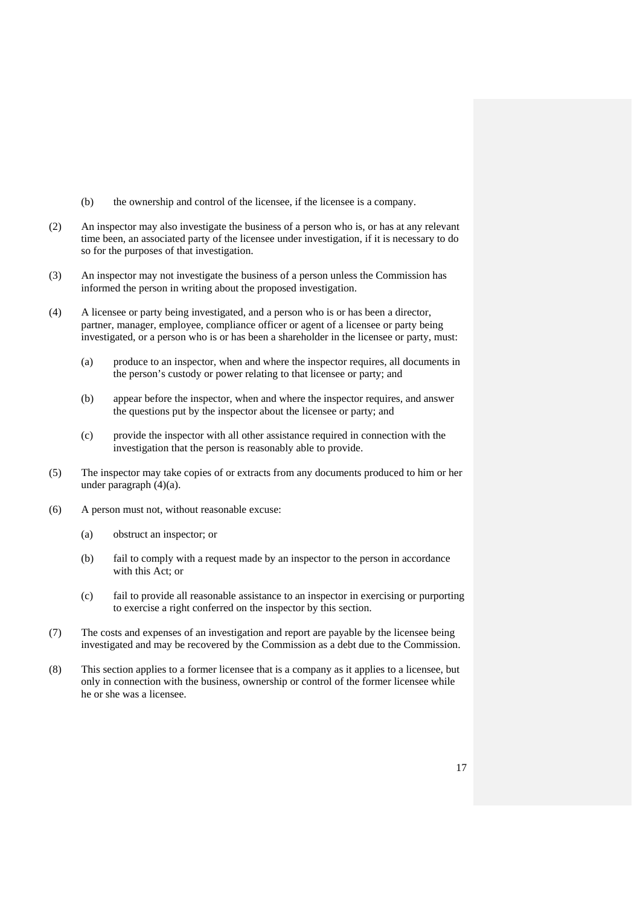- (b) the ownership and control of the licensee, if the licensee is a company.
- (2) An inspector may also investigate the business of a person who is, or has at any relevant time been, an associated party of the licensee under investigation, if it is necessary to do so for the purposes of that investigation.
- (3) An inspector may not investigate the business of a person unless the Commission has informed the person in writing about the proposed investigation.
- (4) A licensee or party being investigated, and a person who is or has been a director, partner, manager, employee, compliance officer or agent of a licensee or party being investigated, or a person who is or has been a shareholder in the licensee or party, must:
	- (a) produce to an inspector, when and where the inspector requires, all documents in the person's custody or power relating to that licensee or party; and
	- (b) appear before the inspector, when and where the inspector requires, and answer the questions put by the inspector about the licensee or party; and
	- (c) provide the inspector with all other assistance required in connection with the investigation that the person is reasonably able to provide.
- (5) The inspector may take copies of or extracts from any documents produced to him or her under paragraph (4)(a).
- (6) A person must not, without reasonable excuse:
	- (a) obstruct an inspector; or
	- (b) fail to comply with a request made by an inspector to the person in accordance with this Act; or
	- (c) fail to provide all reasonable assistance to an inspector in exercising or purporting to exercise a right conferred on the inspector by this section.
- (7) The costs and expenses of an investigation and report are payable by the licensee being investigated and may be recovered by the Commission as a debt due to the Commission.
- (8) This section applies to a former licensee that is a company as it applies to a licensee, but only in connection with the business, ownership or control of the former licensee while he or she was a licensee.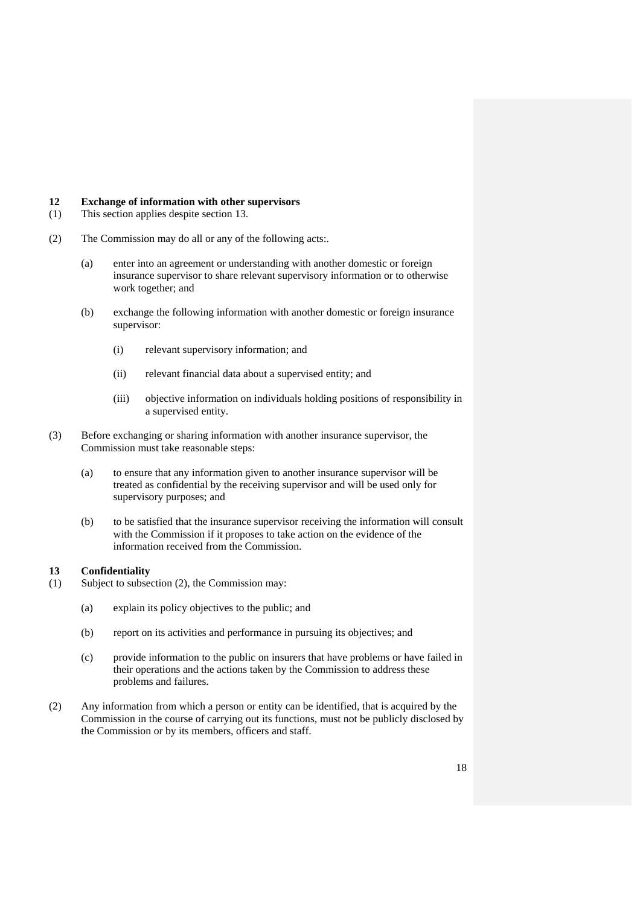#### **12 Exchange of information with other supervisors**

- (1) This section applies despite section 13.
- (2) The Commission may do all or any of the following acts:.
	- (a) enter into an agreement or understanding with another domestic or foreign insurance supervisor to share relevant supervisory information or to otherwise work together; and
	- (b) exchange the following information with another domestic or foreign insurance supervisor:
		- (i) relevant supervisory information; and
		- (ii) relevant financial data about a supervised entity; and
		- (iii) objective information on individuals holding positions of responsibility in a supervised entity.
- (3) Before exchanging or sharing information with another insurance supervisor, the Commission must take reasonable steps:
	- (a) to ensure that any information given to another insurance supervisor will be treated as confidential by the receiving supervisor and will be used only for supervisory purposes; and
	- (b) to be satisfied that the insurance supervisor receiving the information will consult with the Commission if it proposes to take action on the evidence of the information received from the Commission.

#### **13 Confidentiality**

- (1) Subject to subsection (2), the Commission may:
	- (a) explain its policy objectives to the public; and
	- (b) report on its activities and performance in pursuing its objectives; and
	- (c) provide information to the public on insurers that have problems or have failed in their operations and the actions taken by the Commission to address these problems and failures.
- (2) Any information from which a person or entity can be identified, that is acquired by the Commission in the course of carrying out its functions, must not be publicly disclosed by the Commission or by its members, officers and staff.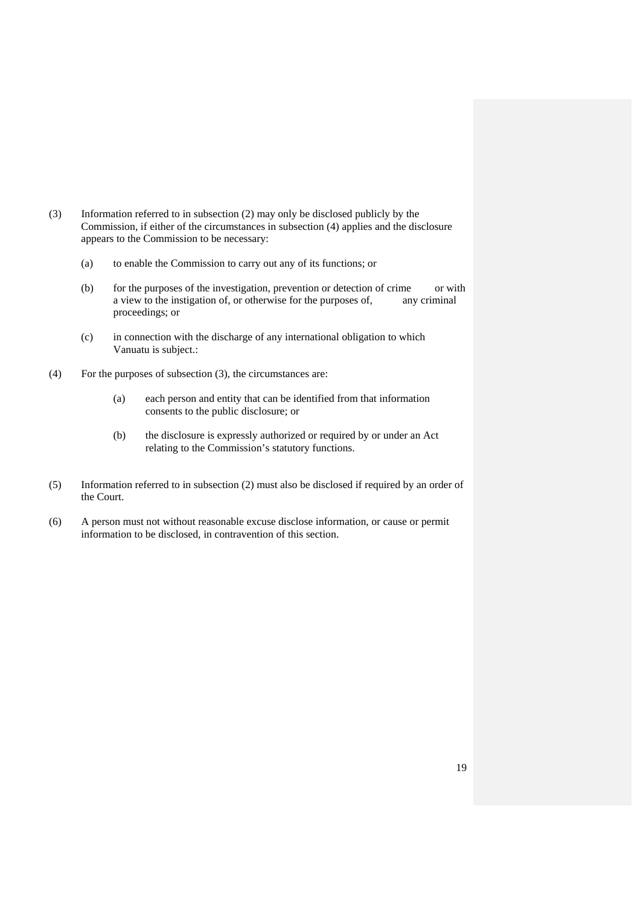- (3) Information referred to in subsection (2) may only be disclosed publicly by the Commission, if either of the circumstances in subsection (4) applies and the disclosure appears to the Commission to be necessary:
	- (a) to enable the Commission to carry out any of its functions; or
	- (b) for the purposes of the investigation, prevention or detection of crime or with a view to the instigation of, or otherwise for the purposes of, any criminal proceedings; or
	- (c) in connection with the discharge of any international obligation to which Vanuatu is subject.:
- (4) For the purposes of subsection (3), the circumstances are:
	- (a) each person and entity that can be identified from that information consents to the public disclosure; or
	- (b) the disclosure is expressly authorized or required by or under an Act relating to the Commission's statutory functions.
- (5) Information referred to in subsection (2) must also be disclosed if required by an order of the Court.
- (6) A person must not without reasonable excuse disclose information, or cause or permit information to be disclosed, in contravention of this section.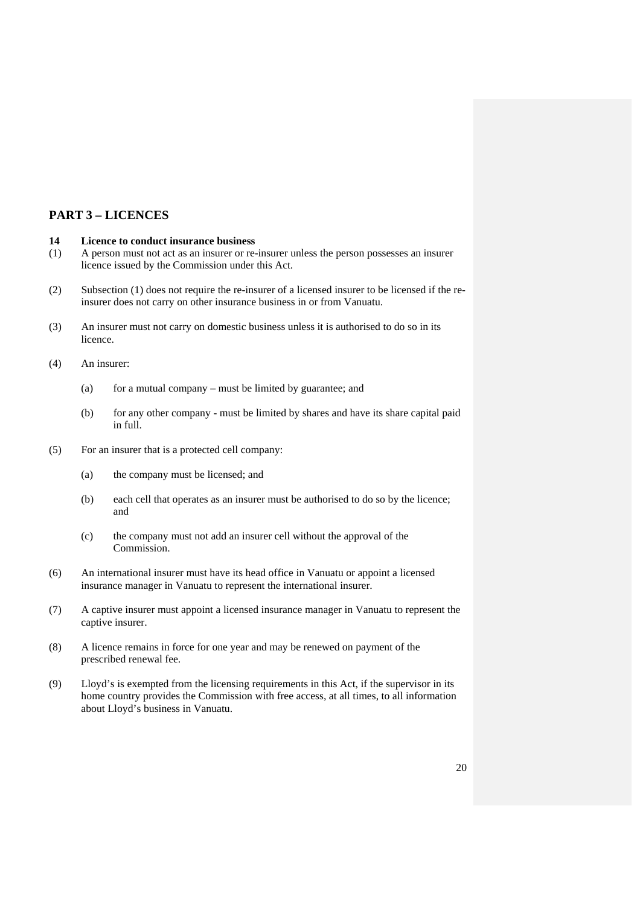# **PART 3 – LICENCES**

# **14 Licence to conduct insurance business**

- (1) A person must not act as an insurer or re-insurer unless the person possesses an insurer licence issued by the Commission under this Act.
- (2) Subsection (1) does not require the re-insurer of a licensed insurer to be licensed if the reinsurer does not carry on other insurance business in or from Vanuatu.
- (3) An insurer must not carry on domestic business unless it is authorised to do so in its licence.

(4) An insurer:

- (a) for a mutual company must be limited by guarantee; and
- (b) for any other company must be limited by shares and have its share capital paid in full.
- (5) For an insurer that is a protected cell company:
	- (a) the company must be licensed; and
	- (b) each cell that operates as an insurer must be authorised to do so by the licence; and
	- (c) the company must not add an insurer cell without the approval of the Commission.
- (6) An international insurer must have its head office in Vanuatu or appoint a licensed insurance manager in Vanuatu to represent the international insurer.
- (7) A captive insurer must appoint a licensed insurance manager in Vanuatu to represent the captive insurer.
- (8) A licence remains in force for one year and may be renewed on payment of the prescribed renewal fee.
- (9) Lloyd's is exempted from the licensing requirements in this Act, if the supervisor in its home country provides the Commission with free access, at all times, to all information about Lloyd's business in Vanuatu.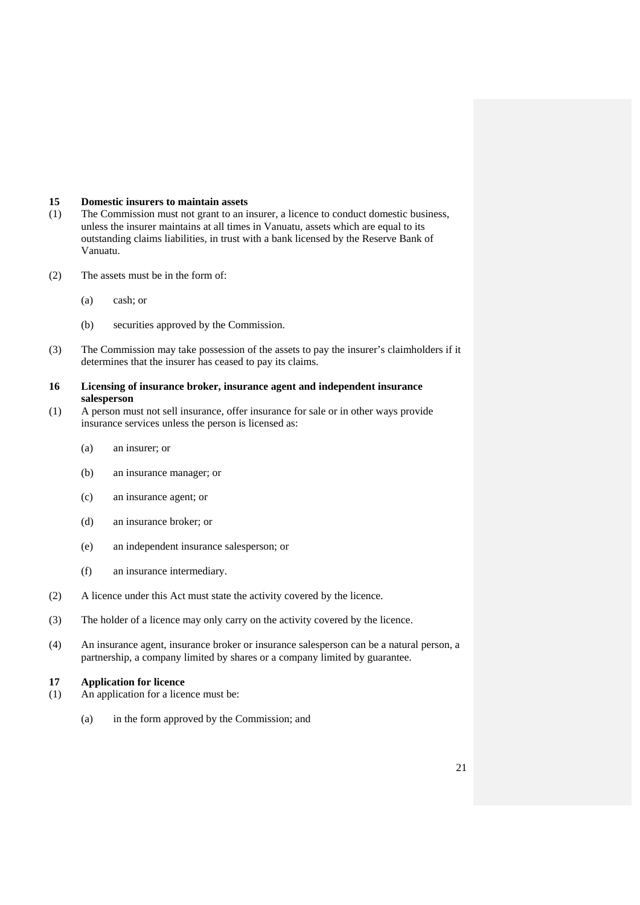#### **15 Domestic insurers to maintain assets**

- (1) The Commission must not grant to an insurer, a licence to conduct domestic business, unless the insurer maintains at all times in Vanuatu, assets which are equal to its outstanding claims liabilities, in trust with a bank licensed by the Reserve Bank of Vanuatu.
- (2) The assets must be in the form of:
	- (a) cash; or
	- (b) securities approved by the Commission.
- (3) The Commission may take possession of the assets to pay the insurer's claimholders if it determines that the insurer has ceased to pay its claims.

## **16 Licensing of insurance broker, insurance agent and independent insurance salesperson**

- (1) A person must not sell insurance, offer insurance for sale or in other ways provide insurance services unless the person is licensed as:
	- (a) an insurer; or
	- (b) an insurance manager; or
	- (c) an insurance agent; or
	- (d) an insurance broker; or
	- (e) an independent insurance salesperson; or
	- (f) an insurance intermediary.
- (2) A licence under this Act must state the activity covered by the licence.
- (3) The holder of a licence may only carry on the activity covered by the licence.
- (4) An insurance agent, insurance broker or insurance salesperson can be a natural person, a partnership, a company limited by shares or a company limited by guarantee.

# **17 Application for licence**

- (1) An application for a licence must be:
	- (a) in the form approved by the Commission; and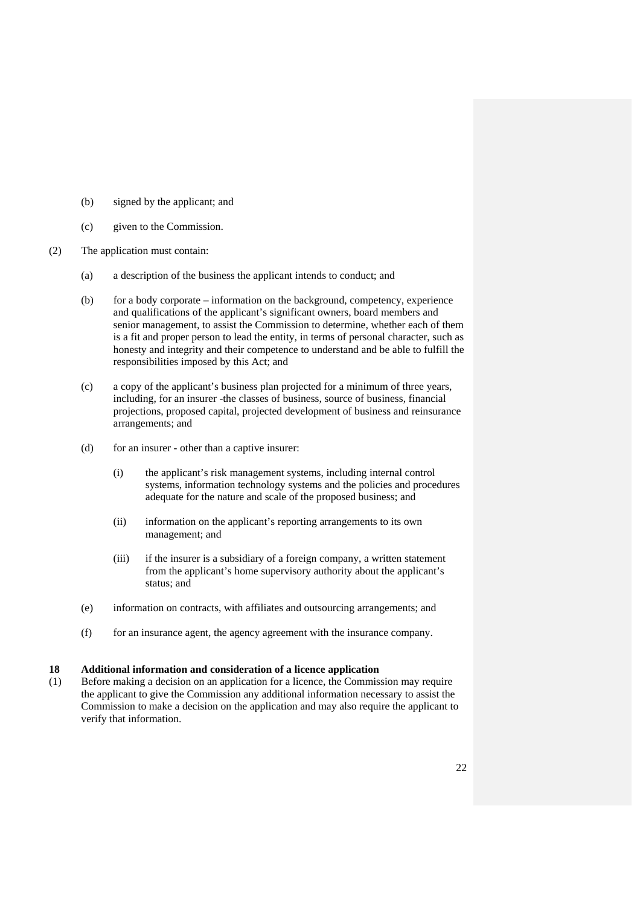- (b) signed by the applicant; and
- (c) given to the Commission.
- (2) The application must contain:
	- (a) a description of the business the applicant intends to conduct; and
	- (b) for a body corporate information on the background, competency, experience and qualifications of the applicant's significant owners, board members and senior management, to assist the Commission to determine, whether each of them is a fit and proper person to lead the entity, in terms of personal character, such as honesty and integrity and their competence to understand and be able to fulfill the responsibilities imposed by this Act; and
	- (c) a copy of the applicant's business plan projected for a minimum of three years, including, for an insurer -the classes of business, source of business, financial projections, proposed capital, projected development of business and reinsurance arrangements; and
	- (d) for an insurer other than a captive insurer:
		- (i) the applicant's risk management systems, including internal control systems, information technology systems and the policies and procedures adequate for the nature and scale of the proposed business; and
		- (ii) information on the applicant's reporting arrangements to its own management; and
		- (iii) if the insurer is a subsidiary of a foreign company, a written statement from the applicant's home supervisory authority about the applicant's status; and
	- (e) information on contracts, with affiliates and outsourcing arrangements; and
	- (f) for an insurance agent, the agency agreement with the insurance company.

### **18 Additional information and consideration of a licence application**

(1) Before making a decision on an application for a licence, the Commission may require the applicant to give the Commission any additional information necessary to assist the Commission to make a decision on the application and may also require the applicant to verify that information.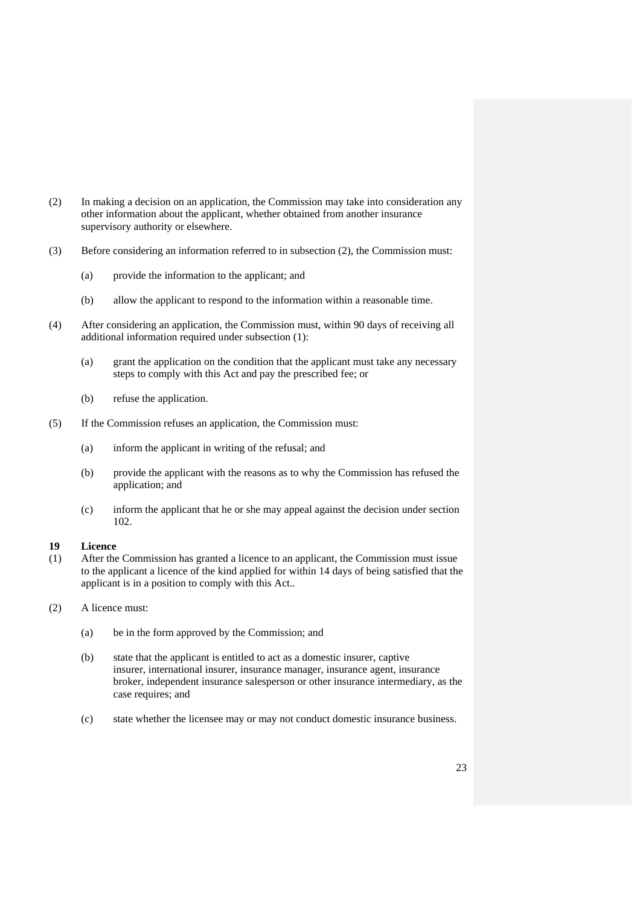- (2) In making a decision on an application, the Commission may take into consideration any other information about the applicant, whether obtained from another insurance supervisory authority or elsewhere.
- (3) Before considering an information referred to in subsection (2), the Commission must:
	- (a) provide the information to the applicant; and
	- (b) allow the applicant to respond to the information within a reasonable time.
- (4) After considering an application, the Commission must, within 90 days of receiving all additional information required under subsection (1):
	- (a) grant the application on the condition that the applicant must take any necessary steps to comply with this Act and pay the prescribed fee; or
	- (b) refuse the application.
- (5) If the Commission refuses an application, the Commission must:
	- (a) inform the applicant in writing of the refusal; and
	- (b) provide the applicant with the reasons as to why the Commission has refused the application; and
	- (c) inform the applicant that he or she may appeal against the decision under section 102.

# **19 Licence**

- (1) After the Commission has granted a licence to an applicant, the Commission must issue to the applicant a licence of the kind applied for within 14 days of being satisfied that the applicant is in a position to comply with this Act..
- (2) A licence must:
	- (a) be in the form approved by the Commission; and
	- (b) state that the applicant is entitled to act as a domestic insurer, captive insurer, international insurer, insurance manager, insurance agent, insurance broker, independent insurance salesperson or other insurance intermediary, as the case requires; and
	- (c) state whether the licensee may or may not conduct domestic insurance business.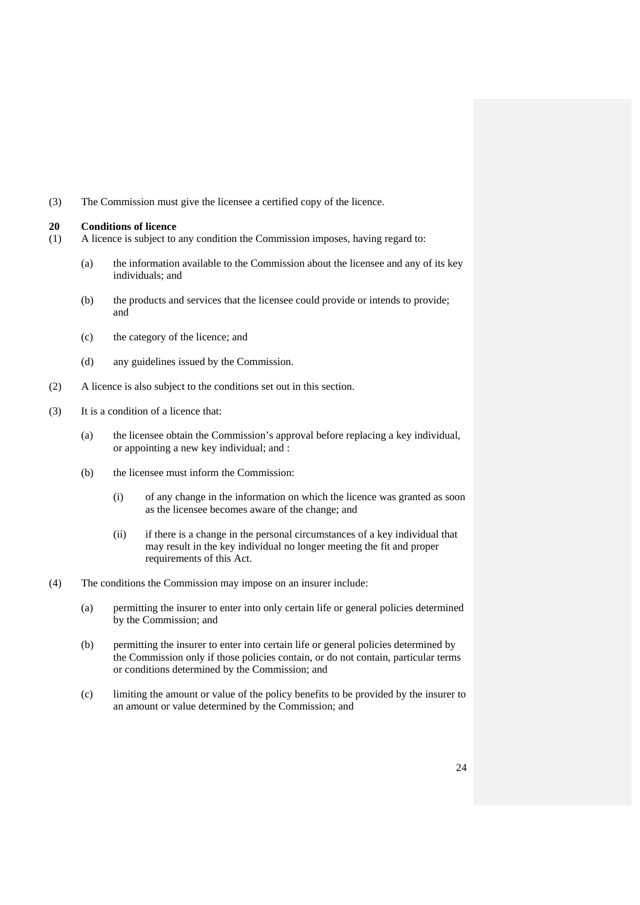(3) The Commission must give the licensee a certified copy of the licence.

#### **20 Conditions of licence**

- (1) A licence is subject to any condition the Commission imposes, having regard to:
	- (a) the information available to the Commission about the licensee and any of its key individuals; and
	- (b) the products and services that the licensee could provide or intends to provide; and
	- (c) the category of the licence; and
	- (d) any guidelines issued by the Commission.
- (2) A licence is also subject to the conditions set out in this section.
- (3) It is a condition of a licence that:
	- (a) the licensee obtain the Commission's approval before replacing a key individual, or appointing a new key individual; and :
	- (b) the licensee must inform the Commission:
		- (i) of any change in the information on which the licence was granted as soon as the licensee becomes aware of the change; and
		- (ii) if there is a change in the personal circumstances of a key individual that may result in the key individual no longer meeting the fit and proper requirements of this Act.
- (4) The conditions the Commission may impose on an insurer include:
	- (a) permitting the insurer to enter into only certain life or general policies determined by the Commission; and
	- (b) permitting the insurer to enter into certain life or general policies determined by the Commission only if those policies contain, or do not contain, particular terms or conditions determined by the Commission; and
	- (c) limiting the amount or value of the policy benefits to be provided by the insurer to an amount or value determined by the Commission; and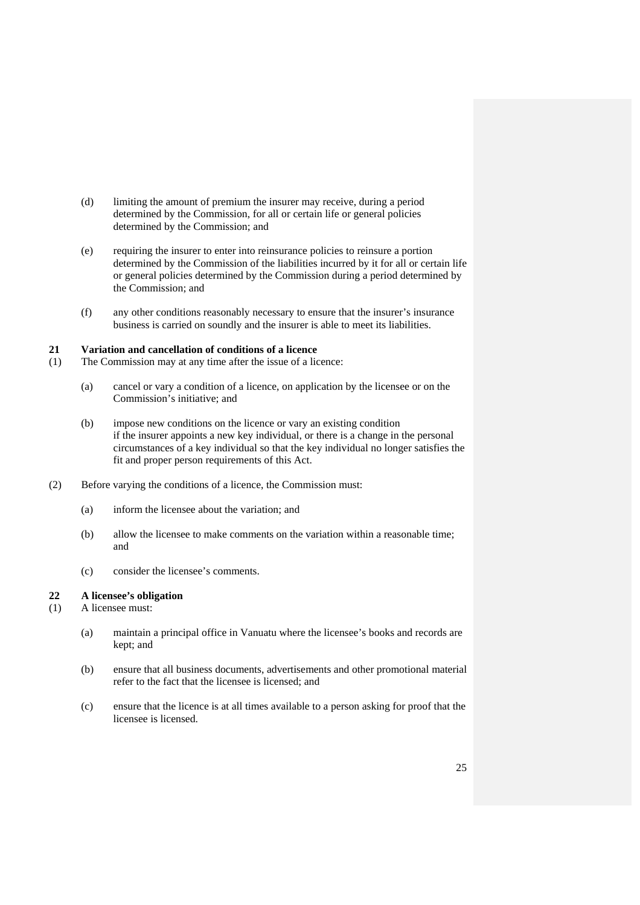- (d) limiting the amount of premium the insurer may receive, during a period determined by the Commission, for all or certain life or general policies determined by the Commission; and
- (e) requiring the insurer to enter into reinsurance policies to reinsure a portion determined by the Commission of the liabilities incurred by it for all or certain life or general policies determined by the Commission during a period determined by the Commission; and
- (f) any other conditions reasonably necessary to ensure that the insurer's insurance business is carried on soundly and the insurer is able to meet its liabilities.

#### **21 Variation and cancellation of conditions of a licence**

- (1) The Commission may at any time after the issue of a licence:
	- (a) cancel or vary a condition of a licence, on application by the licensee or on the Commission's initiative; and
	- (b) impose new conditions on the licence or vary an existing condition if the insurer appoints a new key individual, or there is a change in the personal circumstances of a key individual so that the key individual no longer satisfies the fit and proper person requirements of this Act.
- (2) Before varying the conditions of a licence, the Commission must:
	- (a) inform the licensee about the variation; and
	- (b) allow the licensee to make comments on the variation within a reasonable time; and
	- (c) consider the licensee's comments.

# **22 A licensee's obligation**

- (1) A licensee must:
	- (a) maintain a principal office in Vanuatu where the licensee's books and records are kept; and
	- (b) ensure that all business documents, advertisements and other promotional material refer to the fact that the licensee is licensed; and
	- (c) ensure that the licence is at all times available to a person asking for proof that the licensee is licensed.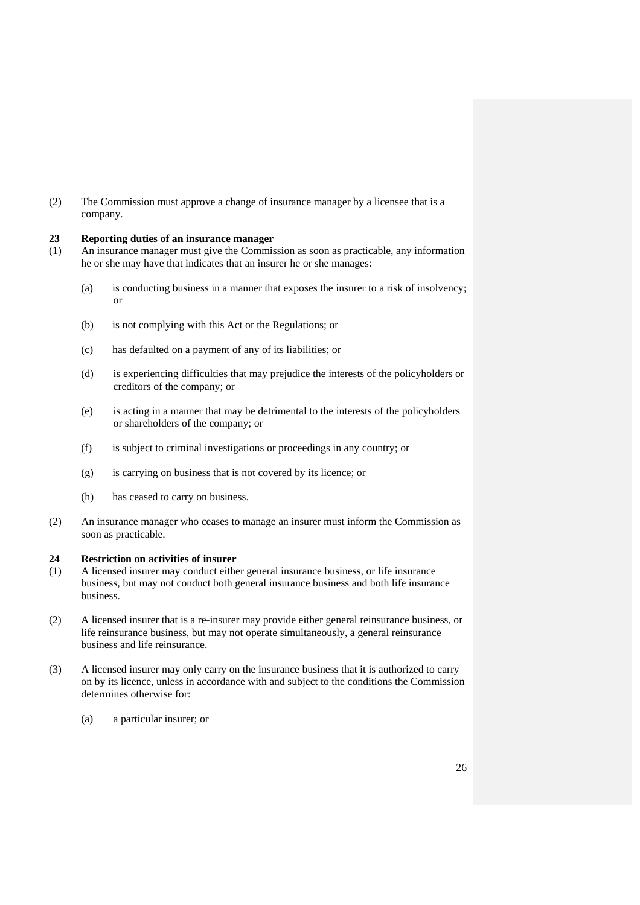(2) The Commission must approve a change of insurance manager by a licensee that is a company.

# **23 Reporting duties of an insurance manager**

- (1) An insurance manager must give the Commission as soon as practicable, any information he or she may have that indicates that an insurer he or she manages:
	- (a) is conducting business in a manner that exposes the insurer to a risk of insolvency; or
	- (b) is not complying with this Act or the Regulations; or
	- (c) has defaulted on a payment of any of its liabilities; or
	- (d) is experiencing difficulties that may prejudice the interests of the policyholders or creditors of the company; or
	- (e) is acting in a manner that may be detrimental to the interests of the policyholders or shareholders of the company; or
	- (f) is subject to criminal investigations or proceedings in any country; or
	- (g) is carrying on business that is not covered by its licence; or
	- (h) has ceased to carry on business.
- (2) An insurance manager who ceases to manage an insurer must inform the Commission as soon as practicable.

#### **24 Restriction on activities of insurer**

- (1) A licensed insurer may conduct either general insurance business, or life insurance business, but may not conduct both general insurance business and both life insurance business.
- (2) A licensed insurer that is a re-insurer may provide either general reinsurance business, or life reinsurance business, but may not operate simultaneously, a general reinsurance business and life reinsurance.
- (3) A licensed insurer may only carry on the insurance business that it is authorized to carry on by its licence, unless in accordance with and subject to the conditions the Commission determines otherwise for:
	- (a) a particular insurer; or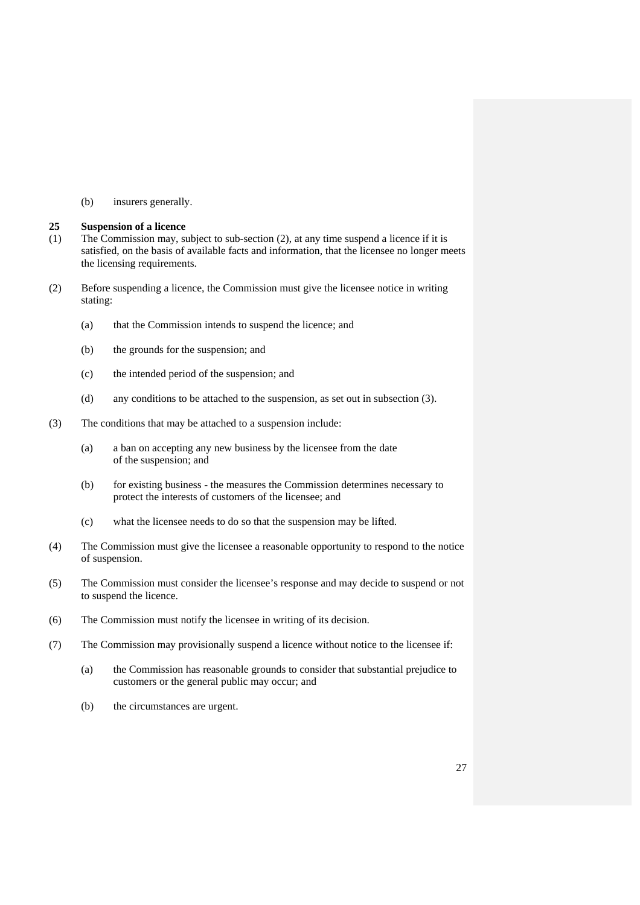(b) insurers generally.

#### **25 Suspension of a licence**

- (1) The Commission may, subject to sub-section (2), at any time suspend a licence if it is satisfied, on the basis of available facts and information, that the licensee no longer meets the licensing requirements.
- (2) Before suspending a licence, the Commission must give the licensee notice in writing stating:
	- (a) that the Commission intends to suspend the licence; and
	- (b) the grounds for the suspension; and
	- (c) the intended period of the suspension; and
	- (d) any conditions to be attached to the suspension, as set out in subsection (3).
- (3) The conditions that may be attached to a suspension include:
	- (a) a ban on accepting any new business by the licensee from the date of the suspension; and
	- (b) for existing business the measures the Commission determines necessary to protect the interests of customers of the licensee; and
	- (c) what the licensee needs to do so that the suspension may be lifted.
- (4) The Commission must give the licensee a reasonable opportunity to respond to the notice of suspension.
- (5) The Commission must consider the licensee's response and may decide to suspend or not to suspend the licence.
- (6) The Commission must notify the licensee in writing of its decision.
- (7) The Commission may provisionally suspend a licence without notice to the licensee if:
	- (a) the Commission has reasonable grounds to consider that substantial prejudice to customers or the general public may occur; and
	- (b) the circumstances are urgent.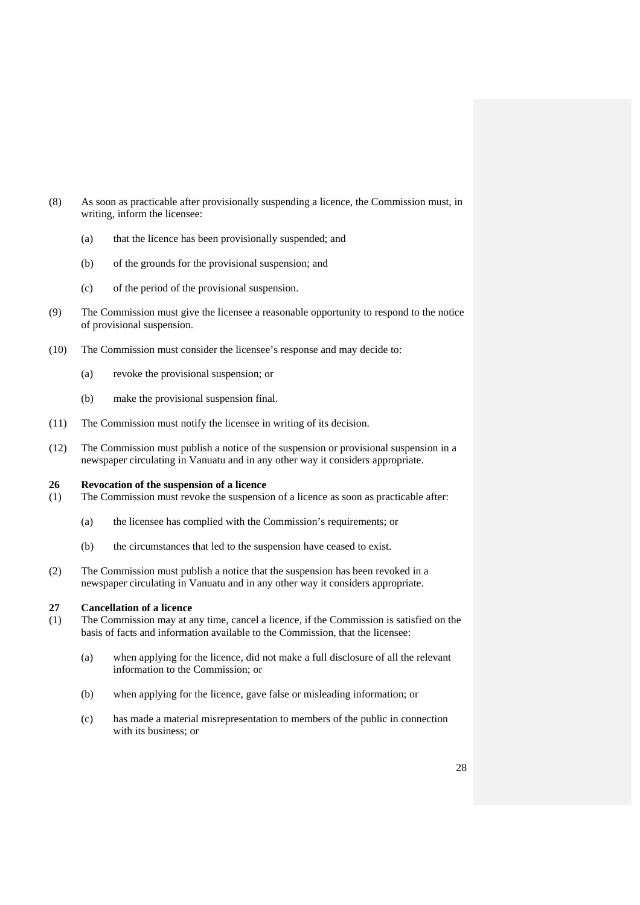- (8) As soon as practicable after provisionally suspending a licence, the Commission must, in writing, inform the licensee:
	- (a) that the licence has been provisionally suspended; and
	- (b) of the grounds for the provisional suspension; and
	- (c) of the period of the provisional suspension.
- (9) The Commission must give the licensee a reasonable opportunity to respond to the notice of provisional suspension.
- (10) The Commission must consider the licensee's response and may decide to:
	- (a) revoke the provisional suspension; or
	- (b) make the provisional suspension final.
- (11) The Commission must notify the licensee in writing of its decision.
- (12) The Commission must publish a notice of the suspension or provisional suspension in a newspaper circulating in Vanuatu and in any other way it considers appropriate.

#### **26 Revocation of the suspension of a licence**

- (1) The Commission must revoke the suspension of a licence as soon as practicable after:
	- (a) the licensee has complied with the Commission's requirements; or
	- (b) the circumstances that led to the suspension have ceased to exist.
- (2) The Commission must publish a notice that the suspension has been revoked in a newspaper circulating in Vanuatu and in any other way it considers appropriate.

# **27 Cancellation of a licence**

- (1) The Commission may at any time, cancel a licence, if the Commission is satisfied on the basis of facts and information available to the Commission, that the licensee:
	- (a) when applying for the licence, did not make a full disclosure of all the relevant information to the Commission; or
	- (b) when applying for the licence, gave false or misleading information; or
	- (c) has made a material misrepresentation to members of the public in connection with its business; or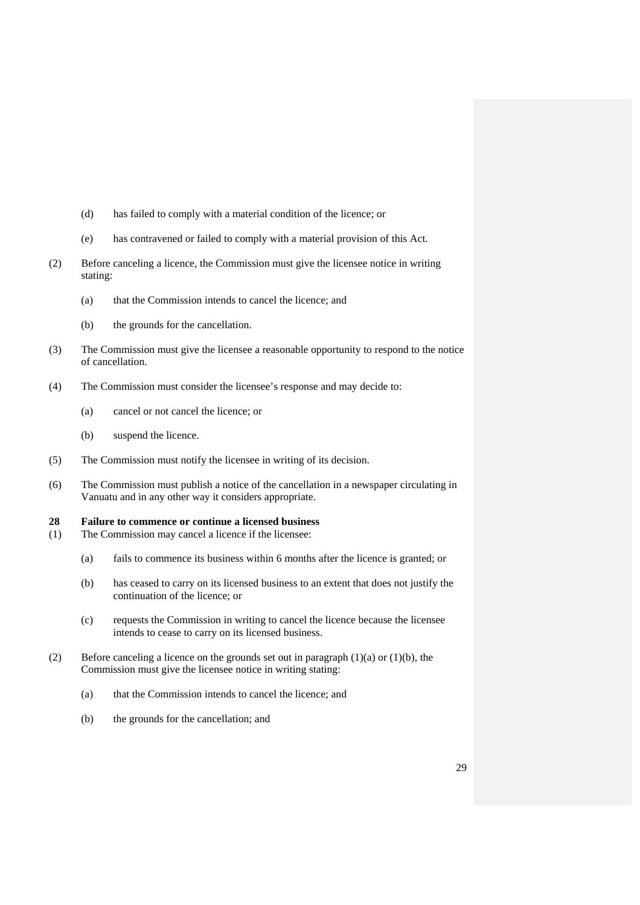- (d) has failed to comply with a material condition of the licence; or
- (e) has contravened or failed to comply with a material provision of this Act.
- (2) Before canceling a licence, the Commission must give the licensee notice in writing stating:
	- (a) that the Commission intends to cancel the licence; and
	- (b) the grounds for the cancellation.
- (3) The Commission must give the licensee a reasonable opportunity to respond to the notice of cancellation.
- (4) The Commission must consider the licensee's response and may decide to:
	- (a) cancel or not cancel the licence; or
	- (b) suspend the licence.
- (5) The Commission must notify the licensee in writing of its decision.
- (6) The Commission must publish a notice of the cancellation in a newspaper circulating in Vanuatu and in any other way it considers appropriate.

#### **28 Failure to commence or continue a licensed business**

- (1) The Commission may cancel a licence if the licensee:
	- (a) fails to commence its business within 6 months after the licence is granted; or
	- (b) has ceased to carry on its licensed business to an extent that does not justify the continuation of the licence; or
	- (c) requests the Commission in writing to cancel the licence because the licensee intends to cease to carry on its licensed business.
- (2) Before canceling a licence on the grounds set out in paragraph  $(1)(a)$  or  $(1)(b)$ , the Commission must give the licensee notice in writing stating:
	- (a) that the Commission intends to cancel the licence; and
	- (b) the grounds for the cancellation; and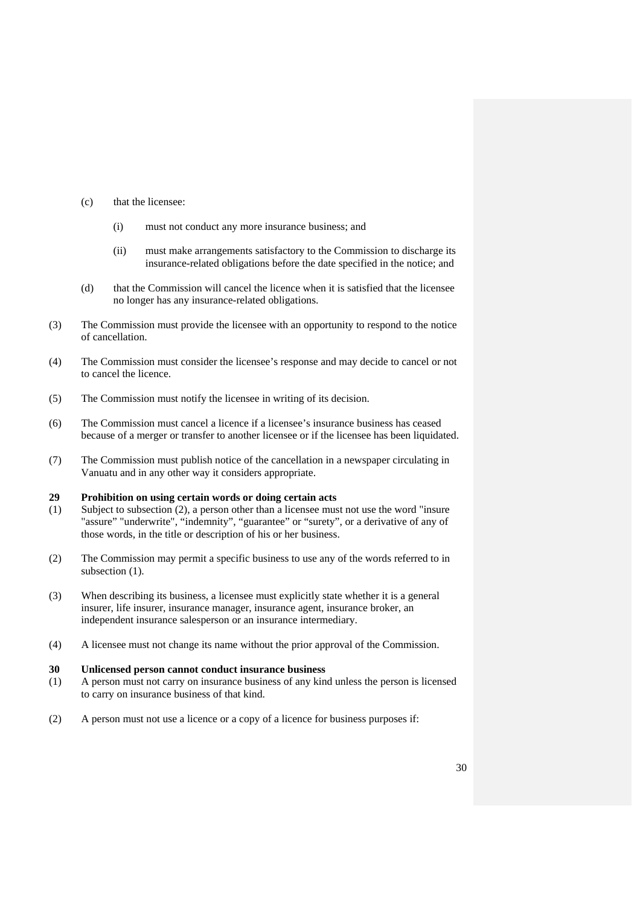- (c) that the licensee:
	- (i) must not conduct any more insurance business; and
	- (ii) must make arrangements satisfactory to the Commission to discharge its insurance-related obligations before the date specified in the notice; and
- (d) that the Commission will cancel the licence when it is satisfied that the licensee no longer has any insurance-related obligations.
- (3) The Commission must provide the licensee with an opportunity to respond to the notice of cancellation.
- (4) The Commission must consider the licensee's response and may decide to cancel or not to cancel the licence.
- (5) The Commission must notify the licensee in writing of its decision.
- (6) The Commission must cancel a licence if a licensee's insurance business has ceased because of a merger or transfer to another licensee or if the licensee has been liquidated.
- (7) The Commission must publish notice of the cancellation in a newspaper circulating in Vanuatu and in any other way it considers appropriate.

#### **29 Prohibition on using certain words or doing certain acts**

- (1) Subject to subsection (2), a person other than a licensee must not use the word "insure "assure" "underwrite", "indemnity", "guarantee" or "surety", or a derivative of any of those words, in the title or description of his or her business.
- (2) The Commission may permit a specific business to use any of the words referred to in subsection  $(1)$ .
- (3) When describing its business, a licensee must explicitly state whether it is a general insurer, life insurer, insurance manager, insurance agent, insurance broker, an independent insurance salesperson or an insurance intermediary.
- (4) A licensee must not change its name without the prior approval of the Commission.

#### **30 Unlicensed person cannot conduct insurance business**

- (1) A person must not carry on insurance business of any kind unless the person is licensed to carry on insurance business of that kind.
- (2) A person must not use a licence or a copy of a licence for business purposes if: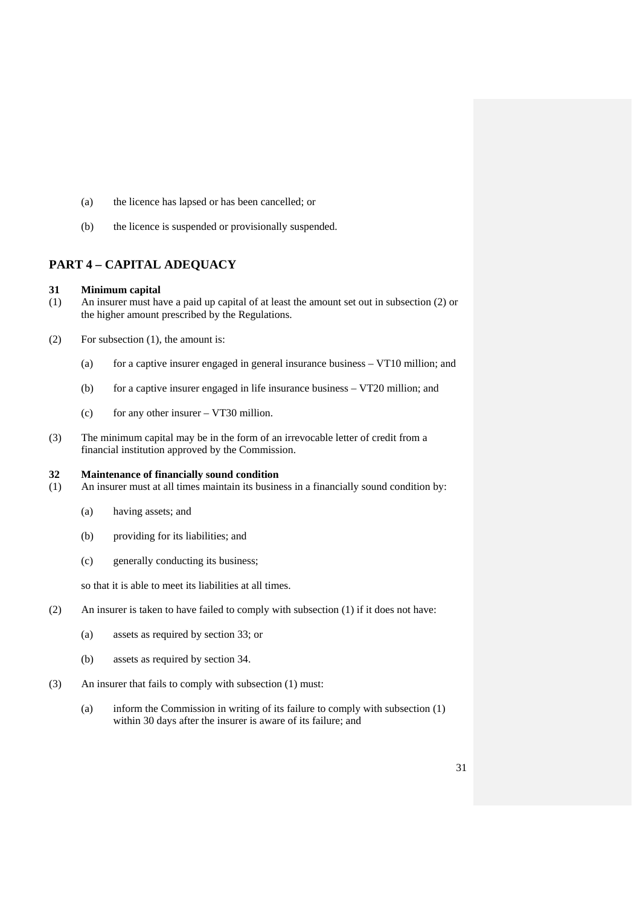- (a) the licence has lapsed or has been cancelled; or
- (b) the licence is suspended or provisionally suspended.

# **PART 4 – CAPITAL ADEQUACY**

# **31 Minimum capital**

- (1) An insurer must have a paid up capital of at least the amount set out in subsection (2) or the higher amount prescribed by the Regulations.
- (2) For subsection (1), the amount is:
	- (a) for a captive insurer engaged in general insurance business VT10 million; and
	- (b) for a captive insurer engaged in life insurance business VT20 million; and
	- (c) for any other insurer  $-$  VT30 million.
- (3) The minimum capital may be in the form of an irrevocable letter of credit from a financial institution approved by the Commission.

#### **32 Maintenance of financially sound condition**

- (1) An insurer must at all times maintain its business in a financially sound condition by:
	- (a) having assets; and
	- (b) providing for its liabilities; and
	- (c) generally conducting its business;

so that it is able to meet its liabilities at all times.

- (2) An insurer is taken to have failed to comply with subsection (1) if it does not have:
	- (a) assets as required by section 33; or
	- (b) assets as required by section 34.
- (3) An insurer that fails to comply with subsection (1) must:
	- (a) inform the Commission in writing of its failure to comply with subsection (1) within 30 days after the insurer is aware of its failure; and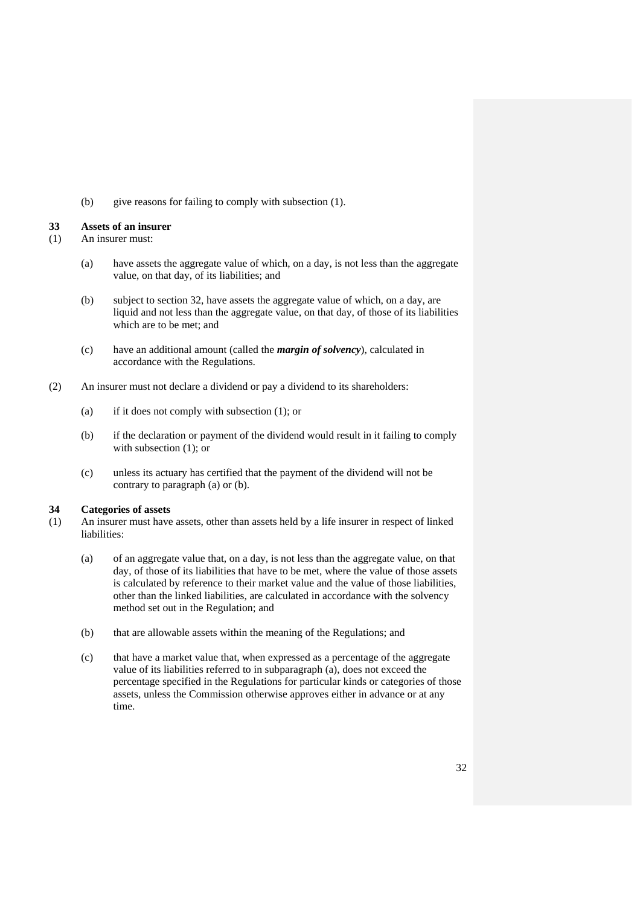(b) give reasons for failing to comply with subsection (1).

#### **33 Assets of an insurer**

- (1) An insurer must:
	- (a) have assets the aggregate value of which, on a day, is not less than the aggregate value, on that day, of its liabilities; and
	- (b) subject to section 32, have assets the aggregate value of which, on a day, are liquid and not less than the aggregate value, on that day, of those of its liabilities which are to be met; and
	- (c) have an additional amount (called the *margin of solvency*), calculated in accordance with the Regulations.
- (2) An insurer must not declare a dividend or pay a dividend to its shareholders:
	- (a) if it does not comply with subsection (1); or
	- (b) if the declaration or payment of the dividend would result in it failing to comply with subsection  $(1)$ ; or
	- (c) unless its actuary has certified that the payment of the dividend will not be contrary to paragraph (a) or (b).

#### **34 Categories of assets**

- (1) An insurer must have assets, other than assets held by a life insurer in respect of linked liabilities:
	- (a) of an aggregate value that, on a day, is not less than the aggregate value, on that day, of those of its liabilities that have to be met, where the value of those assets is calculated by reference to their market value and the value of those liabilities, other than the linked liabilities, are calculated in accordance with the solvency method set out in the Regulation; and
	- (b) that are allowable assets within the meaning of the Regulations; and
	- (c) that have a market value that, when expressed as a percentage of the aggregate value of its liabilities referred to in subparagraph (a), does not exceed the percentage specified in the Regulations for particular kinds or categories of those assets, unless the Commission otherwise approves either in advance or at any time.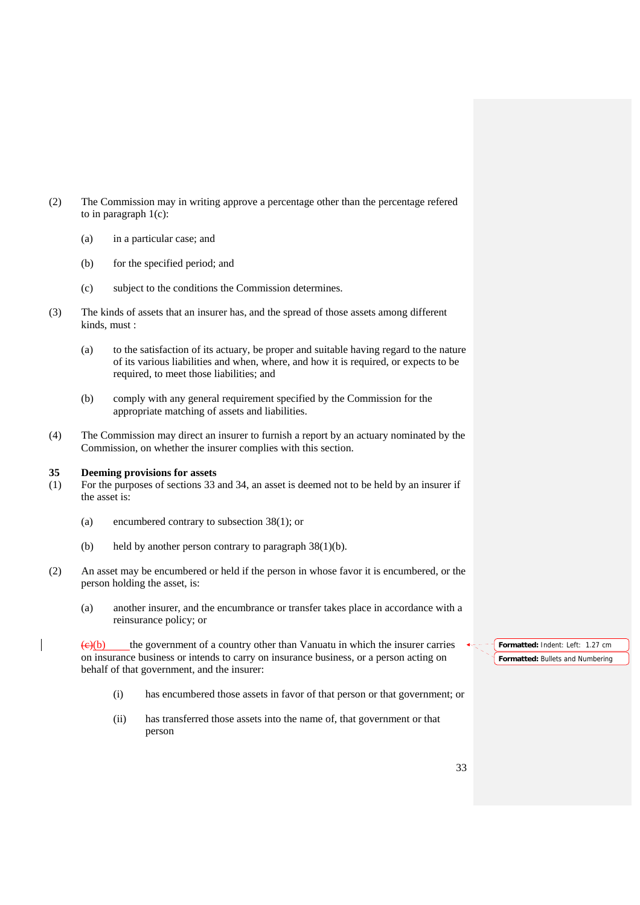- (2) The Commission may in writing approve a percentage other than the percentage refered to in paragraph  $1(c)$ :
	- (a) in a particular case; and
	- (b) for the specified period; and
	- (c) subject to the conditions the Commission determines.
- (3) The kinds of assets that an insurer has, and the spread of those assets among different kinds, must :
	- (a) to the satisfaction of its actuary, be proper and suitable having regard to the nature of its various liabilities and when, where, and how it is required, or expects to be required, to meet those liabilities; and
	- (b) comply with any general requirement specified by the Commission for the appropriate matching of assets and liabilities.
- (4) The Commission may direct an insurer to furnish a report by an actuary nominated by the Commission, on whether the insurer complies with this section.

#### **35 Deeming provisions for assets**

- (1) For the purposes of sections 33 and 34, an asset is deemed not to be held by an insurer if the asset is:
	- (a) encumbered contrary to subsection 38(1); or
	- (b) held by another person contrary to paragraph  $38(1)(b)$ .
- (2) An asset may be encumbered or held if the person in whose favor it is encumbered, or the person holding the asset, is:
	- (a) another insurer, and the encumbrance or transfer takes place in accordance with a reinsurance policy; or

 $\left(\frac{e}{c}\right)$  the government of a country other than Vanuatu in which the insurer carries on insurance business or intends to carry on insurance business, or a person acting on behalf of that government, and the insurer:

- (i) has encumbered those assets in favor of that person or that government; or
- (ii) has transferred those assets into the name of, that government or that person

**Formatted:** Indent: Left: 1.27 cm **Formatted:** Bullets and Numbering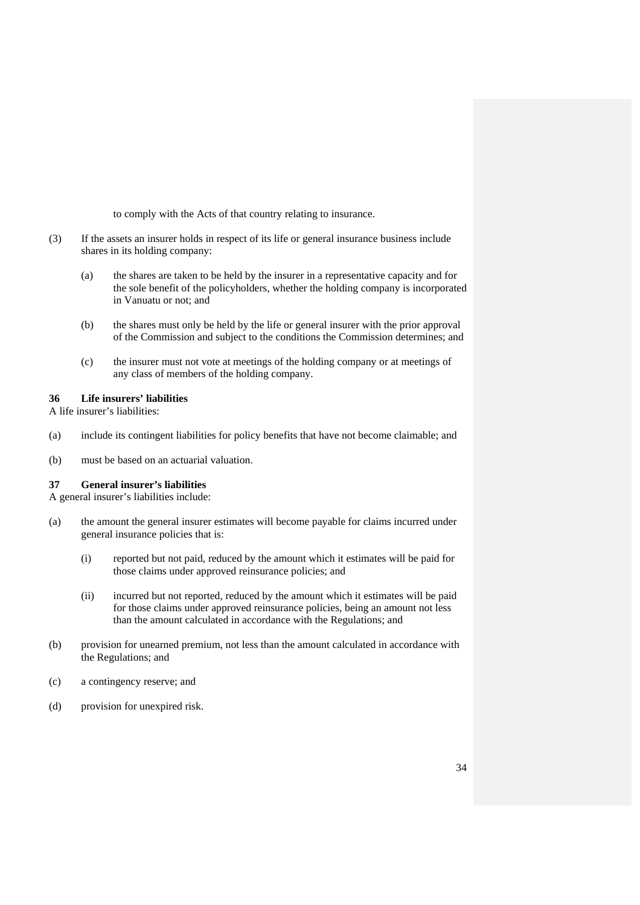to comply with the Acts of that country relating to insurance.

- (3) If the assets an insurer holds in respect of its life or general insurance business include shares in its holding company:
	- (a) the shares are taken to be held by the insurer in a representative capacity and for the sole benefit of the policyholders, whether the holding company is incorporated in Vanuatu or not; and
	- (b) the shares must only be held by the life or general insurer with the prior approval of the Commission and subject to the conditions the Commission determines; and
	- (c) the insurer must not vote at meetings of the holding company or at meetings of any class of members of the holding company.

## **36 Life insurers' liabilities**

A life insurer's liabilities:

- (a) include its contingent liabilities for policy benefits that have not become claimable; and
- (b) must be based on an actuarial valuation.

#### **37 General insurer's liabilities**

A general insurer's liabilities include:

- (a) the amount the general insurer estimates will become payable for claims incurred under general insurance policies that is:
	- (i) reported but not paid, reduced by the amount which it estimates will be paid for those claims under approved reinsurance policies; and
	- (ii) incurred but not reported, reduced by the amount which it estimates will be paid for those claims under approved reinsurance policies, being an amount not less than the amount calculated in accordance with the Regulations; and
- (b) provision for unearned premium, not less than the amount calculated in accordance with the Regulations; and
- (c) a contingency reserve; and
- (d) provision for unexpired risk.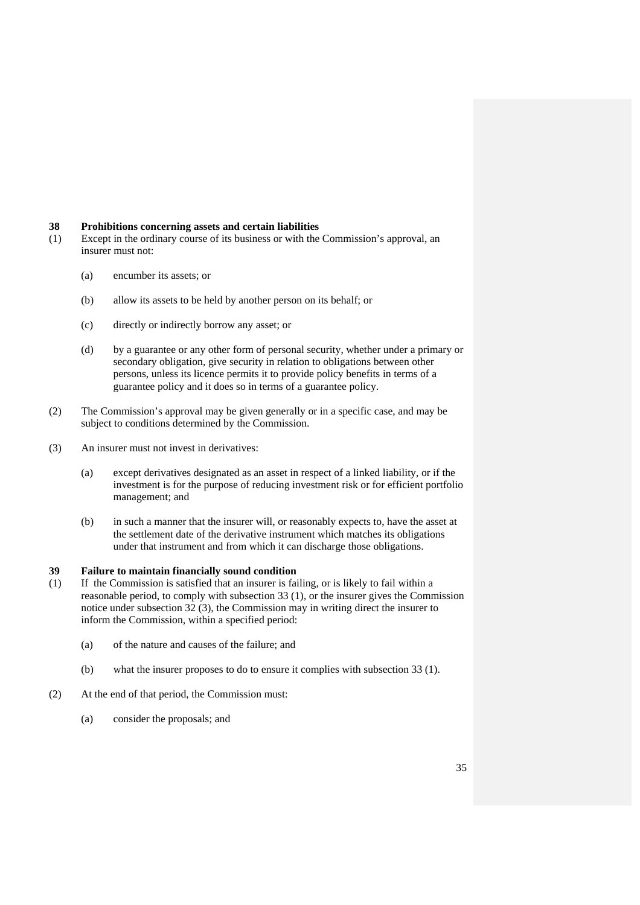#### **38 Prohibitions concerning assets and certain liabilities**

- (1) Except in the ordinary course of its business or with the Commission's approval, an insurer must not:
	- (a) encumber its assets; or
	- (b) allow its assets to be held by another person on its behalf; or
	- (c) directly or indirectly borrow any asset; or
	- (d) by a guarantee or any other form of personal security, whether under a primary or secondary obligation, give security in relation to obligations between other persons, unless its licence permits it to provide policy benefits in terms of a guarantee policy and it does so in terms of a guarantee policy.
- (2) The Commission's approval may be given generally or in a specific case, and may be subject to conditions determined by the Commission.
- (3) An insurer must not invest in derivatives:
	- (a) except derivatives designated as an asset in respect of a linked liability, or if the investment is for the purpose of reducing investment risk or for efficient portfolio management; and
	- (b) in such a manner that the insurer will, or reasonably expects to, have the asset at the settlement date of the derivative instrument which matches its obligations under that instrument and from which it can discharge those obligations.

# **39 Failure to maintain financially sound condition**

- (1) If the Commission is satisfied that an insurer is failing, or is likely to fail within a reasonable period, to comply with subsection 33 (1), or the insurer gives the Commission notice under subsection 32 (3), the Commission may in writing direct the insurer to inform the Commission, within a specified period:
	- (a) of the nature and causes of the failure; and
	- (b) what the insurer proposes to do to ensure it complies with subsection 33 (1).
- (2) At the end of that period, the Commission must:
	- (a) consider the proposals; and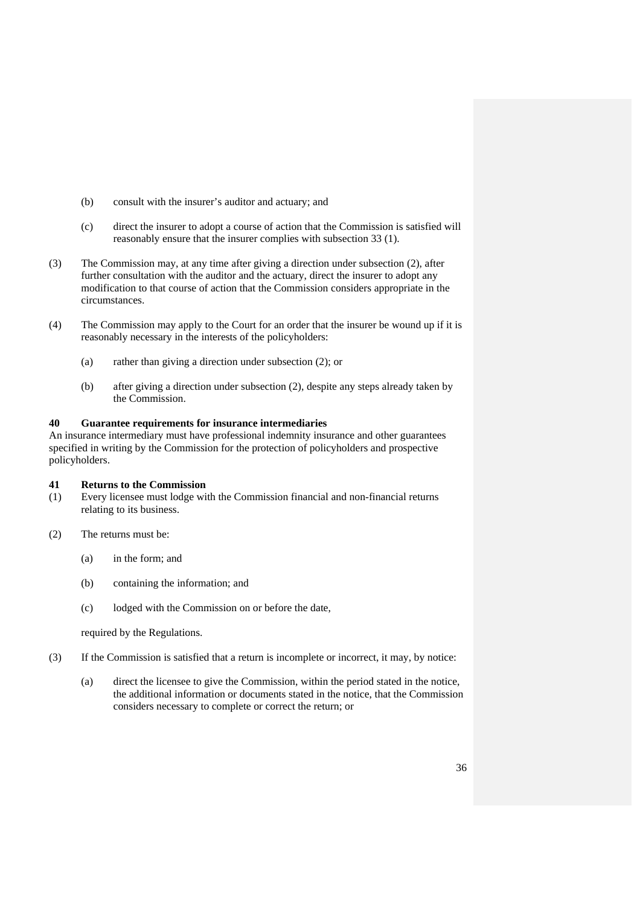- (b) consult with the insurer's auditor and actuary; and
- (c) direct the insurer to adopt a course of action that the Commission is satisfied will reasonably ensure that the insurer complies with subsection 33 (1).
- (3) The Commission may, at any time after giving a direction under subsection (2), after further consultation with the auditor and the actuary, direct the insurer to adopt any modification to that course of action that the Commission considers appropriate in the circumstances.
- (4) The Commission may apply to the Court for an order that the insurer be wound up if it is reasonably necessary in the interests of the policyholders:
	- (a) rather than giving a direction under subsection (2); or
	- (b) after giving a direction under subsection (2), despite any steps already taken by the Commission.

## **40 Guarantee requirements for insurance intermediaries**

An insurance intermediary must have professional indemnity insurance and other guarantees specified in writing by the Commission for the protection of policyholders and prospective policyholders.

#### **41 Returns to the Commission**

- (1) Every licensee must lodge with the Commission financial and non-financial returns relating to its business.
- (2) The returns must be:
	- (a) in the form; and
	- (b) containing the information; and
	- (c) lodged with the Commission on or before the date,

required by the Regulations.

- (3) If the Commission is satisfied that a return is incomplete or incorrect, it may, by notice:
	- (a) direct the licensee to give the Commission, within the period stated in the notice, the additional information or documents stated in the notice, that the Commission considers necessary to complete or correct the return; or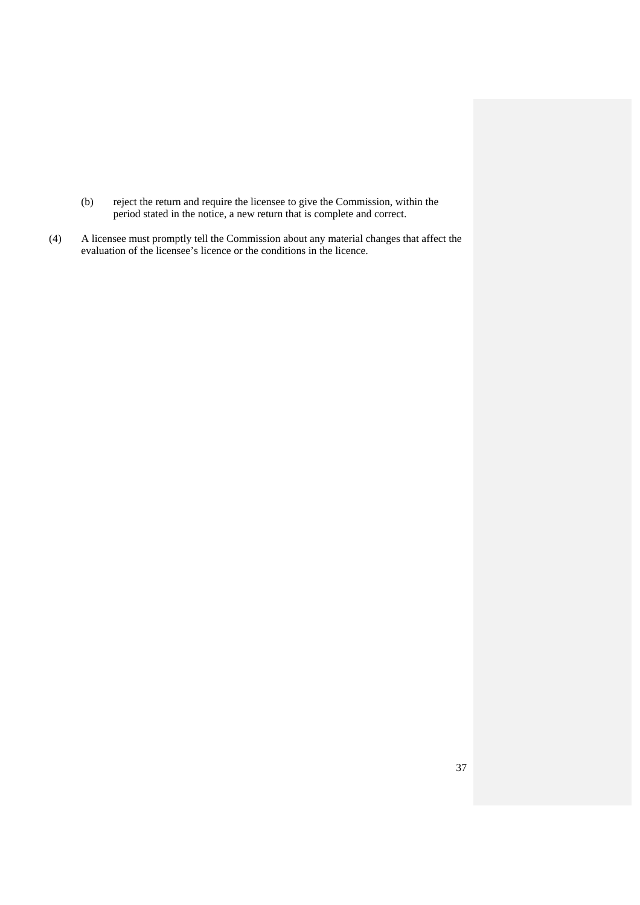- (b) reject the return and require the licensee to give the Commission, within the period stated in the notice, a new return that is complete and correct.
- (4) A licensee must promptly tell the Commission about any material changes that affect the evaluation of the licensee's licence or the conditions in the licence.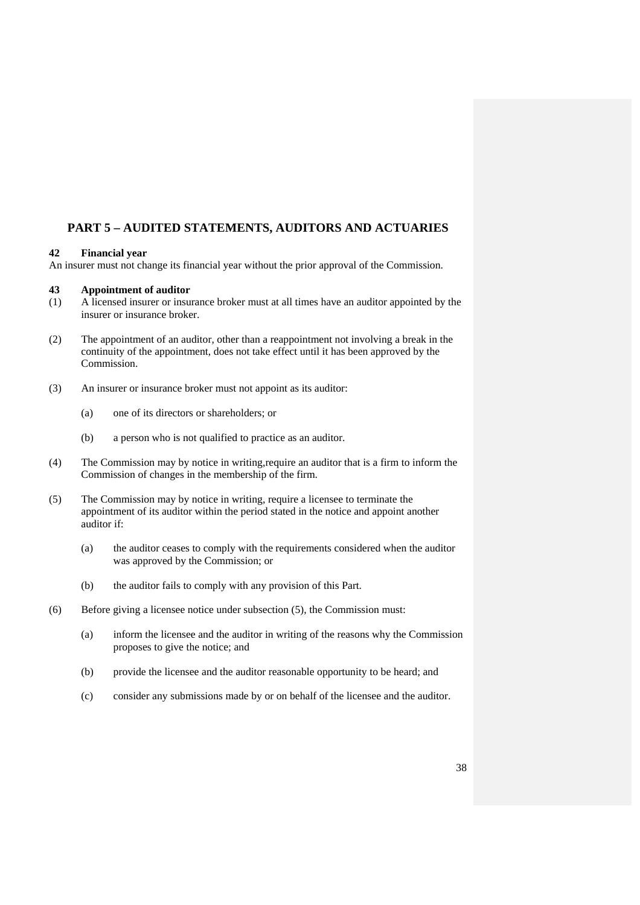# **PART 5 – AUDITED STATEMENTS, AUDITORS AND ACTUARIES**

## **42 Financial year**

An insurer must not change its financial year without the prior approval of the Commission.

## **43 Appointment of auditor**

- (1) A licensed insurer or insurance broker must at all times have an auditor appointed by the insurer or insurance broker.
- (2) The appointment of an auditor, other than a reappointment not involving a break in the continuity of the appointment, does not take effect until it has been approved by the Commission.
- (3) An insurer or insurance broker must not appoint as its auditor:
	- (a) one of its directors or shareholders; or
	- (b) a person who is not qualified to practice as an auditor.
- (4) The Commission may by notice in writing,require an auditor that is a firm to inform the Commission of changes in the membership of the firm.
- (5) The Commission may by notice in writing, require a licensee to terminate the appointment of its auditor within the period stated in the notice and appoint another auditor if:
	- (a) the auditor ceases to comply with the requirements considered when the auditor was approved by the Commission; or
	- (b) the auditor fails to comply with any provision of this Part.
- (6) Before giving a licensee notice under subsection (5), the Commission must:
	- (a) inform the licensee and the auditor in writing of the reasons why the Commission proposes to give the notice; and
	- (b) provide the licensee and the auditor reasonable opportunity to be heard; and
	- (c) consider any submissions made by or on behalf of the licensee and the auditor.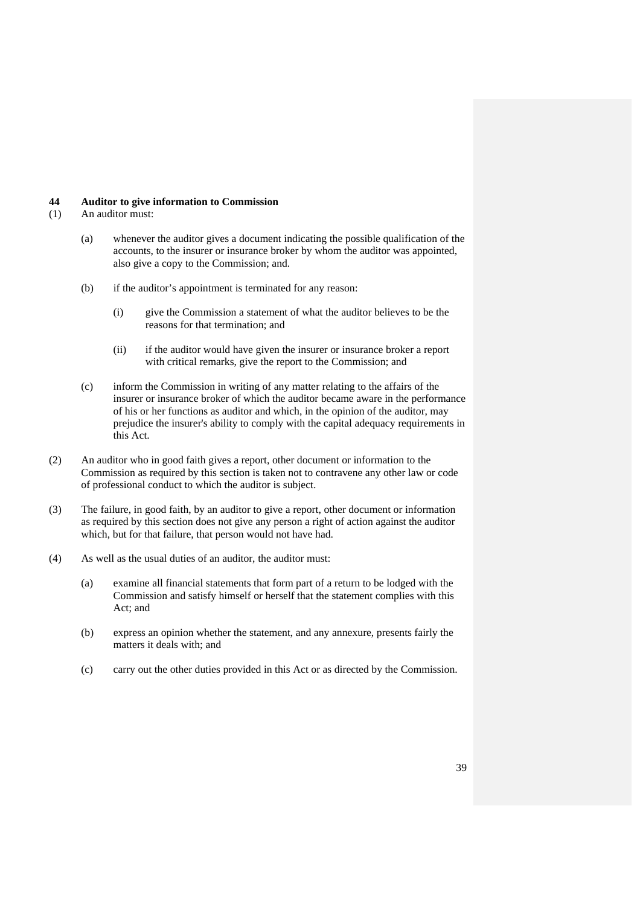#### **44 Auditor to give information to Commission**

- (1) An auditor must:
	- (a) whenever the auditor gives a document indicating the possible qualification of the accounts, to the insurer or insurance broker by whom the auditor was appointed, also give a copy to the Commission; and.
	- (b) if the auditor's appointment is terminated for any reason:
		- (i) give the Commission a statement of what the auditor believes to be the reasons for that termination; and
		- (ii) if the auditor would have given the insurer or insurance broker a report with critical remarks, give the report to the Commission; and
	- (c) inform the Commission in writing of any matter relating to the affairs of the insurer or insurance broker of which the auditor became aware in the performance of his or her functions as auditor and which, in the opinion of the auditor, may prejudice the insurer's ability to comply with the capital adequacy requirements in this Act.
- (2) An auditor who in good faith gives a report, other document or information to the Commission as required by this section is taken not to contravene any other law or code of professional conduct to which the auditor is subject.
- (3) The failure, in good faith, by an auditor to give a report, other document or information as required by this section does not give any person a right of action against the auditor which, but for that failure, that person would not have had.
- (4) As well as the usual duties of an auditor, the auditor must:
	- (a) examine all financial statements that form part of a return to be lodged with the Commission and satisfy himself or herself that the statement complies with this Act; and
	- (b) express an opinion whether the statement, and any annexure, presents fairly the matters it deals with; and
	- (c) carry out the other duties provided in this Act or as directed by the Commission.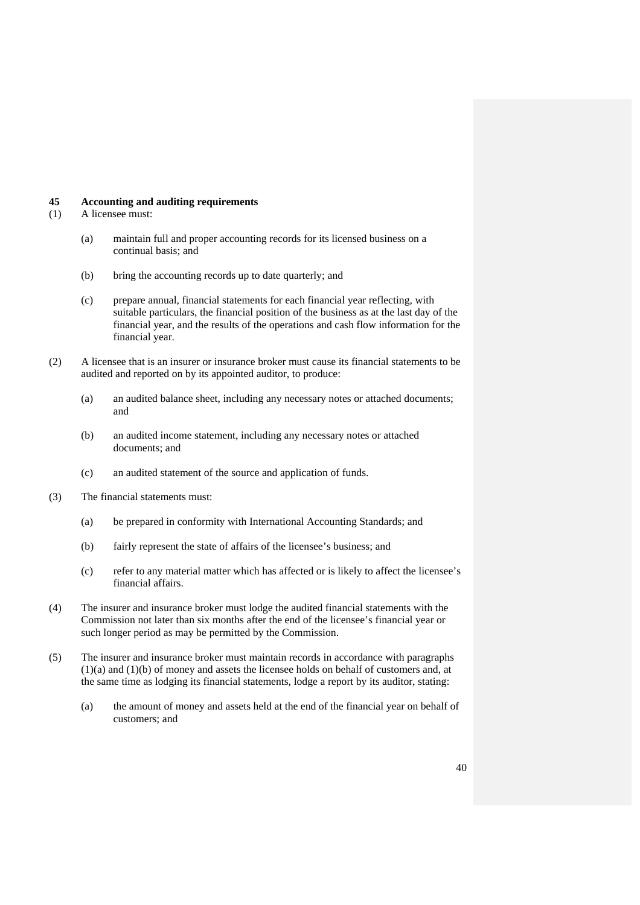#### **45 Accounting and auditing requirements**

- (1) A licensee must:
	- (a) maintain full and proper accounting records for its licensed business on a continual basis; and
	- (b) bring the accounting records up to date quarterly; and
	- (c) prepare annual, financial statements for each financial year reflecting, with suitable particulars, the financial position of the business as at the last day of the financial year, and the results of the operations and cash flow information for the financial year.
- (2) A licensee that is an insurer or insurance broker must cause its financial statements to be audited and reported on by its appointed auditor, to produce:
	- (a) an audited balance sheet, including any necessary notes or attached documents; and
	- (b) an audited income statement, including any necessary notes or attached documents; and
	- (c) an audited statement of the source and application of funds.
- (3) The financial statements must:
	- (a) be prepared in conformity with International Accounting Standards; and
	- (b) fairly represent the state of affairs of the licensee's business; and
	- (c) refer to any material matter which has affected or is likely to affect the licensee's financial affairs.
- (4) The insurer and insurance broker must lodge the audited financial statements with the Commission not later than six months after the end of the licensee's financial year or such longer period as may be permitted by the Commission.
- (5) The insurer and insurance broker must maintain records in accordance with paragraphs (1)(a) and (1)(b) of money and assets the licensee holds on behalf of customers and, at the same time as lodging its financial statements, lodge a report by its auditor, stating:
	- (a) the amount of money and assets held at the end of the financial year on behalf of customers; and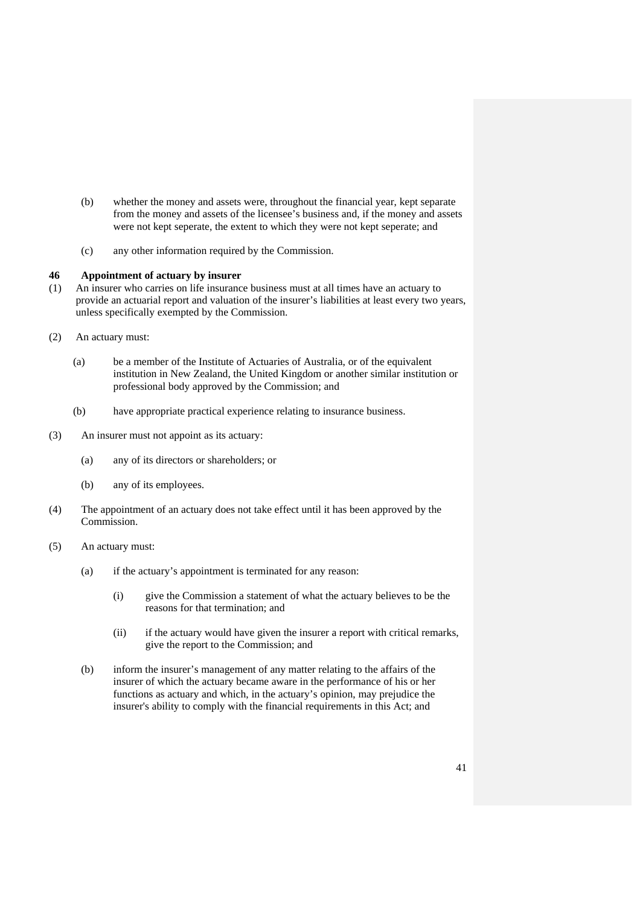- (b) whether the money and assets were, throughout the financial year, kept separate from the money and assets of the licensee's business and, if the money and assets were not kept seperate, the extent to which they were not kept seperate; and
- (c) any other information required by the Commission.

## **46 Appointment of actuary by insurer**

- (1) An insurer who carries on life insurance business must at all times have an actuary to provide an actuarial report and valuation of the insurer's liabilities at least every two years, unless specifically exempted by the Commission.
- (2) An actuary must:
	- (a) be a member of the Institute of Actuaries of Australia, or of the equivalent institution in New Zealand, the United Kingdom or another similar institution or professional body approved by the Commission; and
	- (b) have appropriate practical experience relating to insurance business.
- (3) An insurer must not appoint as its actuary:
	- (a) any of its directors or shareholders; or
	- (b) any of its employees.
- (4) The appointment of an actuary does not take effect until it has been approved by the Commission.
- (5) An actuary must:
	- (a) if the actuary's appointment is terminated for any reason:
		- (i) give the Commission a statement of what the actuary believes to be the reasons for that termination; and
		- (ii) if the actuary would have given the insurer a report with critical remarks, give the report to the Commission; and
	- (b) inform the insurer's management of any matter relating to the affairs of the insurer of which the actuary became aware in the performance of his or her functions as actuary and which, in the actuary's opinion, may prejudice the insurer's ability to comply with the financial requirements in this Act; and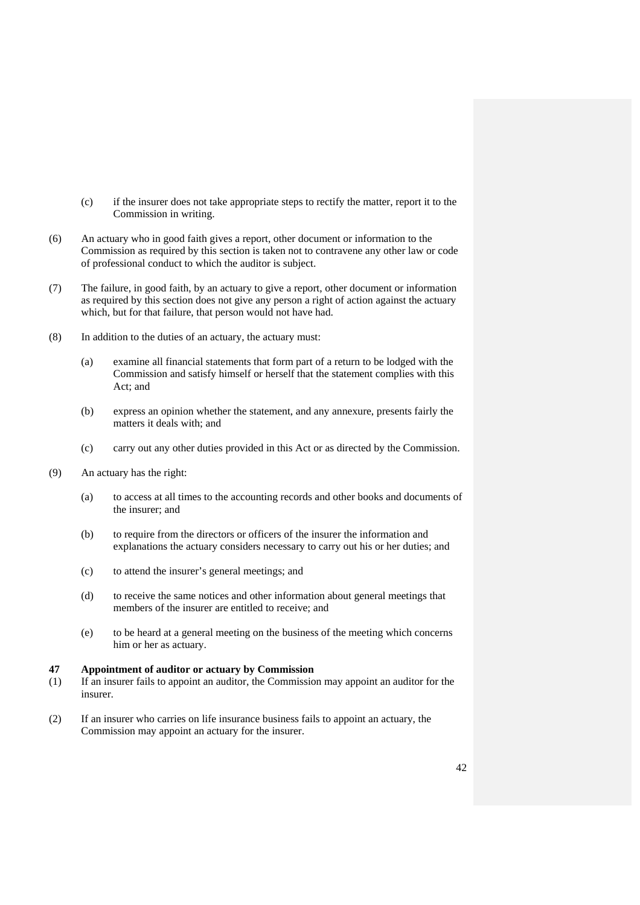- (c) if the insurer does not take appropriate steps to rectify the matter, report it to the Commission in writing.
- (6) An actuary who in good faith gives a report, other document or information to the Commission as required by this section is taken not to contravene any other law or code of professional conduct to which the auditor is subject.
- (7) The failure, in good faith, by an actuary to give a report, other document or information as required by this section does not give any person a right of action against the actuary which, but for that failure, that person would not have had.
- (8) In addition to the duties of an actuary, the actuary must:
	- (a) examine all financial statements that form part of a return to be lodged with the Commission and satisfy himself or herself that the statement complies with this Act; and
	- (b) express an opinion whether the statement, and any annexure, presents fairly the matters it deals with; and
	- (c) carry out any other duties provided in this Act or as directed by the Commission.
- (9) An actuary has the right:
	- (a) to access at all times to the accounting records and other books and documents of the insurer; and
	- (b) to require from the directors or officers of the insurer the information and explanations the actuary considers necessary to carry out his or her duties; and
	- (c) to attend the insurer's general meetings; and
	- (d) to receive the same notices and other information about general meetings that members of the insurer are entitled to receive; and
	- (e) to be heard at a general meeting on the business of the meeting which concerns him or her as actuary.

## **47 Appointment of auditor or actuary by Commission**

- (1) If an insurer fails to appoint an auditor, the Commission may appoint an auditor for the insurer.
- (2) If an insurer who carries on life insurance business fails to appoint an actuary, the Commission may appoint an actuary for the insurer.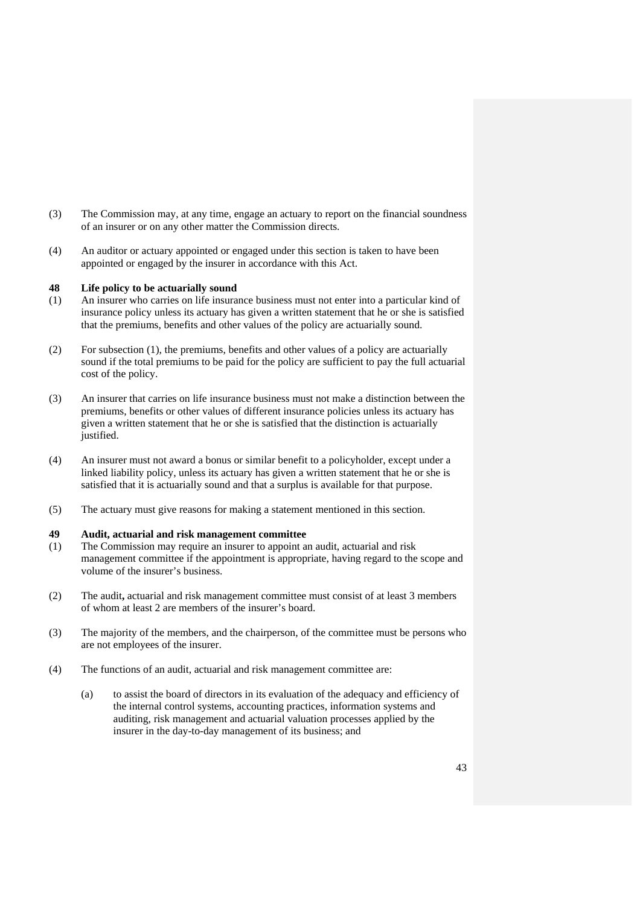- (3) The Commission may, at any time, engage an actuary to report on the financial soundness of an insurer or on any other matter the Commission directs.
- (4) An auditor or actuary appointed or engaged under this section is taken to have been appointed or engaged by the insurer in accordance with this Act.

#### **48 Life policy to be actuarially sound**

- (1) An insurer who carries on life insurance business must not enter into a particular kind of insurance policy unless its actuary has given a written statement that he or she is satisfied that the premiums, benefits and other values of the policy are actuarially sound.
- (2) For subsection (1), the premiums, benefits and other values of a policy are actuarially sound if the total premiums to be paid for the policy are sufficient to pay the full actuarial cost of the policy.
- (3) An insurer that carries on life insurance business must not make a distinction between the premiums, benefits or other values of different insurance policies unless its actuary has given a written statement that he or she is satisfied that the distinction is actuarially justified.
- (4) An insurer must not award a bonus or similar benefit to a policyholder, except under a linked liability policy, unless its actuary has given a written statement that he or she is satisfied that it is actuarially sound and that a surplus is available for that purpose.
- (5) The actuary must give reasons for making a statement mentioned in this section.

### **49 Audit, actuarial and risk management committee**

- (1) The Commission may require an insurer to appoint an audit, actuarial and risk management committee if the appointment is appropriate, having regard to the scope and volume of the insurer's business.
- (2) The audit**,** actuarial and risk management committee must consist of at least 3 members of whom at least 2 are members of the insurer's board.
- (3) The majority of the members, and the chairperson, of the committee must be persons who are not employees of the insurer.
- (4) The functions of an audit, actuarial and risk management committee are:
	- (a) to assist the board of directors in its evaluation of the adequacy and efficiency of the internal control systems, accounting practices, information systems and auditing, risk management and actuarial valuation processes applied by the insurer in the day-to-day management of its business; and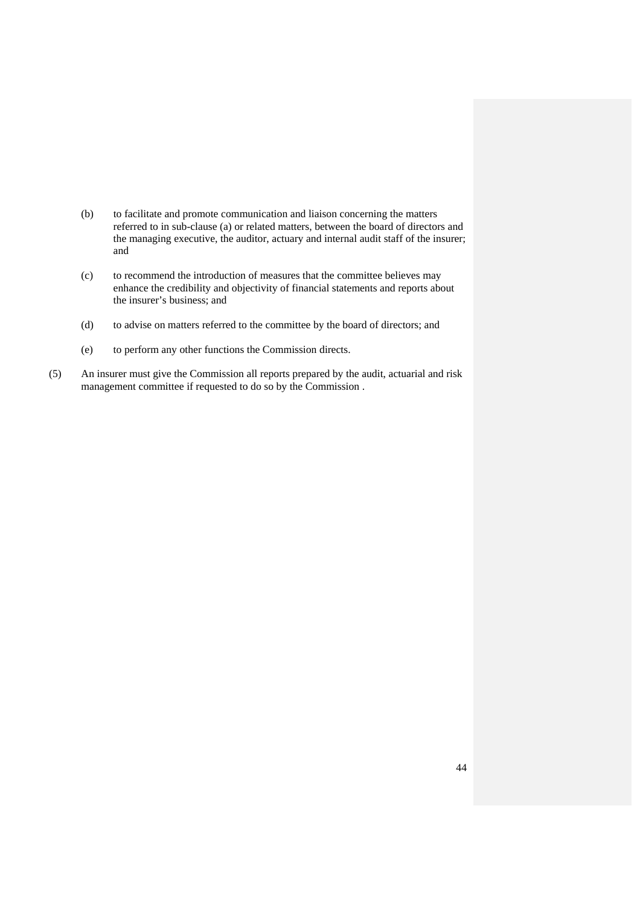- (b) to facilitate and promote communication and liaison concerning the matters referred to in sub-clause (a) or related matters, between the board of directors and the managing executive, the auditor, actuary and internal audit staff of the insurer; and
- (c) to recommend the introduction of measures that the committee believes may enhance the credibility and objectivity of financial statements and reports about the insurer's business; and
- (d) to advise on matters referred to the committee by the board of directors; and
- (e) to perform any other functions the Commission directs.
- (5) An insurer must give the Commission all reports prepared by the audit, actuarial and risk management committee if requested to do so by the Commission .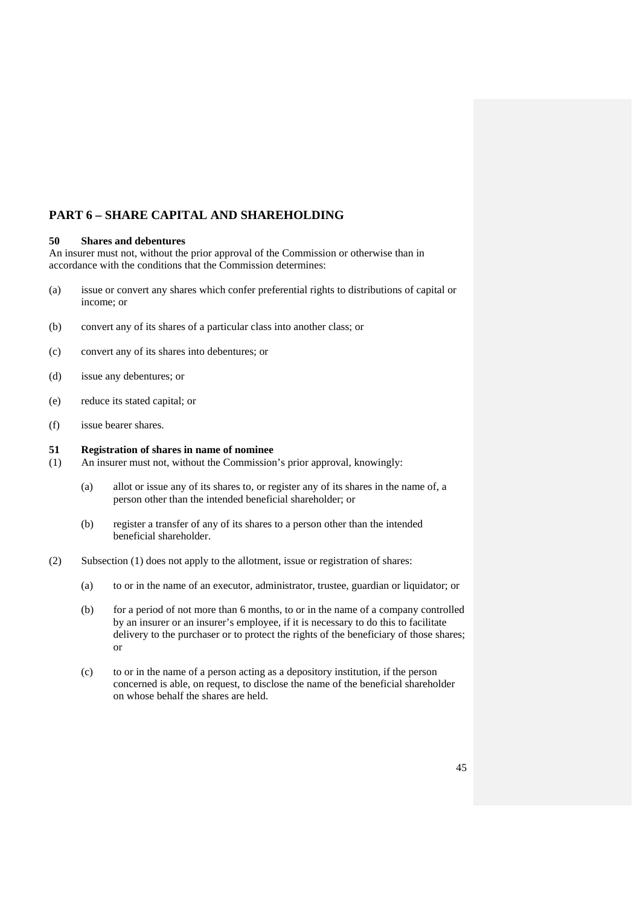# **PART 6 – SHARE CAPITAL AND SHAREHOLDING**

## **50 Shares and debentures**

An insurer must not, without the prior approval of the Commission or otherwise than in accordance with the conditions that the Commission determines:

- (a) issue or convert any shares which confer preferential rights to distributions of capital or income; or
- (b) convert any of its shares of a particular class into another class; or
- (c) convert any of its shares into debentures; or
- (d) issue any debentures; or
- (e) reduce its stated capital; or
- (f) issue bearer shares.

## **51 Registration of shares in name of nominee**

- (1) An insurer must not, without the Commission's prior approval, knowingly:
	- (a) allot or issue any of its shares to, or register any of its shares in the name of, a person other than the intended beneficial shareholder; or
	- (b) register a transfer of any of its shares to a person other than the intended beneficial shareholder.
- (2) Subsection (1) does not apply to the allotment, issue or registration of shares:
	- (a) to or in the name of an executor, administrator, trustee, guardian or liquidator; or
	- (b) for a period of not more than 6 months, to or in the name of a company controlled by an insurer or an insurer's employee, if it is necessary to do this to facilitate delivery to the purchaser or to protect the rights of the beneficiary of those shares; or
	- (c) to or in the name of a person acting as a depository institution, if the person concerned is able, on request, to disclose the name of the beneficial shareholder on whose behalf the shares are held.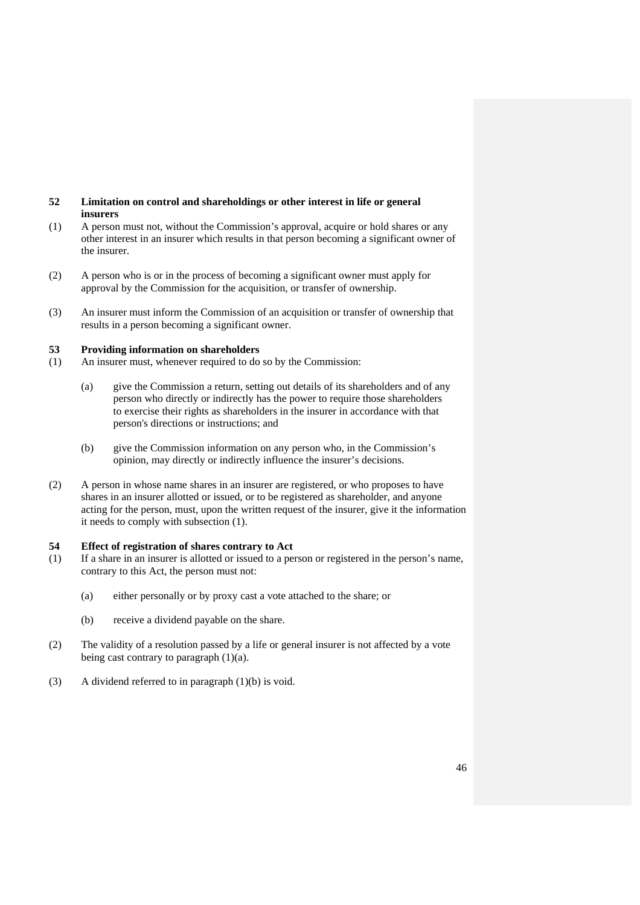## **52 Limitation on control and shareholdings or other interest in life or general insurers**

- (1) A person must not, without the Commission's approval, acquire or hold shares or any other interest in an insurer which results in that person becoming a significant owner of the insurer.
- (2) A person who is or in the process of becoming a significant owner must apply for approval by the Commission for the acquisition, or transfer of ownership.
- (3) An insurer must inform the Commission of an acquisition or transfer of ownership that results in a person becoming a significant owner.

## **53 Providing information on shareholders**

- (1) An insurer must, whenever required to do so by the Commission:
	- (a) give the Commission a return, setting out details of its shareholders and of any person who directly or indirectly has the power to require those shareholders to exercise their rights as shareholders in the insurer in accordance with that person's directions or instructions; and
	- (b) give the Commission information on any person who, in the Commission's opinion, may directly or indirectly influence the insurer's decisions.
- (2) A person in whose name shares in an insurer are registered, or who proposes to have shares in an insurer allotted or issued, or to be registered as shareholder, and anyone acting for the person, must, upon the written request of the insurer, give it the information it needs to comply with subsection (1).

## **54 Effect of registration of shares contrary to Act**

- (1) If a share in an insurer is allotted or issued to a person or registered in the person's name, contrary to this Act, the person must not:
	- (a) either personally or by proxy cast a vote attached to the share; or
	- (b) receive a dividend payable on the share.
- (2) The validity of a resolution passed by a life or general insurer is not affected by a vote being cast contrary to paragraph  $(1)(a)$ .
- (3) A dividend referred to in paragraph (1)(b) is void.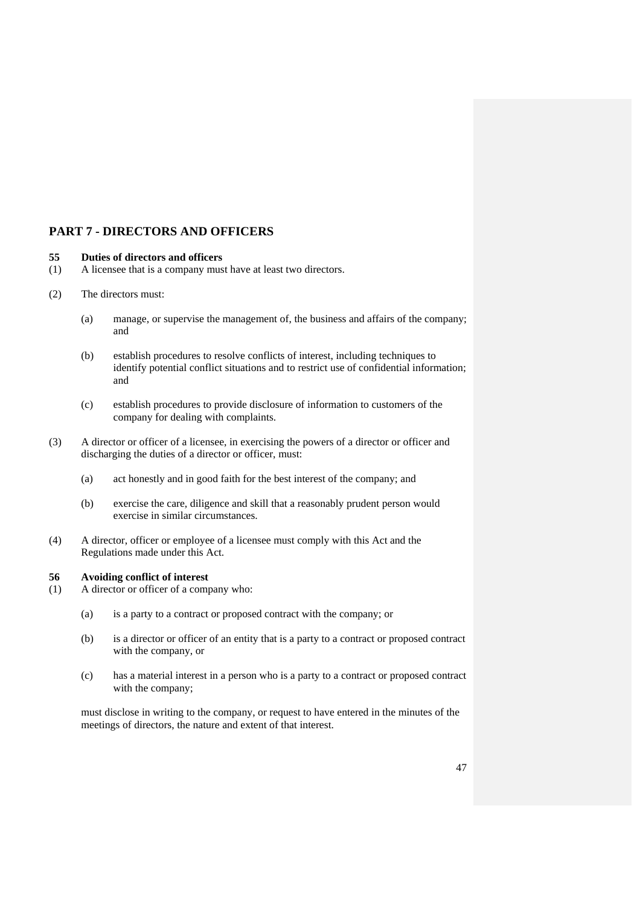# **PART 7 - DIRECTORS AND OFFICERS**

## **55 Duties of directors and officers**

- (1) A licensee that is a company must have at least two directors.
- (2) The directors must:
	- (a) manage, or supervise the management of, the business and affairs of the company; and
	- (b) establish procedures to resolve conflicts of interest, including techniques to identify potential conflict situations and to restrict use of confidential information; and
	- (c) establish procedures to provide disclosure of information to customers of the company for dealing with complaints.
- (3) A director or officer of a licensee, in exercising the powers of a director or officer and discharging the duties of a director or officer, must:
	- (a) act honestly and in good faith for the best interest of the company; and
	- (b) exercise the care, diligence and skill that a reasonably prudent person would exercise in similar circumstances.
- (4) A director, officer or employee of a licensee must comply with this Act and the Regulations made under this Act.

## **56 Avoiding conflict of interest**

- (1) A director or officer of a company who:
	- (a) is a party to a contract or proposed contract with the company; or
	- (b) is a director or officer of an entity that is a party to a contract or proposed contract with the company, or
	- (c) has a material interest in a person who is a party to a contract or proposed contract with the company;

must disclose in writing to the company, or request to have entered in the minutes of the meetings of directors, the nature and extent of that interest.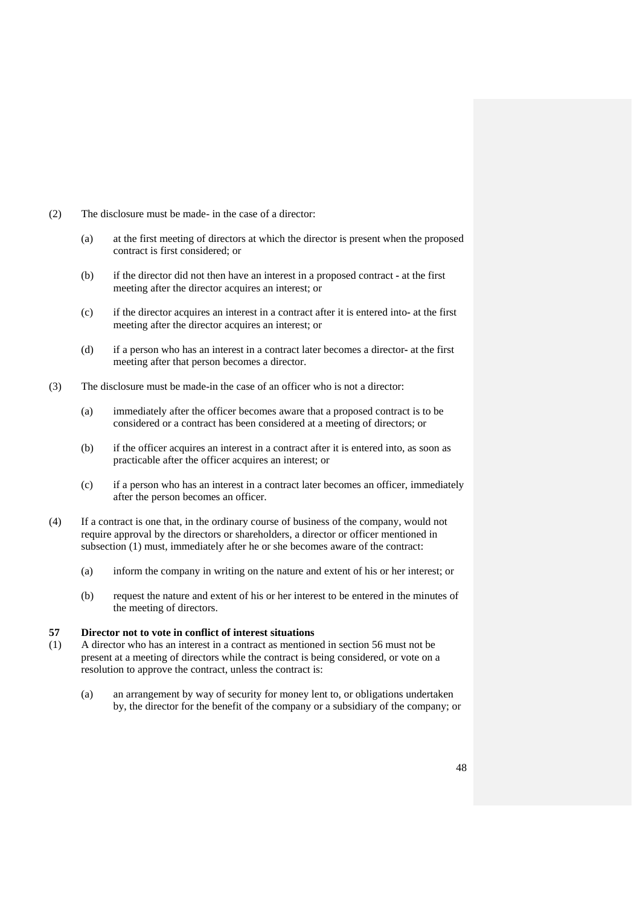- (2) The disclosure must be made- in the case of a director:
	- (a) at the first meeting of directors at which the director is present when the proposed contract is first considered; or
	- (b) if the director did not then have an interest in a proposed contractat the first meeting after the director acquires an interest; or
	- (c) if the director acquires an interest in a contract after it is entered intoat the first meeting after the director acquires an interest; or
	- (d) if a person who has an interest in a contract later becomes a directorat the first meeting after that person becomes a director.
- (3) The disclosure must be made-in the case of an officer who is not a director:
	- (a) immediately after the officer becomes aware that a proposed contract is to be considered or a contract has been considered at a meeting of directors; or
	- (b) if the officer acquires an interest in a contract after it is entered into, as soon as practicable after the officer acquires an interest; or
	- (c) if a person who has an interest in a contract later becomes an officer, immediately after the person becomes an officer.
- (4) If a contract is one that, in the ordinary course of business of the company, would not require approval by the directors or shareholders, a director or officer mentioned in subsection (1) must, immediately after he or she becomes aware of the contract:
	- (a) inform the company in writing on the nature and extent of his or her interest; or
	- (b) request the nature and extent of his or her interest to be entered in the minutes of the meeting of directors.

## **57 Director not to vote in conflict of interest situations**

- (1) A director who has an interest in a contract as mentioned in section 56 must not be present at a meeting of directors while the contract is being considered, or vote on a resolution to approve the contract, unless the contract is:
	- (a) an arrangement by way of security for money lent to, or obligations undertaken by, the director for the benefit of the company or a subsidiary of the company; or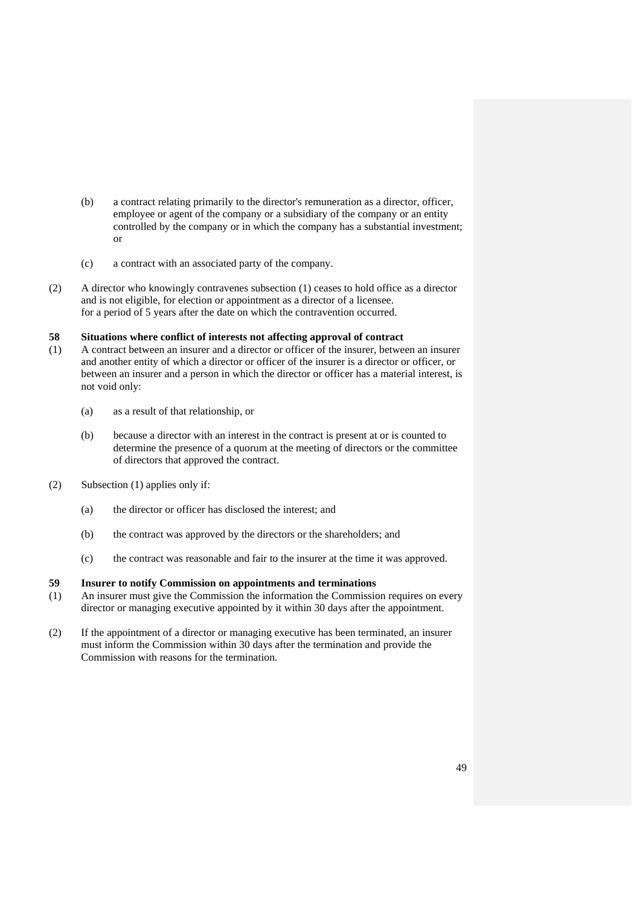- (b) a contract relating primarily to the director's remuneration as a director, officer, employee or agent of the company or a subsidiary of the company or an entity controlled by the company or in which the company has a substantial investment; or
- (c) a contract with an associated party of the company.
- (2) A director who knowingly contravenes subsection (1) ceases to hold office as a director and is not eligible, for election or appointment as a director of a licensee. for a period of 5 years after the date on which the contravention occurred.

## **58 Situations where conflict of interests not affecting approval of contract**

- (1) A contract between an insurer and a director or officer of the insurer, between an insurer and another entity of which a director or officer of the insurer is a director or officer, or between an insurer and a person in which the director or officer has a material interest, is not void only:
	- (a) as a result of that relationship, or
	- (b) because a director with an interest in the contract is present at or is counted to determine the presence of a quorum at the meeting of directors or the committee of directors that approved the contract.
- (2) Subsection (1) applies only if:
	- (a) the director or officer has disclosed the interest; and
	- (b) the contract was approved by the directors or the shareholders; and
	- (c) the contract was reasonable and fair to the insurer at the time it was approved.

## **59 Insurer to notify Commission on appointments and terminations**

- (1) An insurer must give the Commission the information the Commission requires on every director or managing executive appointed by it within 30 days after the appointment.
- (2) If the appointment of a director or managing executive has been terminated, an insurer must inform the Commission within 30 days after the termination and provide the Commission with reasons for the termination.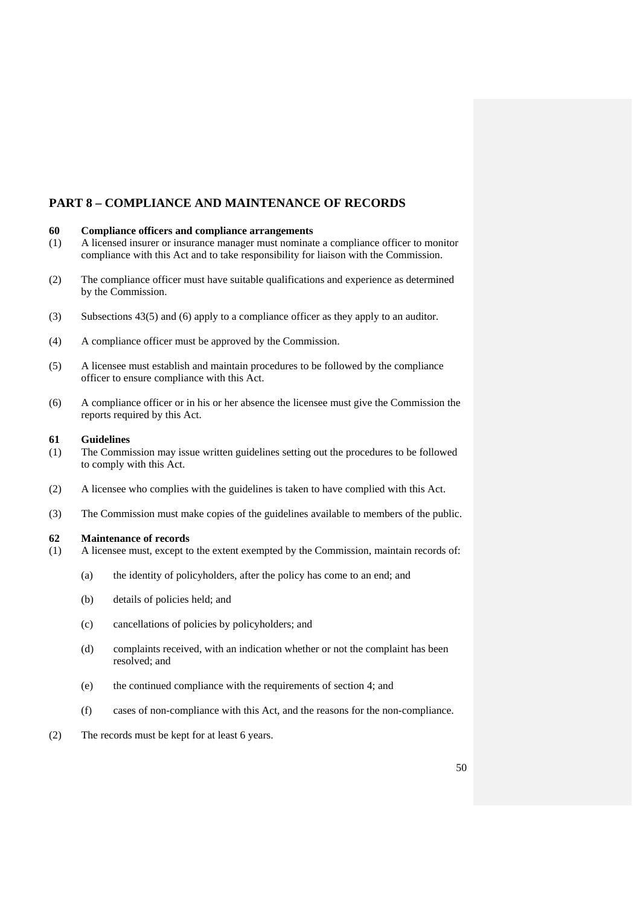# **PART 8 – COMPLIANCE AND MAINTENANCE OF RECORDS**

## **60 Compliance officers and compliance arrangements**

- (1) A licensed insurer or insurance manager must nominate a compliance officer to monitor compliance with this Act and to take responsibility for liaison with the Commission.
- (2) The compliance officer must have suitable qualifications and experience as determined by the Commission.
- (3) Subsections 43(5) and (6) apply to a compliance officer as they apply to an auditor.
- (4) A compliance officer must be approved by the Commission.
- (5) A licensee must establish and maintain procedures to be followed by the compliance officer to ensure compliance with this Act.
- (6) A compliance officer or in his or her absence the licensee must give the Commission the reports required by this Act.

#### **61 Guidelines**

- (1) The Commission may issue written guidelines setting out the procedures to be followed to comply with this Act.
- (2) A licensee who complies with the guidelines is taken to have complied with this Act.
- (3) The Commission must make copies of the guidelines available to members of the public.

## **62 Maintenance of records**

- (1) A licensee must, except to the extent exempted by the Commission, maintain records of:
	- (a) the identity of policyholders, after the policy has come to an end; and
	- (b) details of policies held; and
	- (c) cancellations of policies by policyholders; and
	- (d) complaints received, with an indication whether or not the complaint has been resolved; and
	- (e) the continued compliance with the requirements of section 4; and
	- (f) cases of non-compliance with this Act, and the reasons for the non-compliance.
- (2) The records must be kept for at least 6 years.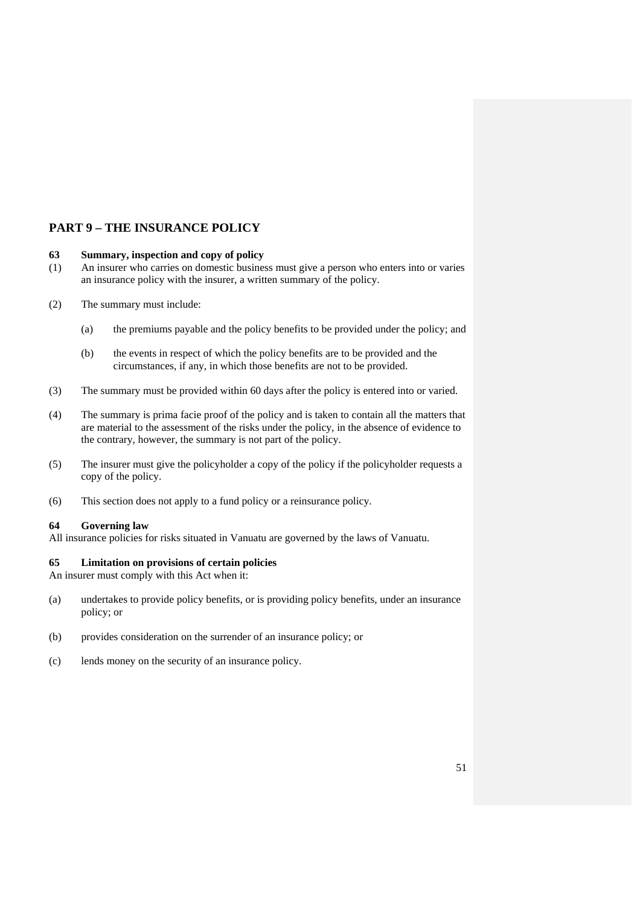# **PART 9 – THE INSURANCE POLICY**

## **63 Summary, inspection and copy of policy**

- (1) An insurer who carries on domestic business must give a person who enters into or varies an insurance policy with the insurer, a written summary of the policy.
- (2) The summary must include:
	- (a) the premiums payable and the policy benefits to be provided under the policy; and
	- (b) the events in respect of which the policy benefits are to be provided and the circumstances, if any, in which those benefits are not to be provided.
- (3) The summary must be provided within 60 days after the policy is entered into or varied.
- (4) The summary is prima facie proof of the policy and is taken to contain all the matters that are material to the assessment of the risks under the policy, in the absence of evidence to the contrary, however, the summary is not part of the policy.
- (5) The insurer must give the policyholder a copy of the policy if the policyholder requests a copy of the policy.
- (6) This section does not apply to a fund policy or a reinsurance policy.

#### **64 Governing law**

All insurance policies for risks situated in Vanuatu are governed by the laws of Vanuatu.

#### **65 Limitation on provisions of certain policies**

An insurer must comply with this Act when it:

- (a) undertakes to provide policy benefits, or is providing policy benefits, under an insurance policy; or
- (b) provides consideration on the surrender of an insurance policy; or
- (c) lends money on the security of an insurance policy.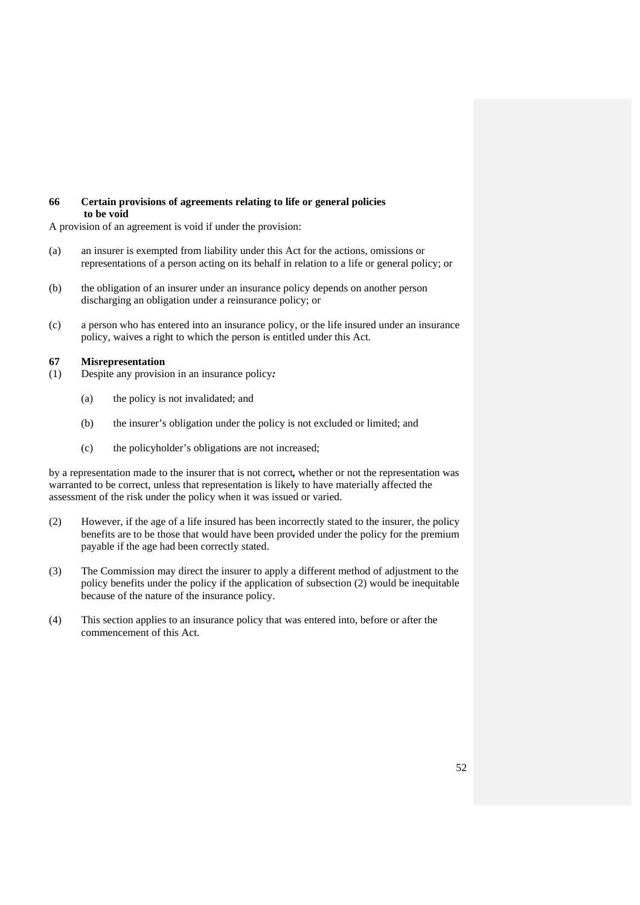## **66 Certain provisions of agreements relating to life or general policies to be void**

A provision of an agreement is void if under the provision:

- (a) an insurer is exempted from liability under this Act for the actions, omissions or representations of a person acting on its behalf in relation to a life or general policy; or
- (b) the obligation of an insurer under an insurance policy depends on another person discharging an obligation under a reinsurance policy; or
- (c) a person who has entered into an insurance policy, or the life insured under an insurance policy, waives a right to which the person is entitled under this Act.

#### **67 Misrepresentation**

- (1) Despite any provision in an insurance policy*:* 
	- (a) the policy is not invalidated; and
	- (b) the insurer's obligation under the policy is not excluded or limited; and
	- (c) the policyholder's obligations are not increased;

by a representation made to the insurer that is not correct*,* whether or not the representation was warranted to be correct, unless that representation is likely to have materially affected the assessment of the risk under the policy when it was issued or varied.

- (2) However, if the age of a life insured has been incorrectly stated to the insurer, the policy benefits are to be those that would have been provided under the policy for the premium payable if the age had been correctly stated.
- (3) The Commission may direct the insurer to apply a different method of adjustment to the policy benefits under the policy if the application of subsection (2) would be inequitable because of the nature of the insurance policy.
- (4) This section applies to an insurance policy that was entered into, before or after the commencement of this Act.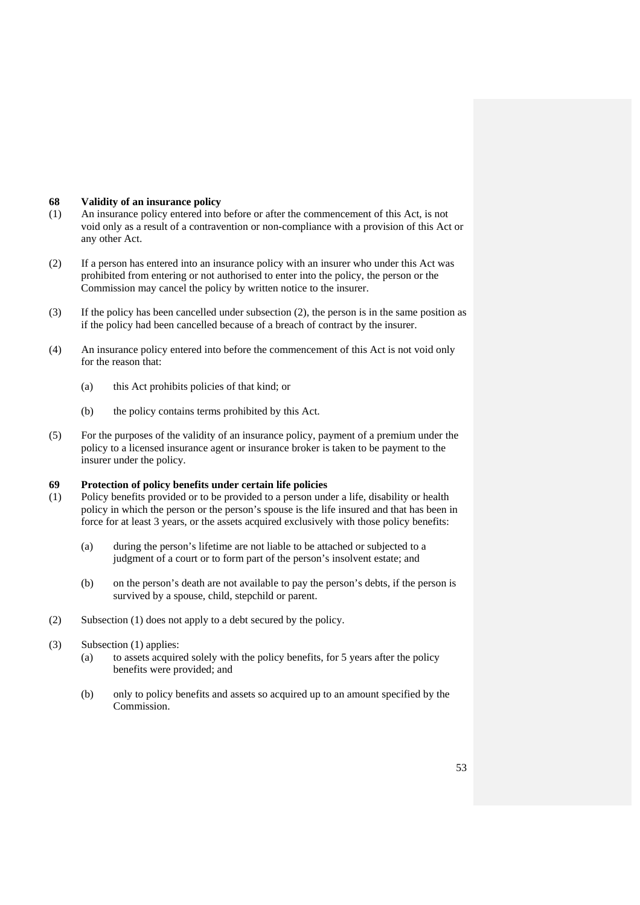## **68 Validity of an insurance policy**

- (1) An insurance policy entered into before or after the commencement of this Act, is not void only as a result of a contravention or non-compliance with a provision of this Act or any other Act.
- (2) If a person has entered into an insurance policy with an insurer who under this Act was prohibited from entering or not authorised to enter into the policy, the person or the Commission may cancel the policy by written notice to the insurer.
- (3) If the policy has been cancelled under subsection (2), the person is in the same position as if the policy had been cancelled because of a breach of contract by the insurer.
- (4) An insurance policy entered into before the commencement of this Act is not void only for the reason that:
	- (a) this Act prohibits policies of that kind; or
	- (b) the policy contains terms prohibited by this Act.
- (5) For the purposes of the validity of an insurance policy, payment of a premium under the policy to a licensed insurance agent or insurance broker is taken to be payment to the insurer under the policy.

## **69 Protection of policy benefits under certain life policies**

- (1) Policy benefits provided or to be provided to a person under a life, disability or health policy in which the person or the person's spouse is the life insured and that has been in force for at least 3 years, or the assets acquired exclusively with those policy benefits:
	- (a) during the person's lifetime are not liable to be attached or subjected to a judgment of a court or to form part of the person's insolvent estate; and
	- (b) on the person's death are not available to pay the person's debts, if the person is survived by a spouse, child, stepchild or parent.
- (2) Subsection (1) does not apply to a debt secured by the policy.
- (3) Subsection (1) applies:
	- (a) to assets acquired solely with the policy benefits, for 5 years after the policy benefits were provided; and
	- (b) only to policy benefits and assets so acquired up to an amount specified by the Commission.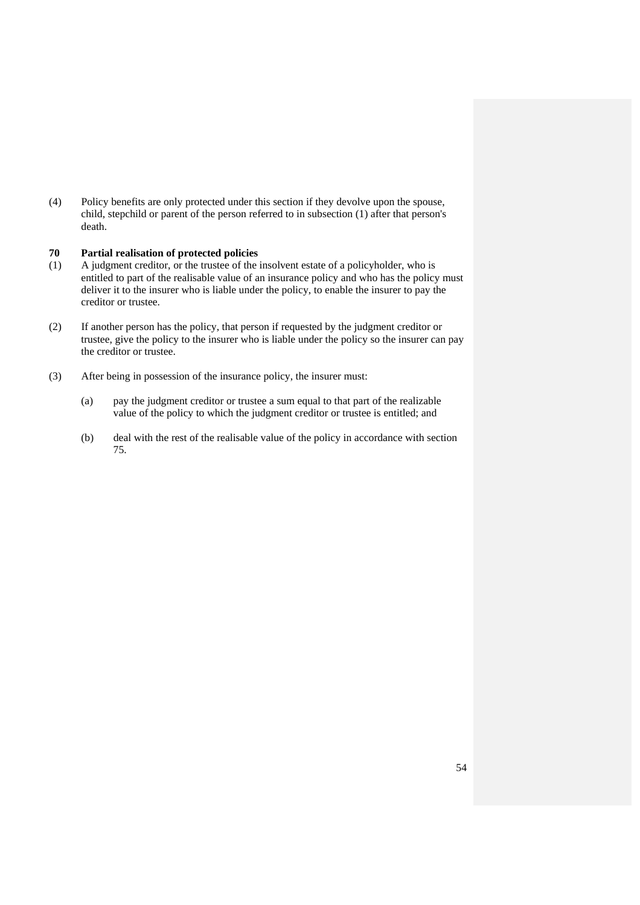(4) Policy benefits are only protected under this section if they devolve upon the spouse, child, stepchild or parent of the person referred to in subsection (1) after that person's death.

## **70 Partial realisation of protected policies**

- (1) A judgment creditor, or the trustee of the insolvent estate of a policyholder, who is entitled to part of the realisable value of an insurance policy and who has the policy must deliver it to the insurer who is liable under the policy, to enable the insurer to pay the creditor or trustee.
- (2) If another person has the policy, that person if requested by the judgment creditor or trustee, give the policy to the insurer who is liable under the policy so the insurer can pay the creditor or trustee.
- (3) After being in possession of the insurance policy, the insurer must:
	- (a) pay the judgment creditor or trustee a sum equal to that part of the realizable value of the policy to which the judgment creditor or trustee is entitled; and
	- (b) deal with the rest of the realisable value of the policy in accordance with section 75.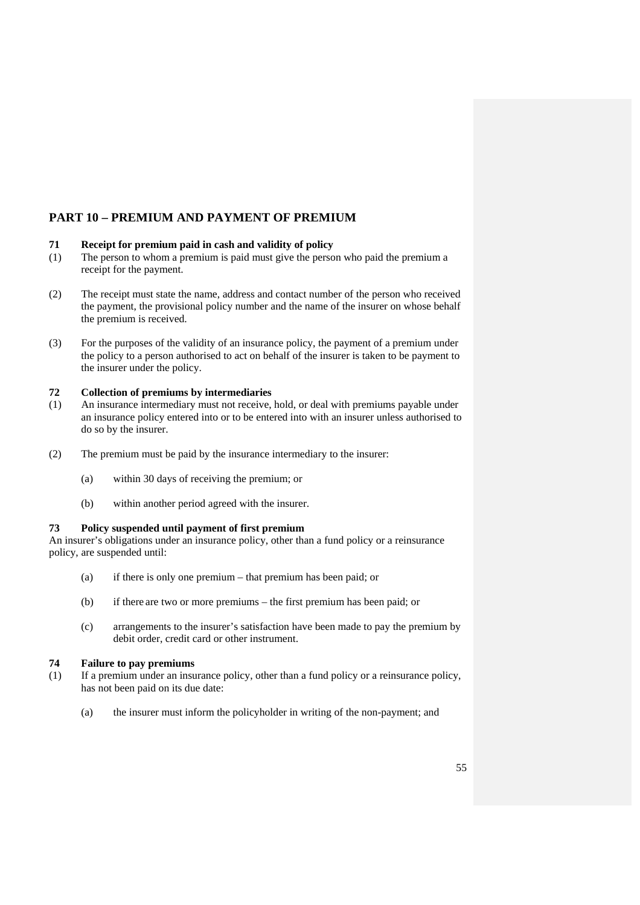# **PART 10 – PREMIUM AND PAYMENT OF PREMIUM**

## **71 Receipt for premium paid in cash and validity of policy**

- (1) The person to whom a premium is paid must give the person who paid the premium a receipt for the payment.
- (2) The receipt must state the name, address and contact number of the person who received the payment, the provisional policy number and the name of the insurer on whose behalf the premium is received.
- (3) For the purposes of the validity of an insurance policy, the payment of a premium under the policy to a person authorised to act on behalf of the insurer is taken to be payment to the insurer under the policy.

## **72 Collection of premiums by intermediaries**

- (1) An insurance intermediary must not receive, hold, or deal with premiums payable under an insurance policy entered into or to be entered into with an insurer unless authorised to do so by the insurer.
- (2) The premium must be paid by the insurance intermediary to the insurer:
	- (a) within 30 days of receiving the premium; or
	- (b) within another period agreed with the insurer.

## **73 Policy suspended until payment of first premium**

An insurer's obligations under an insurance policy, other than a fund policy or a reinsurance policy, are suspended until:

- (a) if there is only one premium that premium has been paid; or
- (b) if there are two or more premiums the first premium has been paid; or
- (c) arrangements to the insurer's satisfaction have been made to pay the premium by debit order, credit card or other instrument.

## **74 Failure to pay premiums**

- (1) If a premium under an insurance policy, other than a fund policy or a reinsurance policy, has not been paid on its due date:
	- (a) the insurer must inform the policyholder in writing of the non-payment; and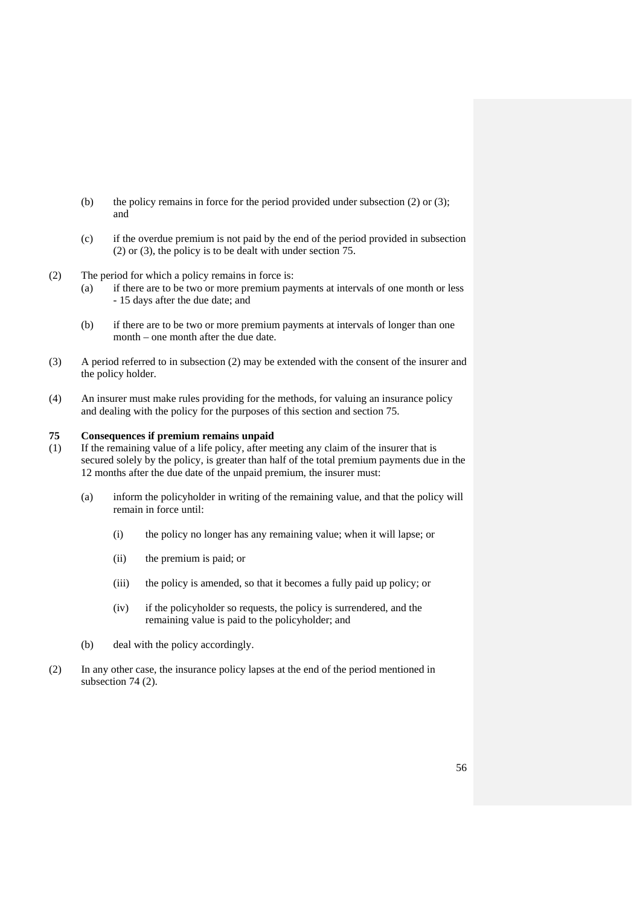- (b) the policy remains in force for the period provided under subsection (2) or (3); and
- (c) if the overdue premium is not paid by the end of the period provided in subsection (2) or (3), the policy is to be dealt with under section 75.
- (2) The period for which a policy remains in force is:
	- (a) if there are to be two or more premium payments at intervals of one month or less - 15 days after the due date; and
	- (b) if there are to be two or more premium payments at intervals of longer than one month – one month after the due date.
- (3) A period referred to in subsection (2) may be extended with the consent of the insurer and the policy holder.
- (4) An insurer must make rules providing for the methods, for valuing an insurance policy and dealing with the policy for the purposes of this section and section 75.

## **75 Consequences if premium remains unpaid**

- (1) If the remaining value of a life policy, after meeting any claim of the insurer that is secured solely by the policy, is greater than half of the total premium payments due in the 12 months after the due date of the unpaid premium, the insurer must:
	- (a) inform the policyholder in writing of the remaining value, and that the policy will remain in force until:
		- (i) the policy no longer has any remaining value; when it will lapse; or
		- (ii) the premium is paid; or
		- (iii) the policy is amended, so that it becomes a fully paid up policy; or
		- (iv) if the policyholder so requests, the policy is surrendered, and the remaining value is paid to the policyholder; and
	- (b) deal with the policy accordingly.
- (2) In any other case, the insurance policy lapses at the end of the period mentioned in subsection 74 (2).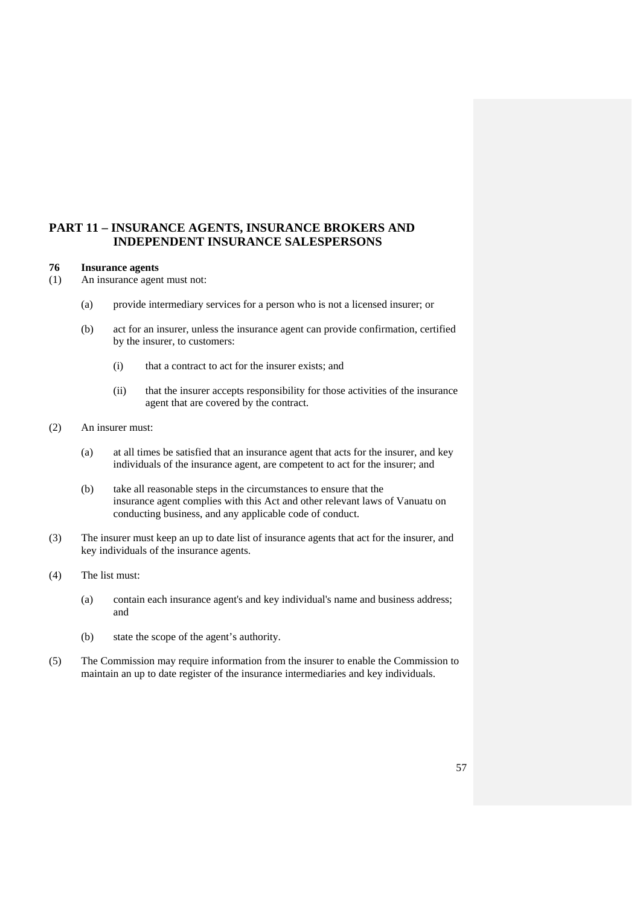## **PART 11 – INSURANCE AGENTS, INSURANCE BROKERS AND INDEPENDENT INSURANCE SALESPERSONS**

#### **76 Insurance agents**

(1) An insurance agent must not:

- (a) provide intermediary services for a person who is not a licensed insurer; or
- (b) act for an insurer, unless the insurance agent can provide confirmation, certified by the insurer, to customers:
	- (i) that a contract to act for the insurer exists; and
	- (ii) that the insurer accepts responsibility for those activities of the insurance agent that are covered by the contract.
- (2) An insurer must:
	- (a) at all times be satisfied that an insurance agent that acts for the insurer, and key individuals of the insurance agent, are competent to act for the insurer; and
	- (b) take all reasonable steps in the circumstances to ensure that the insurance agent complies with this Act and other relevant laws of Vanuatu on conducting business, and any applicable code of conduct.
- (3) The insurer must keep an up to date list of insurance agents that act for the insurer, and key individuals of the insurance agents.
- (4) The list must:
	- (a) contain each insurance agent's and key individual's name and business address; and
	- (b) state the scope of the agent's authority.
- (5) The Commission may require information from the insurer to enable the Commission to maintain an up to date register of the insurance intermediaries and key individuals.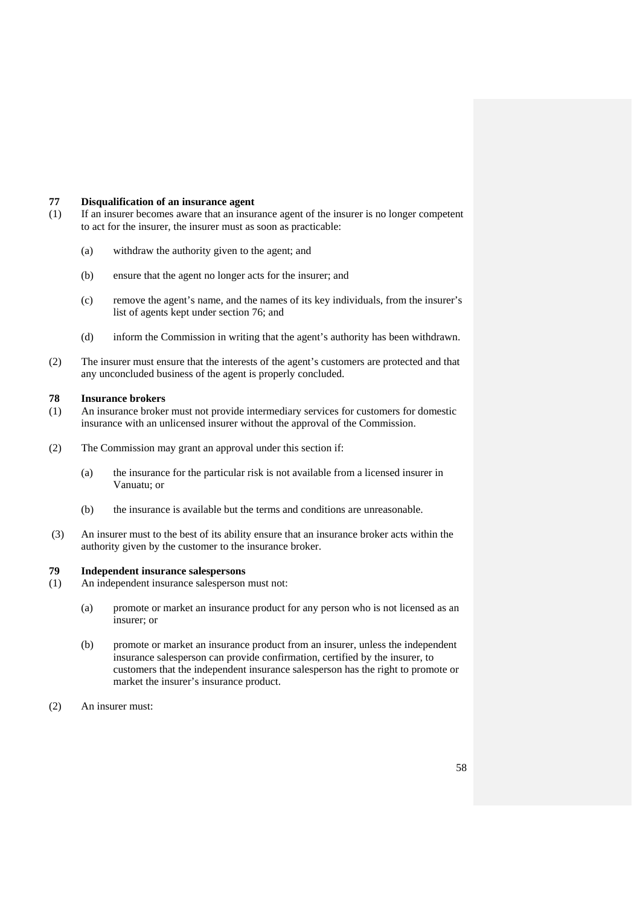#### **77 Disqualification of an insurance agent**

- (1) If an insurer becomes aware that an insurance agent of the insurer is no longer competent to act for the insurer, the insurer must as soon as practicable:
	- (a) withdraw the authority given to the agent; and
	- (b) ensure that the agent no longer acts for the insurer; and
	- (c) remove the agent's name, and the names of its key individuals, from the insurer's list of agents kept under section 76; and
	- (d) inform the Commission in writing that the agent's authority has been withdrawn.
- (2) The insurer must ensure that the interests of the agent's customers are protected and that any unconcluded business of the agent is properly concluded.

#### **78 Insurance brokers**

- (1) An insurance broker must not provide intermediary services for customers for domestic insurance with an unlicensed insurer without the approval of the Commission.
- (2) The Commission may grant an approval under this section if:
	- (a) the insurance for the particular risk is not available from a licensed insurer in Vanuatu; or
	- (b) the insurance is available but the terms and conditions are unreasonable.
- (3) An insurer must to the best of its ability ensure that an insurance broker acts within the authority given by the customer to the insurance broker.

## **79 Independent insurance salespersons**

- (1) An independent insurance salesperson must not:
	- (a) promote or market an insurance product for any person who is not licensed as an insurer; or
	- (b) promote or market an insurance product from an insurer, unless the independent insurance salesperson can provide confirmation, certified by the insurer, to customers that the independent insurance salesperson has the right to promote or market the insurer's insurance product.
- (2) An insurer must: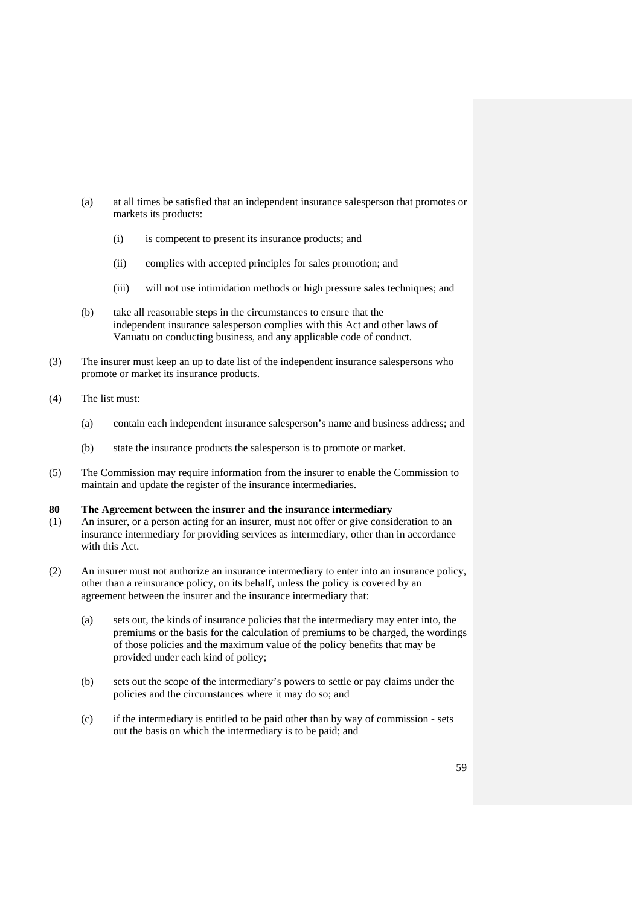- (a) at all times be satisfied that an independent insurance salesperson that promotes or markets its products:
	- (i) is competent to present its insurance products; and
	- (ii) complies with accepted principles for sales promotion; and
	- (iii) will not use intimidation methods or high pressure sales techniques; and
- (b) take all reasonable steps in the circumstances to ensure that the independent insurance salesperson complies with this Act and other laws of Vanuatu on conducting business, and any applicable code of conduct.
- (3) The insurer must keep an up to date list of the independent insurance salespersons who promote or market its insurance products.
- (4) The list must:
	- (a) contain each independent insurance salesperson's name and business address; and
	- (b) state the insurance products the salesperson is to promote or market.
- (5) The Commission may require information from the insurer to enable the Commission to maintain and update the register of the insurance intermediaries.

#### **80 The Agreement between the insurer and the insurance intermediary**

- (1) An insurer, or a person acting for an insurer, must not offer or give consideration to an insurance intermediary for providing services as intermediary, other than in accordance with this Act.
- (2) An insurer must not authorize an insurance intermediary to enter into an insurance policy, other than a reinsurance policy, on its behalf, unless the policy is covered by an agreement between the insurer and the insurance intermediary that:
	- (a) sets out, the kinds of insurance policies that the intermediary may enter into, the premiums or the basis for the calculation of premiums to be charged, the wordings of those policies and the maximum value of the policy benefits that may be provided under each kind of policy;
	- (b) sets out the scope of the intermediary's powers to settle or pay claims under the policies and the circumstances where it may do so; and
	- (c) if the intermediary is entitled to be paid other than by way of commission sets out the basis on which the intermediary is to be paid; and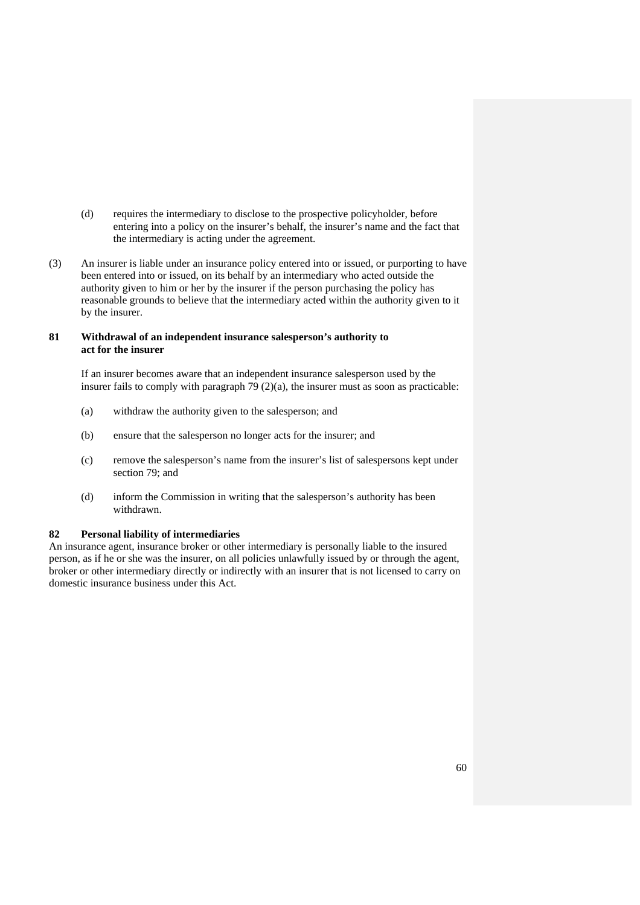- (d) requires the intermediary to disclose to the prospective policyholder, before entering into a policy on the insurer's behalf, the insurer's name and the fact that the intermediary is acting under the agreement.
- (3) An insurer is liable under an insurance policy entered into or issued, or purporting to have been entered into or issued, on its behalf by an intermediary who acted outside the authority given to him or her by the insurer if the person purchasing the policy has reasonable grounds to believe that the intermediary acted within the authority given to it by the insurer.

## **81 Withdrawal of an independent insurance salesperson's authority to act for the insurer**

 If an insurer becomes aware that an independent insurance salesperson used by the insurer fails to comply with paragraph 79 (2)(a), the insurer must as soon as practicable:

- (a) withdraw the authority given to the salesperson; and
- (b) ensure that the salesperson no longer acts for the insurer; and
- (c) remove the salesperson's name from the insurer's list of salespersons kept under section 79; and
- (d) inform the Commission in writing that the salesperson's authority has been withdrawn.

## **82 Personal liability of intermediaries**

An insurance agent, insurance broker or other intermediary is personally liable to the insured person, as if he or she was the insurer, on all policies unlawfully issued by or through the agent, broker or other intermediary directly or indirectly with an insurer that is not licensed to carry on domestic insurance business under this Act.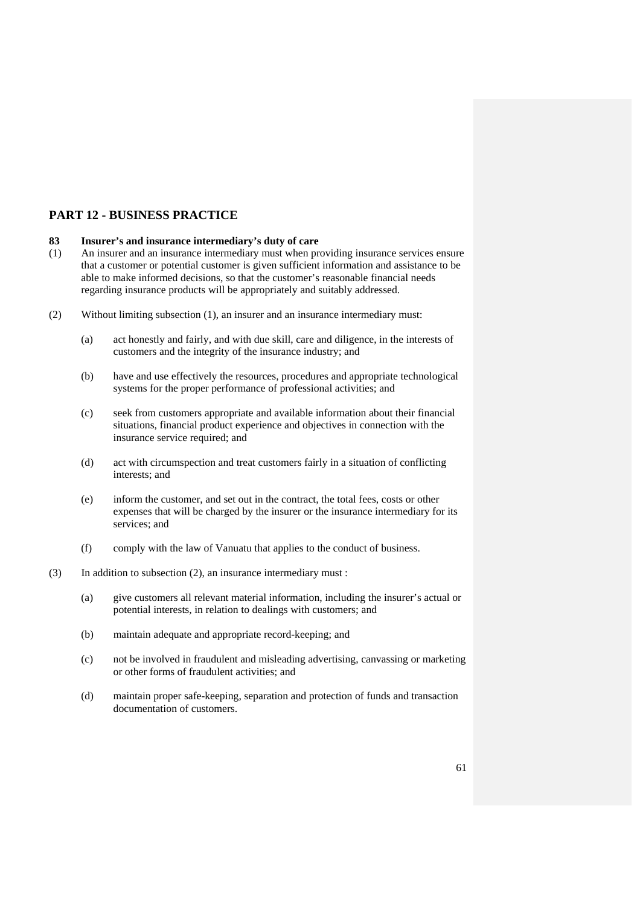# **PART 12 - BUSINESS PRACTICE**

## **83 Insurer's and insurance intermediary's duty of care**

- (1) An insurer and an insurance intermediary must when providing insurance services ensure that a customer or potential customer is given sufficient information and assistance to be able to make informed decisions, so that the customer's reasonable financial needs regarding insurance products will be appropriately and suitably addressed.
- (2) Without limiting subsection (1), an insurer and an insurance intermediary must:
	- (a) act honestly and fairly, and with due skill, care and diligence, in the interests of customers and the integrity of the insurance industry; and
	- (b) have and use effectively the resources, procedures and appropriate technological systems for the proper performance of professional activities; and
	- (c) seek from customers appropriate and available information about their financial situations, financial product experience and objectives in connection with the insurance service required; and
	- (d) act with circumspection and treat customers fairly in a situation of conflicting interests; and
	- (e) inform the customer, and set out in the contract, the total fees, costs or other expenses that will be charged by the insurer or the insurance intermediary for its services; and
	- (f) comply with the law of Vanuatu that applies to the conduct of business.
- (3) In addition to subsection (2), an insurance intermediary must :
	- (a) give customers all relevant material information, including the insurer's actual or potential interests, in relation to dealings with customers; and
	- (b) maintain adequate and appropriate record-keeping; and
	- (c) not be involved in fraudulent and misleading advertising, canvassing or marketing or other forms of fraudulent activities; and
	- (d) maintain proper safe-keeping, separation and protection of funds and transaction documentation of customers.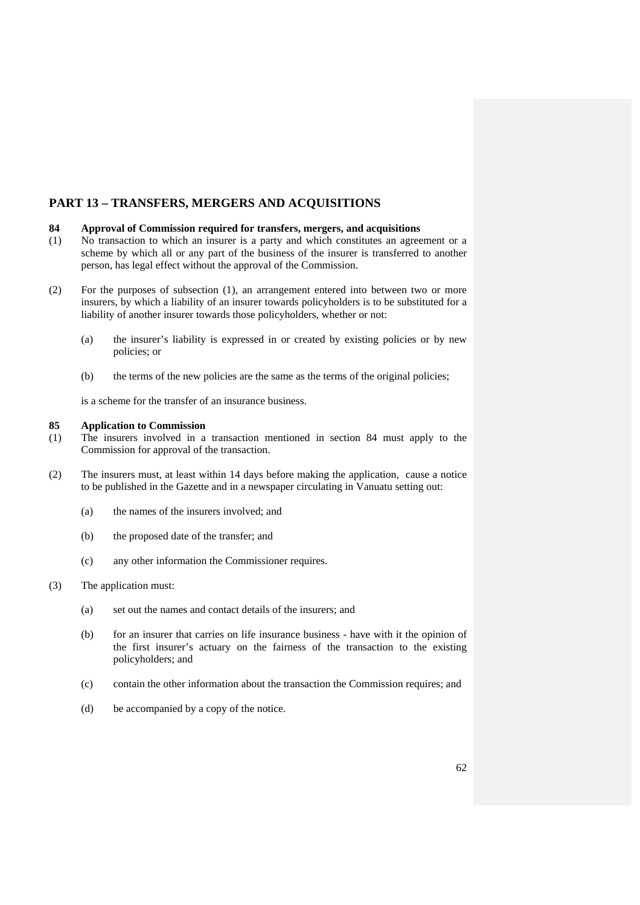# **PART 13 – TRANSFERS, MERGERS AND ACQUISITIONS**

## **84 Approval of Commission required for transfers, mergers, and acquisitions**

- (1) No transaction to which an insurer is a party and which constitutes an agreement or a scheme by which all or any part of the business of the insurer is transferred to another person, has legal effect without the approval of the Commission.
- (2) For the purposes of subsection (1), an arrangement entered into between two or more insurers, by which a liability of an insurer towards policyholders is to be substituted for a liability of another insurer towards those policyholders, whether or not:
	- (a) the insurer's liability is expressed in or created by existing policies or by new policies; or
	- (b) the terms of the new policies are the same as the terms of the original policies;

is a scheme for the transfer of an insurance business.

#### **85 Application to Commission**

- (1) The insurers involved in a transaction mentioned in section 84 must apply to the Commission for approval of the transaction.
- (2) The insurers must, at least within 14 days before making the application, cause a notice to be published in the Gazette and in a newspaper circulating in Vanuatu setting out:
	- (a) the names of the insurers involved; and
	- (b) the proposed date of the transfer; and
	- (c) any other information the Commissioner requires.
- (3) The application must:
	- (a) set out the names and contact details of the insurers; and
	- (b) for an insurer that carries on life insurance business have with it the opinion of the first insurer's actuary on the fairness of the transaction to the existing policyholders; and
	- (c) contain the other information about the transaction the Commission requires; and
	- (d) be accompanied by a copy of the notice.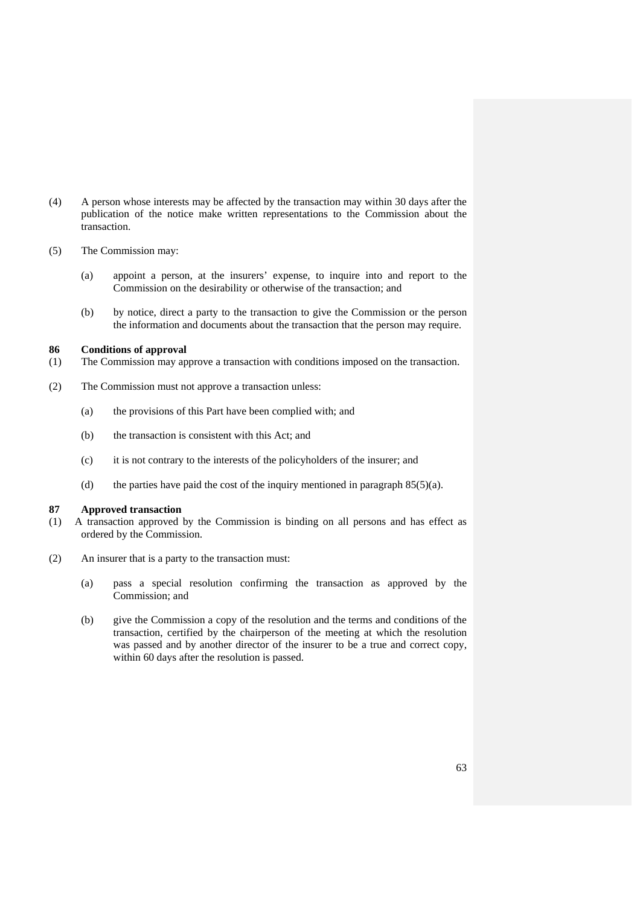- (4) A person whose interests may be affected by the transaction may within 30 days after the publication of the notice make written representations to the Commission about the transaction.
- (5) The Commission may:
	- (a) appoint a person, at the insurers' expense, to inquire into and report to the Commission on the desirability or otherwise of the transaction; and
	- (b) by notice, direct a party to the transaction to give the Commission or the person the information and documents about the transaction that the person may require.

### **86 Conditions of approval**

- (1) The Commission may approve a transaction with conditions imposed on the transaction.
- (2) The Commission must not approve a transaction unless:
	- (a) the provisions of this Part have been complied with; and
	- (b) the transaction is consistent with this Act; and
	- (c) it is not contrary to the interests of the policyholders of the insurer; and
	- (d) the parties have paid the cost of the inquiry mentioned in paragraph  $85(5)(a)$ .

#### **87 Approved transaction**

- (1) A transaction approved by the Commission is binding on all persons and has effect as ordered by the Commission.
- (2) An insurer that is a party to the transaction must:
	- (a) pass a special resolution confirming the transaction as approved by the Commission; and
	- (b) give the Commission a copy of the resolution and the terms and conditions of the transaction, certified by the chairperson of the meeting at which the resolution was passed and by another director of the insurer to be a true and correct copy, within 60 days after the resolution is passed.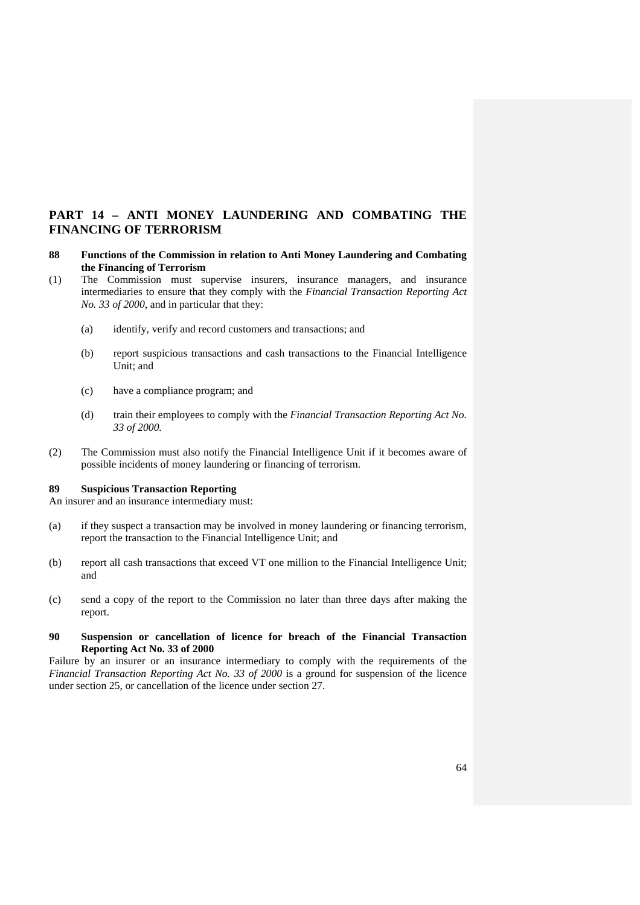# **PART 14 – ANTI MONEY LAUNDERING AND COMBATING THE FINANCING OF TERRORISM**

- **88 Functions of the Commission in relation to Anti Money Laundering and Combating the Financing of Terrorism**
- (1) The Commission must supervise insurers, insurance managers, and insurance intermediaries to ensure that they comply with the *Financial Transaction Reporting Act No. 33 of 2000,* and in particular that they:
	- (a) identify, verify and record customers and transactions; and
	- (b) report suspicious transactions and cash transactions to the Financial Intelligence Unit; and
	- (c) have a compliance program; and
	- (d) train their employees to comply with the *Financial Transaction Reporting Act No. 33 of 2000.*
- (2) The Commission must also notify the Financial Intelligence Unit if it becomes aware of possible incidents of money laundering or financing of terrorism.

### **89 Suspicious Transaction Reporting**

An insurer and an insurance intermediary must:

- (a) if they suspect a transaction may be involved in money laundering or financing terrorism, report the transaction to the Financial Intelligence Unit; and
- (b) report all cash transactions that exceed VT one million to the Financial Intelligence Unit; and
- (c) send a copy of the report to the Commission no later than three days after making the report.
- **90 Suspension or cancellation of licence for breach of the Financial Transaction Reporting Act No. 33 of 2000**

Failure by an insurer or an insurance intermediary to comply with the requirements of the *Financial Transaction Reporting Act No. 33 of 2000* is a ground for suspension of the licence under section 25, or cancellation of the licence under section 27.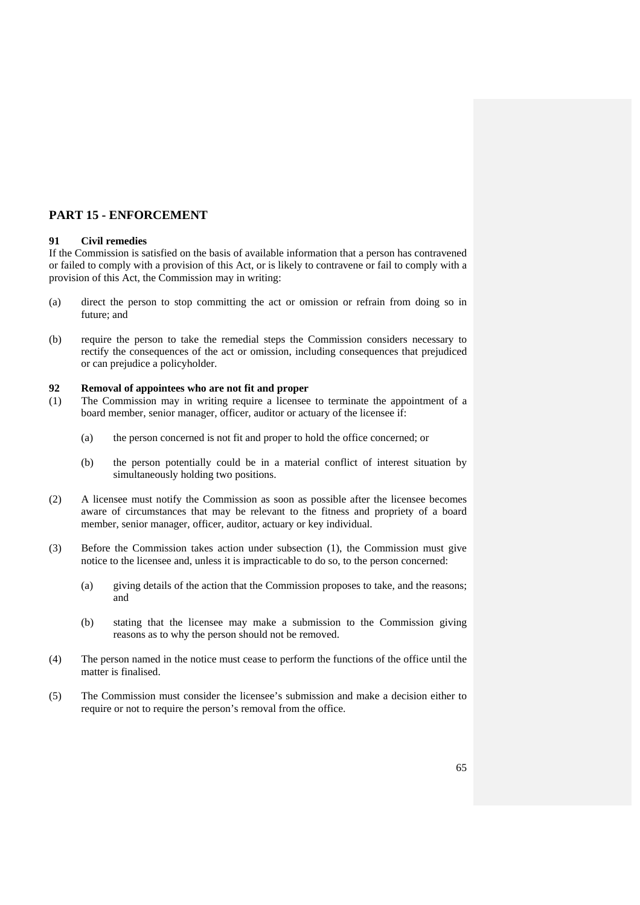## **PART 15 - ENFORCEMENT**

## **91 Civil remedies**

If the Commission is satisfied on the basis of available information that a person has contravened or failed to comply with a provision of this Act, or is likely to contravene or fail to comply with a provision of this Act, the Commission may in writing:

- (a) direct the person to stop committing the act or omission or refrain from doing so in future; and
- (b) require the person to take the remedial steps the Commission considers necessary to rectify the consequences of the act or omission, including consequences that prejudiced or can prejudice a policyholder.

#### **92 Removal of appointees who are not fit and proper**

- (1) The Commission may in writing require a licensee to terminate the appointment of a board member, senior manager, officer, auditor or actuary of the licensee if:
	- (a) the person concerned is not fit and proper to hold the office concerned; or
	- (b) the person potentially could be in a material conflict of interest situation by simultaneously holding two positions.
- (2) A licensee must notify the Commission as soon as possible after the licensee becomes aware of circumstances that may be relevant to the fitness and propriety of a board member, senior manager, officer, auditor, actuary or key individual.
- (3) Before the Commission takes action under subsection (1), the Commission must give notice to the licensee and, unless it is impracticable to do so, to the person concerned:
	- (a) giving details of the action that the Commission proposes to take, and the reasons; and
	- (b) stating that the licensee may make a submission to the Commission giving reasons as to why the person should not be removed.
- (4) The person named in the notice must cease to perform the functions of the office until the matter is finalised.
- (5) The Commission must consider the licensee's submission and make a decision either to require or not to require the person's removal from the office.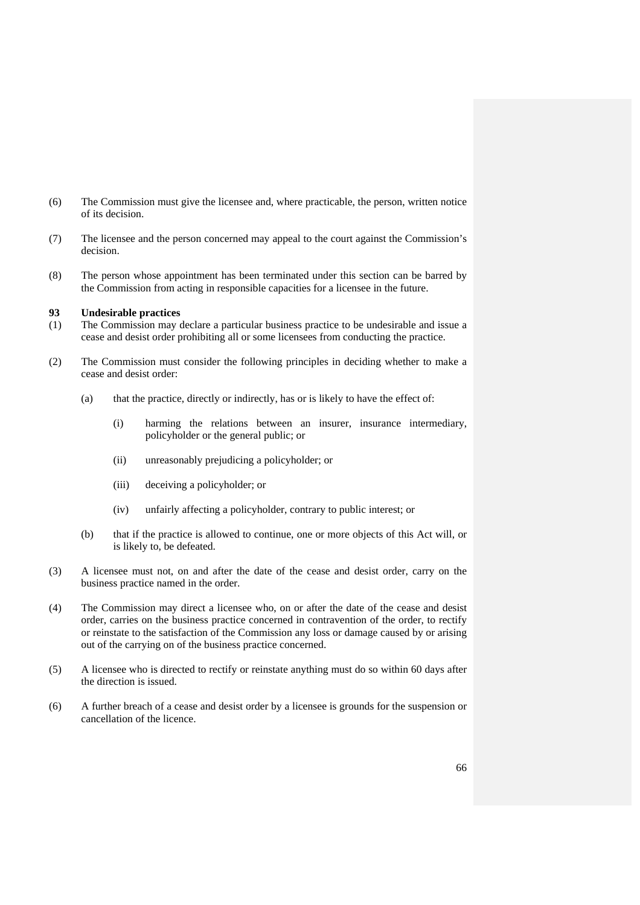- (6) The Commission must give the licensee and, where practicable, the person, written notice of its decision.
- (7) The licensee and the person concerned may appeal to the court against the Commission's decision.
- (8) The person whose appointment has been terminated under this section can be barred by the Commission from acting in responsible capacities for a licensee in the future.

## **93 Undesirable practices**

- (1) The Commission may declare a particular business practice to be undesirable and issue a cease and desist order prohibiting all or some licensees from conducting the practice.
- (2) The Commission must consider the following principles in deciding whether to make a cease and desist order:
	- (a) that the practice, directly or indirectly, has or is likely to have the effect of:
		- (i) harming the relations between an insurer, insurance intermediary, policyholder or the general public; or
		- (ii) unreasonably prejudicing a policyholder; or
		- (iii) deceiving a policyholder; or
		- (iv) unfairly affecting a policyholder, contrary to public interest; or
	- (b) that if the practice is allowed to continue, one or more objects of this Act will, or is likely to, be defeated.
- (3) A licensee must not, on and after the date of the cease and desist order, carry on the business practice named in the order.
- (4) The Commission may direct a licensee who, on or after the date of the cease and desist order, carries on the business practice concerned in contravention of the order, to rectify or reinstate to the satisfaction of the Commission any loss or damage caused by or arising out of the carrying on of the business practice concerned.
- (5) A licensee who is directed to rectify or reinstate anything must do so within 60 days after the direction is issued.
- (6) A further breach of a cease and desist order by a licensee is grounds for the suspension or cancellation of the licence.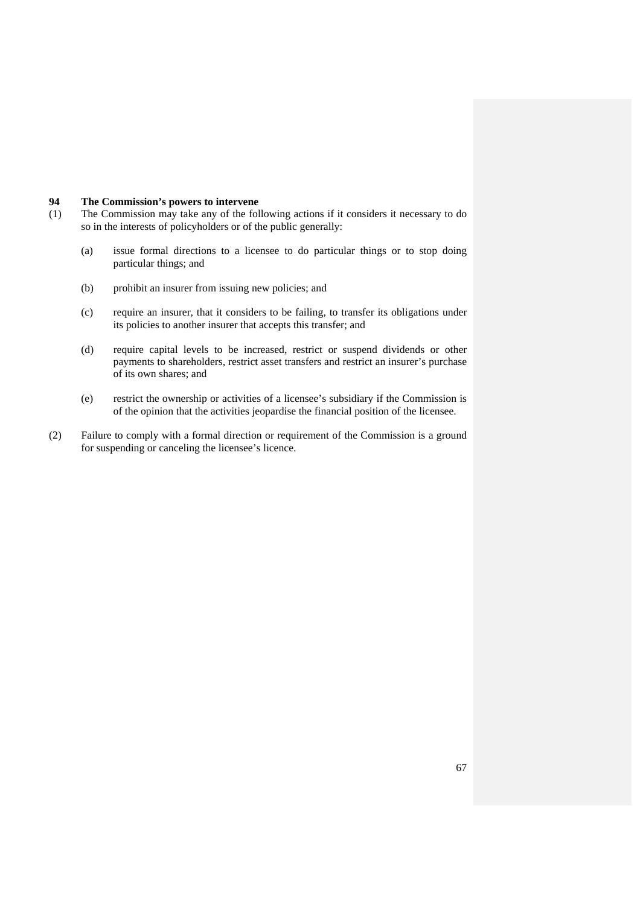#### **94 The Commission's powers to intervene**

- (1) The Commission may take any of the following actions if it considers it necessary to do so in the interests of policyholders or of the public generally:
	- (a) issue formal directions to a licensee to do particular things or to stop doing particular things; and
	- (b) prohibit an insurer from issuing new policies; and
	- (c) require an insurer, that it considers to be failing, to transfer its obligations under its policies to another insurer that accepts this transfer; and
	- (d) require capital levels to be increased, restrict or suspend dividends or other payments to shareholders, restrict asset transfers and restrict an insurer's purchase of its own shares; and
	- (e) restrict the ownership or activities of a licensee's subsidiary if the Commission is of the opinion that the activities jeopardise the financial position of the licensee.
- (2) Failure to comply with a formal direction or requirement of the Commission is a ground for suspending or canceling the licensee's licence.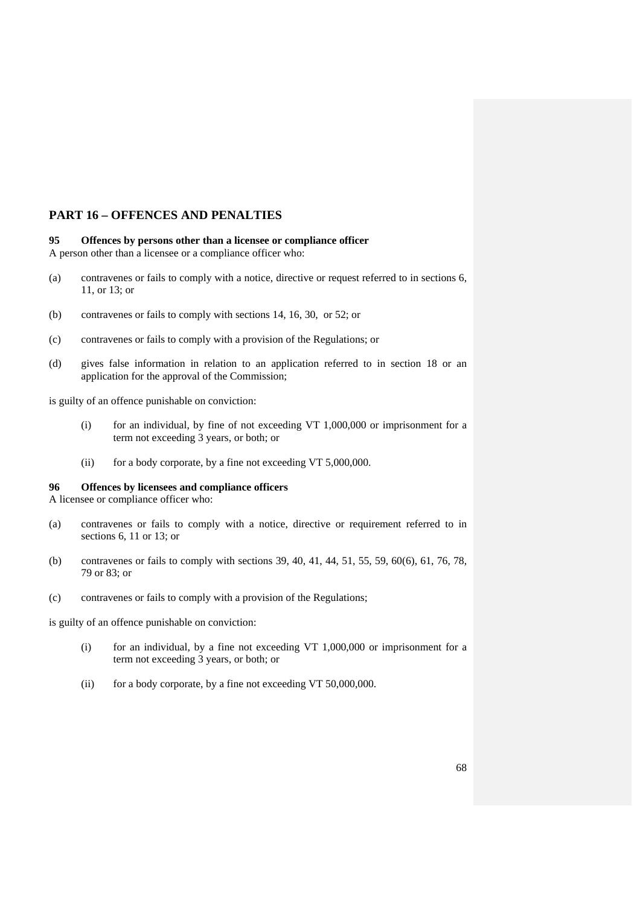# **PART 16 – OFFENCES AND PENALTIES**

#### **95 Offences by persons other than a licensee or compliance officer**  A person other than a licensee or a compliance officer who:

- (a) contravenes or fails to comply with a notice, directive or request referred to in sections 6, 11, or 13; or
- (b) contravenes or fails to comply with sections 14, 16, 30, or 52; or
- (c) contravenes or fails to comply with a provision of the Regulations; or
- (d) gives false information in relation to an application referred to in section 18 or an application for the approval of the Commission;

is guilty of an offence punishable on conviction:

- (i) for an individual, by fine of not exceeding VT 1,000,000 or imprisonment for a term not exceeding 3 years, or both; or
- (ii) for a body corporate, by a fine not exceeding VT 5,000,000.

## **96 Offences by licensees and compliance officers**

A licensee or compliance officer who:

- (a) contravenes or fails to comply with a notice, directive or requirement referred to in sections 6, 11 or 13; or
- (b) contravenes or fails to comply with sections 39, 40, 41, 44, 51, 55, 59, 60(6), 61, 76, 78, 79 or 83; or
- (c) contravenes or fails to comply with a provision of the Regulations;

is guilty of an offence punishable on conviction:

- (i) for an individual, by a fine not exceeding VT 1,000,000 or imprisonment for a term not exceeding 3 years, or both; or
- (ii) for a body corporate, by a fine not exceeding VT 50,000,000.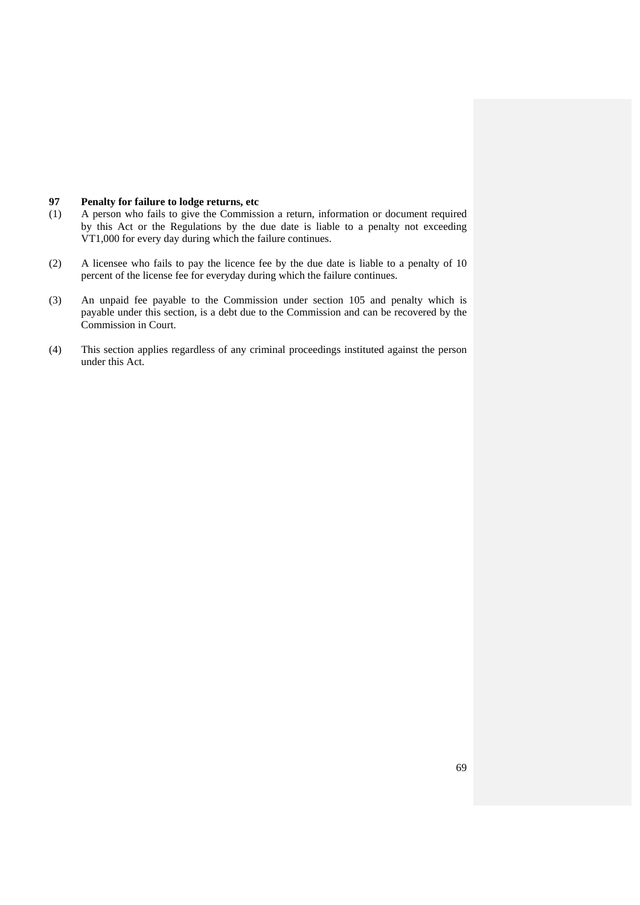#### **97 Penalty for failure to lodge returns, etc**

- (1) A person who fails to give the Commission a return, information or document required by this Act or the Regulations by the due date is liable to a penalty not exceeding VT1,000 for every day during which the failure continues.
- (2) A licensee who fails to pay the licence fee by the due date is liable to a penalty of 10 percent of the license fee for everyday during which the failure continues.
- (3) An unpaid fee payable to the Commission under section 105 and penalty which is payable under this section, is a debt due to the Commission and can be recovered by the Commission in Court.
- (4) This section applies regardless of any criminal proceedings instituted against the person under this Act.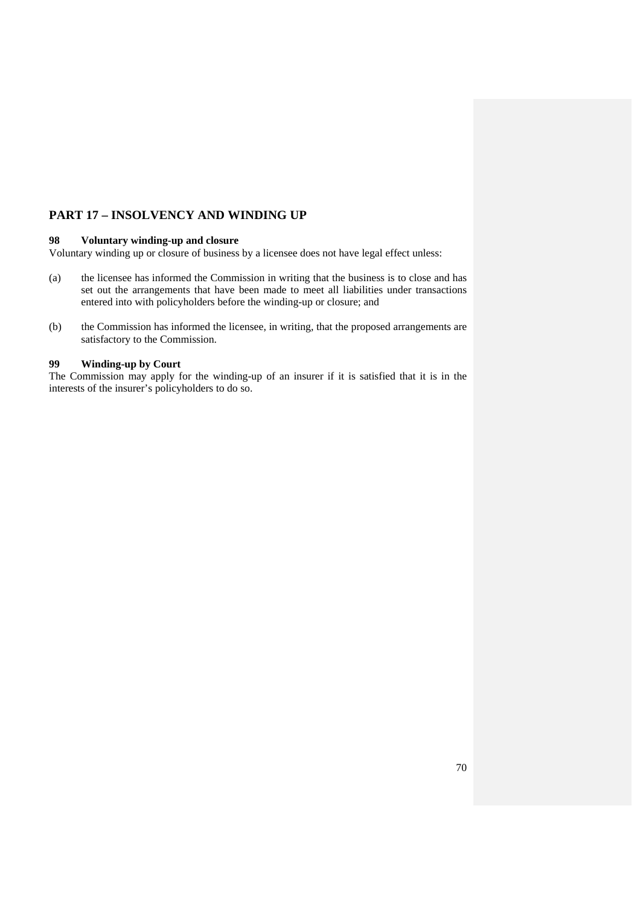# **PART 17 – INSOLVENCY AND WINDING UP**

## **98 Voluntary winding-up and closure**

Voluntary winding up or closure of business by a licensee does not have legal effect unless:

- (a) the licensee has informed the Commission in writing that the business is to close and has set out the arrangements that have been made to meet all liabilities under transactions entered into with policyholders before the winding-up or closure; and
- (b) the Commission has informed the licensee, in writing, that the proposed arrangements are satisfactory to the Commission.

## **99 Winding-up by Court**

The Commission may apply for the winding-up of an insurer if it is satisfied that it is in the interests of the insurer's policyholders to do so.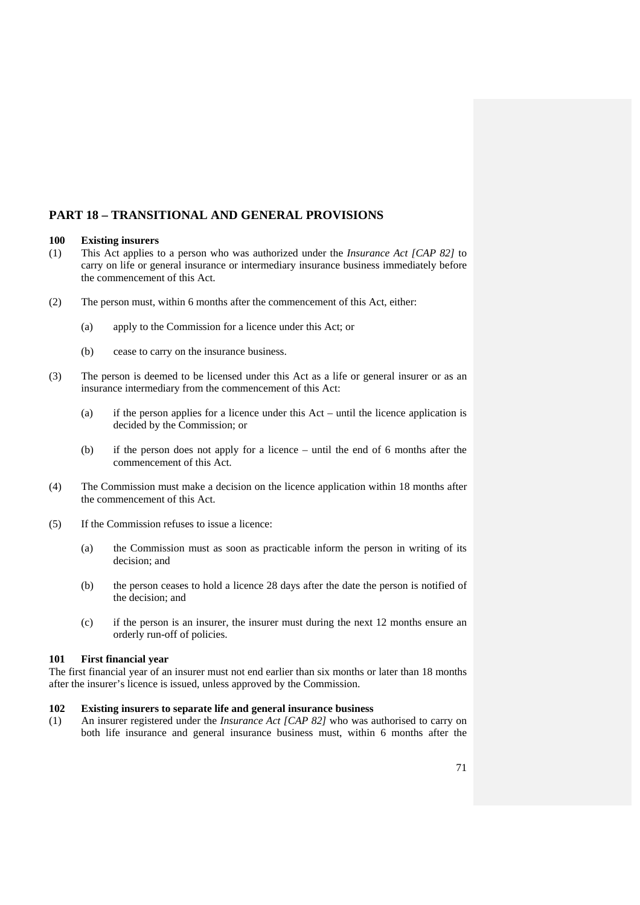# **PART 18 – TRANSITIONAL AND GENERAL PROVISIONS**

#### **100 Existing insurers**

- (1) This Act applies to a person who was authorized under the *Insurance Act [CAP 82]* to carry on life or general insurance or intermediary insurance business immediately before the commencement of this Act.
- (2) The person must, within 6 months after the commencement of this Act, either:
	- (a) apply to the Commission for a licence under this Act; or
	- (b) cease to carry on the insurance business.
- (3) The person is deemed to be licensed under this Act as a life or general insurer or as an insurance intermediary from the commencement of this Act:
	- (a) if the person applies for a licence under this Act until the licence application is decided by the Commission; or
	- (b) if the person does not apply for a licence until the end of 6 months after the commencement of this Act.
- (4) The Commission must make a decision on the licence application within 18 months after the commencement of this Act.
- (5) If the Commission refuses to issue a licence:
	- (a) the Commission must as soon as practicable inform the person in writing of its decision; and
	- (b) the person ceases to hold a licence 28 days after the date the person is notified of the decision; and
	- (c) if the person is an insurer, the insurer must during the next 12 months ensure an orderly run-off of policies.

#### **101 First financial year**

The first financial year of an insurer must not end earlier than six months or later than 18 months after the insurer's licence is issued, unless approved by the Commission.

## **102 Existing insurers to separate life and general insurance business**

(1) An insurer registered under the *Insurance Act [CAP 82]* who was authorised to carry on both life insurance and general insurance business must, within 6 months after the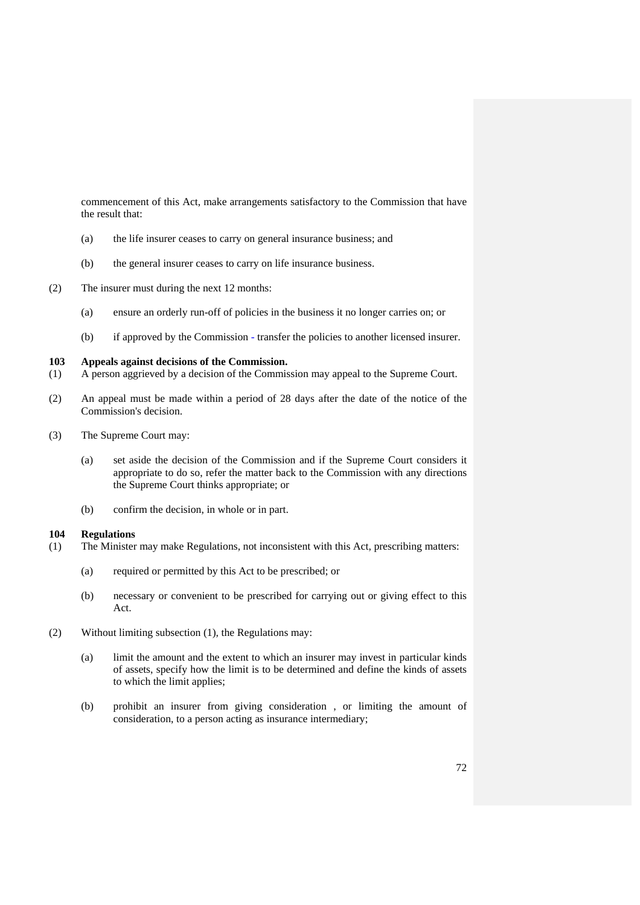commencement of this Act, make arrangements satisfactory to the Commission that have the result that:

- (a) the life insurer ceases to carry on general insurance business; and
- (b) the general insurer ceases to carry on life insurance business.
- (2) The insurer must during the next 12 months:
	- (a) ensure an orderly run-off of policies in the business it no longer carries on; or
	- (b) if approved by the Commission transfer the policies to another licensed insurer.

## **103 Appeals against decisions of the Commission.**

- (1) A person aggrieved by a decision of the Commission may appeal to the Supreme Court.
- (2) An appeal must be made within a period of 28 days after the date of the notice of the Commission's decision.
- (3) The Supreme Court may:
	- (a) set aside the decision of the Commission and if the Supreme Court considers it appropriate to do so, refer the matter back to the Commission with any directions the Supreme Court thinks appropriate; or
	- (b) confirm the decision, in whole or in part.

#### **104 Regulations**

- (1) The Minister may make Regulations, not inconsistent with this Act, prescribing matters:
	- (a) required or permitted by this Act to be prescribed; or
	- (b) necessary or convenient to be prescribed for carrying out or giving effect to this Act.
- (2) Without limiting subsection (1), the Regulations may:
	- (a) limit the amount and the extent to which an insurer may invest in particular kinds of assets, specify how the limit is to be determined and define the kinds of assets to which the limit applies;
	- (b) prohibit an insurer from giving consideration , or limiting the amount of consideration, to a person acting as insurance intermediary;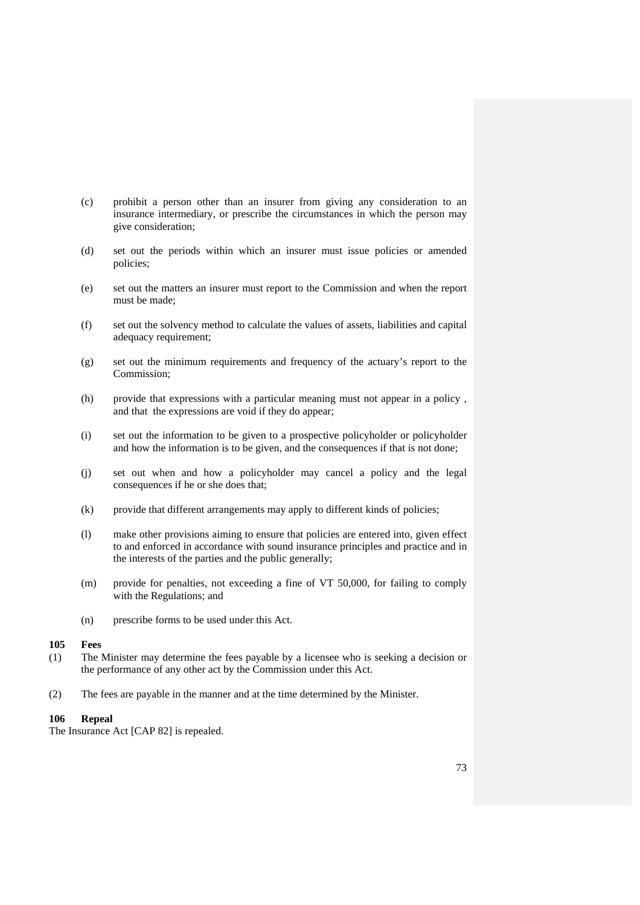- (c) prohibit a person other than an insurer from giving any consideration to an insurance intermediary, or prescribe the circumstances in which the person may give consideration;
- (d) set out the periods within which an insurer must issue policies or amended policies;
- (e) set out the matters an insurer must report to the Commission and when the report must be made;
- (f) set out the solvency method to calculate the values of assets, liabilities and capital adequacy requirement;
- (g) set out the minimum requirements and frequency of the actuary's report to the Commission;
- (h) provide that expressions with a particular meaning must not appear in a policy , and that the expressions are void if they do appear;
- (i) set out the information to be given to a prospective policyholder or policyholder and how the information is to be given, and the consequences if that is not done;
- (j) set out when and how a policyholder may cancel a policy and the legal consequences if he or she does that;
- (k) provide that different arrangements may apply to different kinds of policies;
- (l) make other provisions aiming to ensure that policies are entered into, given effect to and enforced in accordance with sound insurance principles and practice and in the interests of the parties and the public generally;
- (m) provide for penalties, not exceeding a fine of VT 50,000, for failing to comply with the Regulations; and
- (n) prescribe forms to be used under this Act.

## **105 Fees**

- (1) The Minister may determine the fees payable by a licensee who is seeking a decision or the performance of any other act by the Commission under this Act.
- (2) The fees are payable in the manner and at the time determined by the Minister.

## **106 Repeal**

The Insurance Act [CAP 82] is repealed.